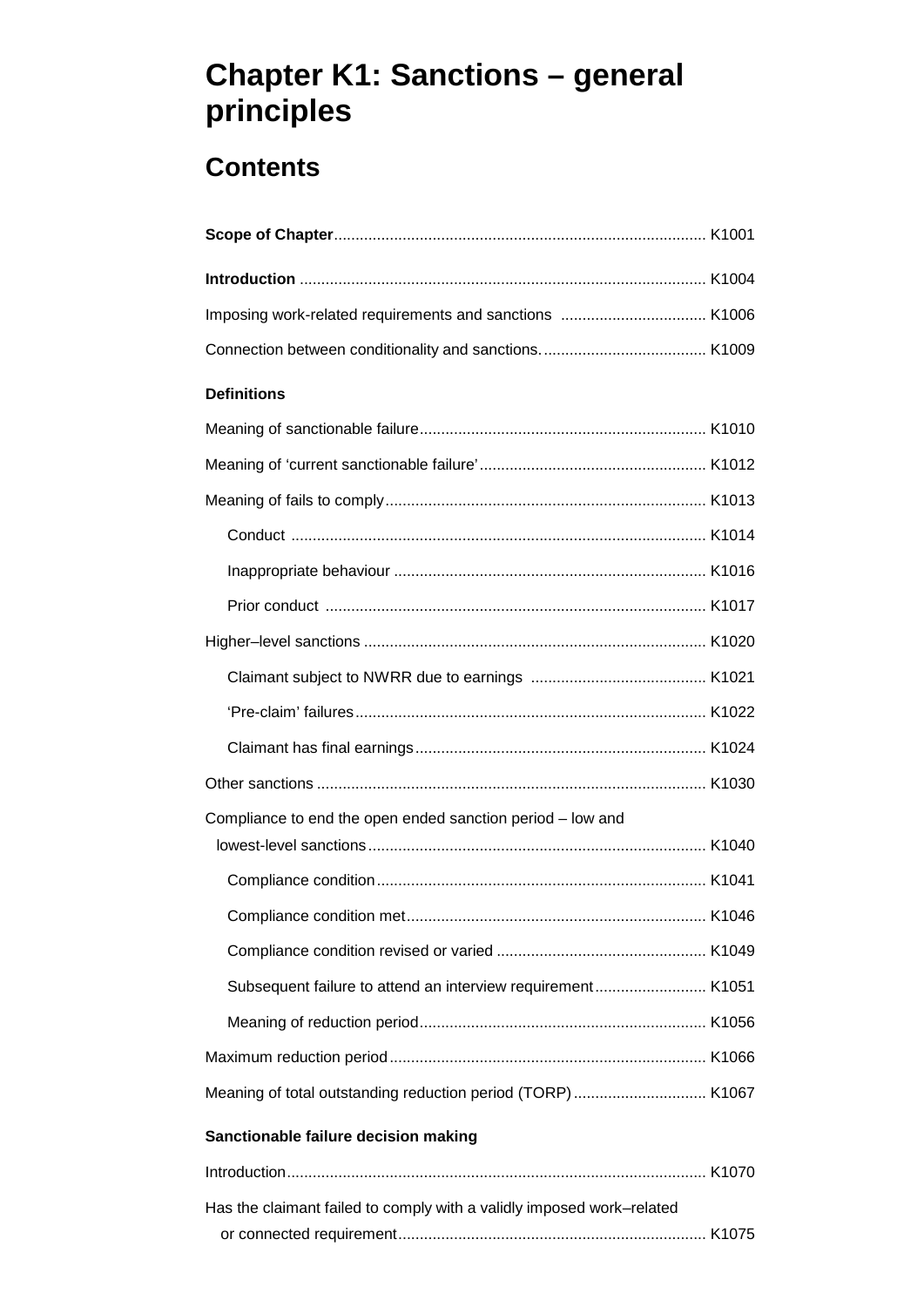# **Chapter K1: Sanctions – general principles**

# **Contents**

| <b>Definitions</b>                                          |  |
|-------------------------------------------------------------|--|
|                                                             |  |
|                                                             |  |
|                                                             |  |
|                                                             |  |
|                                                             |  |
|                                                             |  |
|                                                             |  |
|                                                             |  |
|                                                             |  |
|                                                             |  |
|                                                             |  |
| Compliance to end the open ended sanction period - low and  |  |
|                                                             |  |
|                                                             |  |
|                                                             |  |
|                                                             |  |
| Subsequent failure to attend an interview requirement K1051 |  |
|                                                             |  |
|                                                             |  |
| Meaning of total outstanding reduction period (TORP) K1067  |  |

### **Sanctionable failure decision making**

| Has the claimant failed to comply with a validly imposed work-related |  |
|-----------------------------------------------------------------------|--|
|                                                                       |  |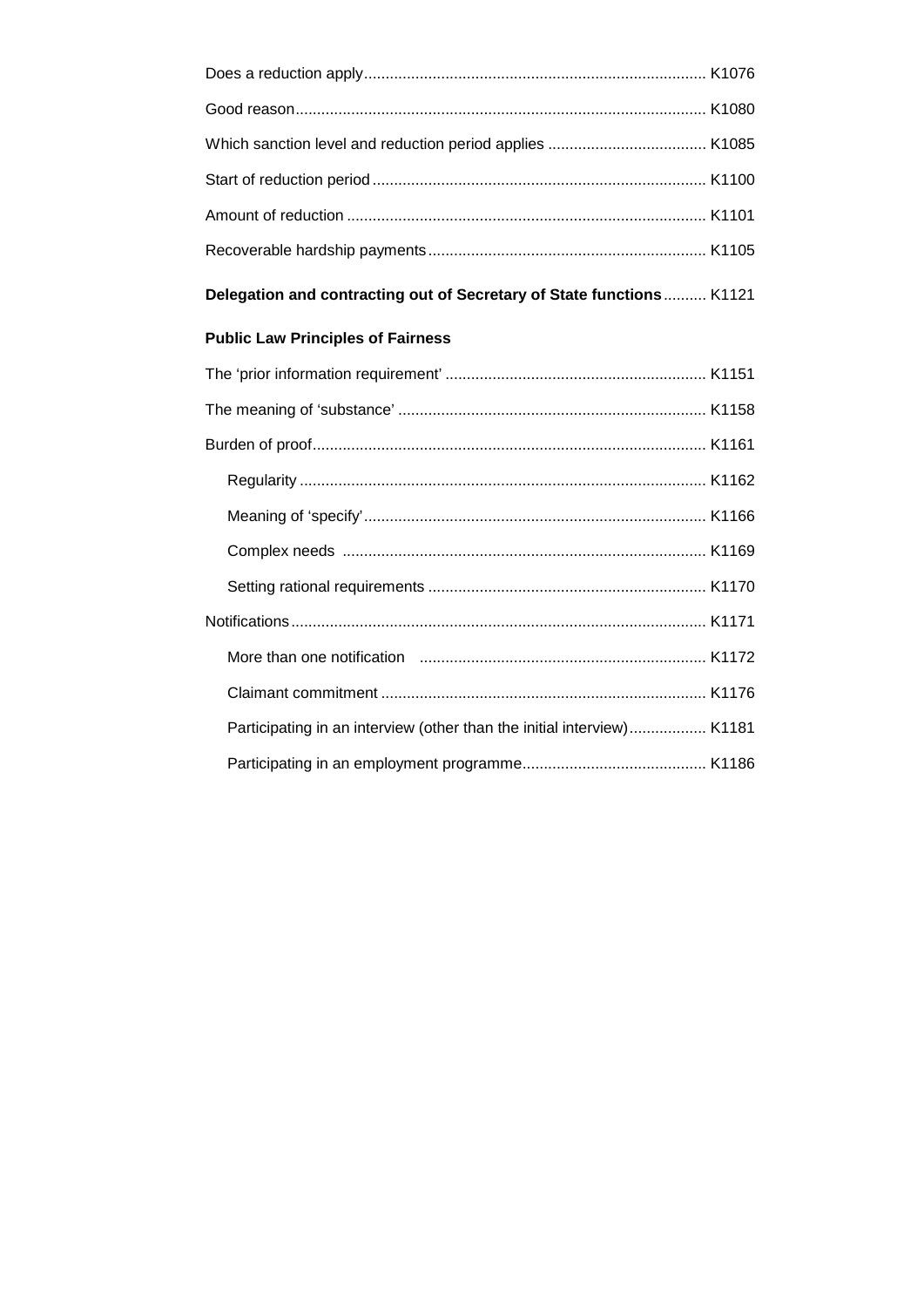| Delegation and contracting out of Secretary of State functions K1121   |  |
|------------------------------------------------------------------------|--|
| <b>Public Law Principles of Fairness</b>                               |  |
|                                                                        |  |
|                                                                        |  |
|                                                                        |  |
|                                                                        |  |
|                                                                        |  |
|                                                                        |  |
|                                                                        |  |
|                                                                        |  |
|                                                                        |  |
|                                                                        |  |
| Participating in an interview (other than the initial interview) K1181 |  |
|                                                                        |  |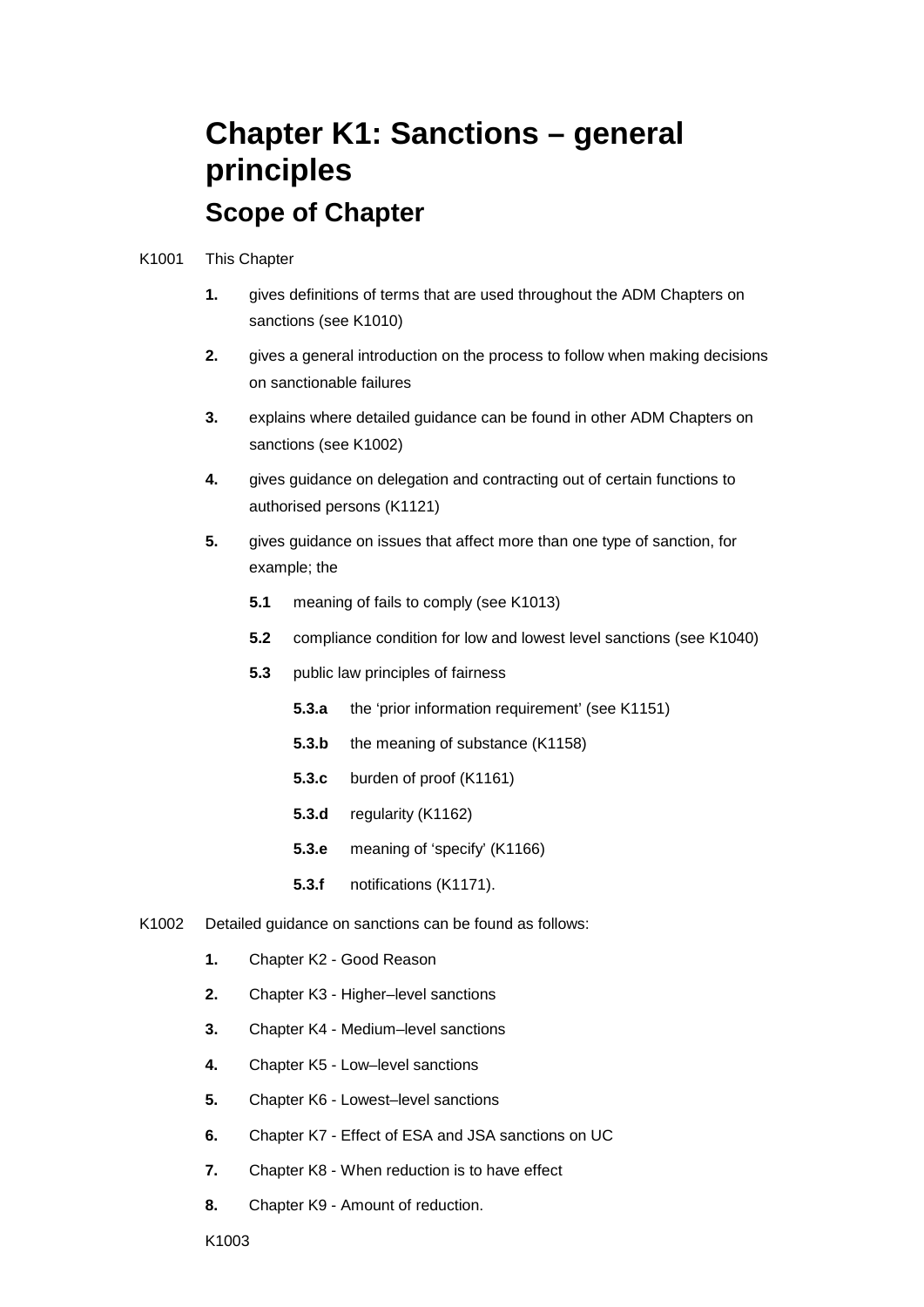# **Chapter K1: Sanctions – general principles Scope of Chapter**

#### K1001 This Chapter

- sanctions (see K1010) **1.** gives definitions of terms that are used throughout the ADM Chapters on
- **2.** gives a general introduction on the process to follow when making decisions on sanctionable failures
- **3.** explains where detailed guidance can be found in other ADM Chapters on sanctions (see K1002)
- **4.** gives guidance on delegation and contracting out of certain functions to authorised persons (K1121)
- example; the **5.** gives guidance on issues that affect more than one type of sanction, for
	- **5.1** meaning of fails to comply (see K1013)
	- **5.2** compliance condition for low and lowest level sanctions (see K1040)
	- **5.3** public law principles of fairness
		- **5.3.a** the 'prior information requirement' (see K1151)
		- **5.3.b** the meaning of substance (K1158)
		- **5.3.c** burden of proof (K1161)
		- **5.3.d** regularity (K1162)
		- **5.3.e** meaning of 'specify' (K1166)
		- **5.3.f** notifications (K1171).
- K1002 Detailed guidance on sanctions can be found as follows:
	- **1.** Chapter K2 Good Reason
	- **2.** Chapter K3 Higher–level sanctions
	- **3.** Chapter K4 Medium–level sanctions
	- **4.** Chapter K5 Low–level sanctions
	- **5.** Chapter K6 Lowest–level sanctions
	- **6.** Chapter K7 Effect of ESA and JSA sanctions on UC
	- **7.** Chapter K8 When reduction is to have effect
	- **8.** Chapter K9 Amount of reduction.

K1003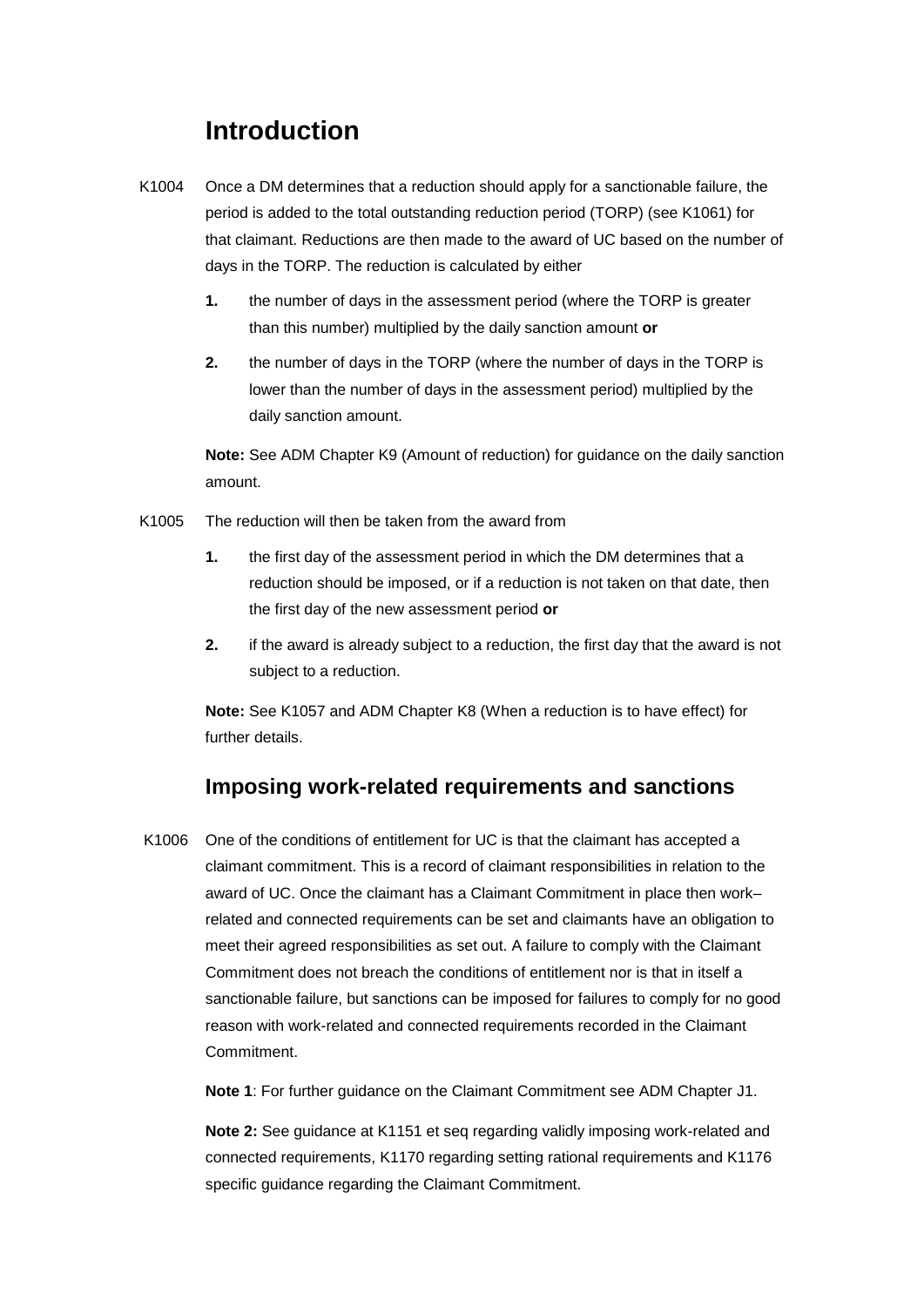# **Introduction**

- K1004 Once a DM determines that a reduction should apply for a sanctionable failure, the period is added to the total outstanding reduction period (TORP) (see K1061) for that claimant. Reductions are then made to the award of UC based on the number of days in the TORP. The reduction is calculated by either
	- **1.** the number of days in the assessment period (where the TORP is greater than this number) multiplied by the daily sanction amount **or**
	- **2.** the number of days in the TORP (where the number of days in the TORP is lower than the number of days in the assessment period) multiplied by the daily sanction amount.

**Note:** See ADM Chapter K9 (Amount of reduction) for guidance on the daily sanction amount.

- K1005 The reduction will then be taken from the award from
	- the first day of the new assessment period **or 1.** the first day of the assessment period in which the DM determines that a reduction should be imposed, or if a reduction is not taken on that date, then
	- **2.** if the award is already subject to a reduction, the first day that the award is not subject to a reduction.

 **Note:** See K1057 and ADM Chapter K8 (When a reduction is to have effect) for further details.

# **Imposing work-related requirements and sanctions**

K1006 One of the conditions of entitlement for UC is that the claimant has accepted a claimant commitment. This is a record of claimant responsibilities in relation to the award of UC. Once the claimant has a Claimant Commitment in place then work– related and connected requirements can be set and claimants have an obligation to meet their agreed responsibilities as set out. A failure to comply with the Claimant Commitment does not breach the conditions of entitlement nor is that in itself a sanctionable failure, but sanctions can be imposed for failures to comply for no good reason with work-related and connected requirements recorded in the Claimant **Commitment** 

**Note 1**: For further guidance on the Claimant Commitment see ADM Chapter J1.

**Note 2:** See guidance at K1151 et seq regarding validly imposing work-related and connected requirements, K1170 regarding setting rational requirements and K1176 specific guidance regarding the Claimant Commitment.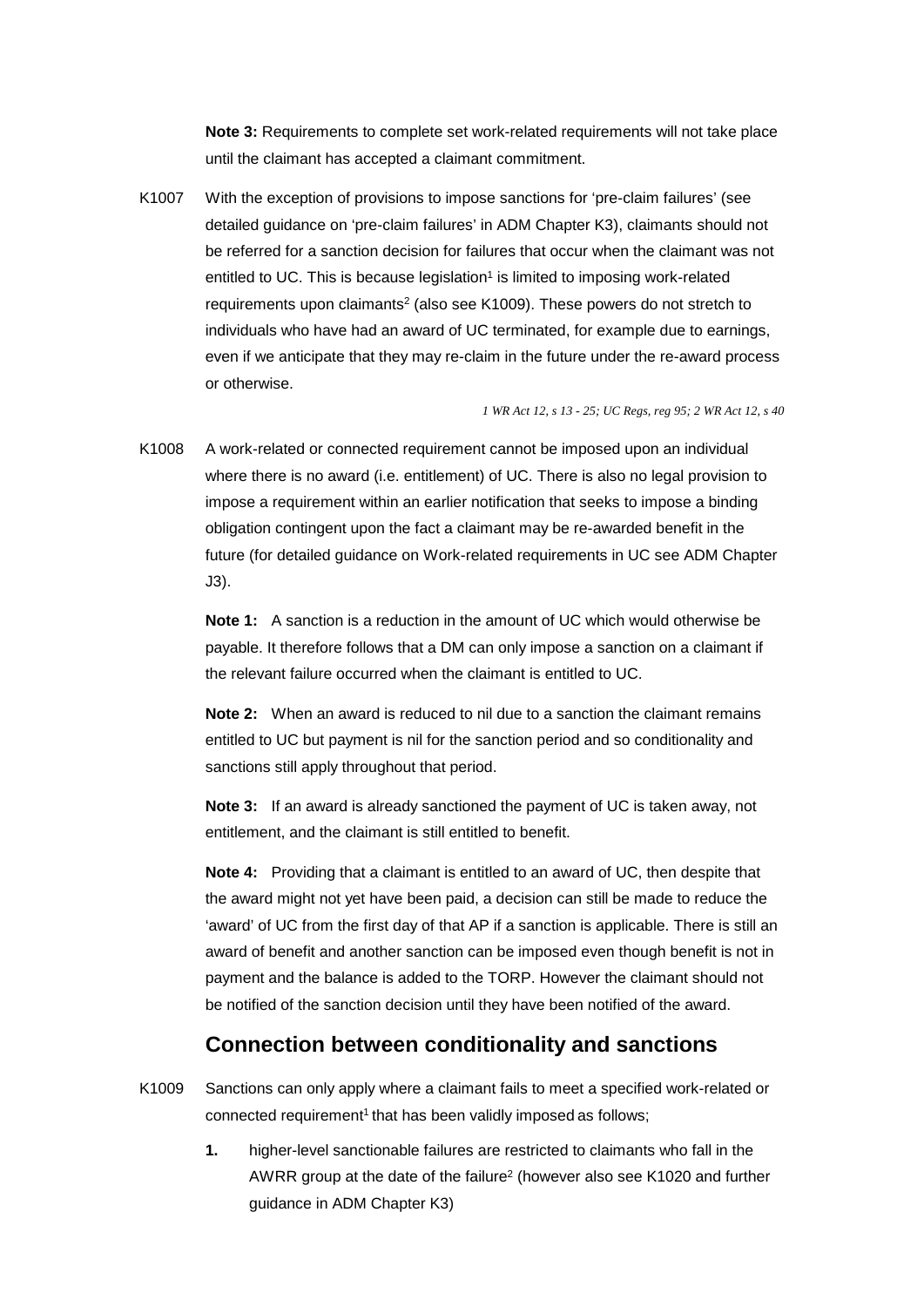until the claimant has accepted a claimant commitment. **Note 3:** Requirements to complete set work-related requirements will not take place

K1007 With the exception of provisions to impose sanctions for 'pre-claim failures' (see detailed guidance on 'pre-claim failures' in ADM Chapter K3), claimants should not be referred for a sanction decision for failures that occur when the claimant was not entitled to UC. This is because legislation<sup>1</sup> is limited to imposing work-related requirements upon claimants2 (also see K1009). These powers do not stretch to individuals who have had an award of UC terminated, for example due to earnings, even if we anticipate that they may re-claim in the future under the re-award process or otherwise.

*1 WR Act 12, s 13 - 25; UC Regs, reg 95; 2 WR Act 12, s 40* 

K1008 A work-related or connected requirement cannot be imposed upon an individual where there is no award (i.e. entitlement) of UC. There is also no legal provision to impose a requirement within an earlier notification that seeks to impose a binding obligation contingent upon the fact a claimant may be re-awarded benefit in the future (for detailed guidance on Work-related requirements in UC see ADM Chapter J3).

**Note 1:** A sanction is a reduction in the amount of UC which would otherwise be payable. It therefore follows that a DM can only impose a sanction on a claimant if the relevant failure occurred when the claimant is entitled to UC.

**Note 2:** When an award is reduced to nil due to a sanction the claimant remains entitled to UC but payment is nil for the sanction period and so conditionality and sanctions still apply throughout that period.

**Note 3:** If an award is already sanctioned the payment of UC is taken away, not entitlement, and the claimant is still entitled to benefit.

**Note 4:** Providing that a claimant is entitled to an award of UC, then despite that the award might not yet have been paid, a decision can still be made to reduce the 'award' of UC from the first day of that AP if a sanction is applicable. There is still an award of benefit and another sanction can be imposed even though benefit is not in payment and the balance is added to the TORP. However the claimant should not be notified of the sanction decision until they have been notified of the award.

### **Connection between conditionality and sanctions**

- K1009 Sanctions can only apply where a claimant fails to meet a specified work-related or connected requirement<sup>1</sup> that has been validly imposed as follows;
	- **1.** higher-level sanctionable failures are restricted to claimants who fall in the AWRR group at the date of the failure<sup>2</sup> (however also see K1020 and further guidance in ADM Chapter K3)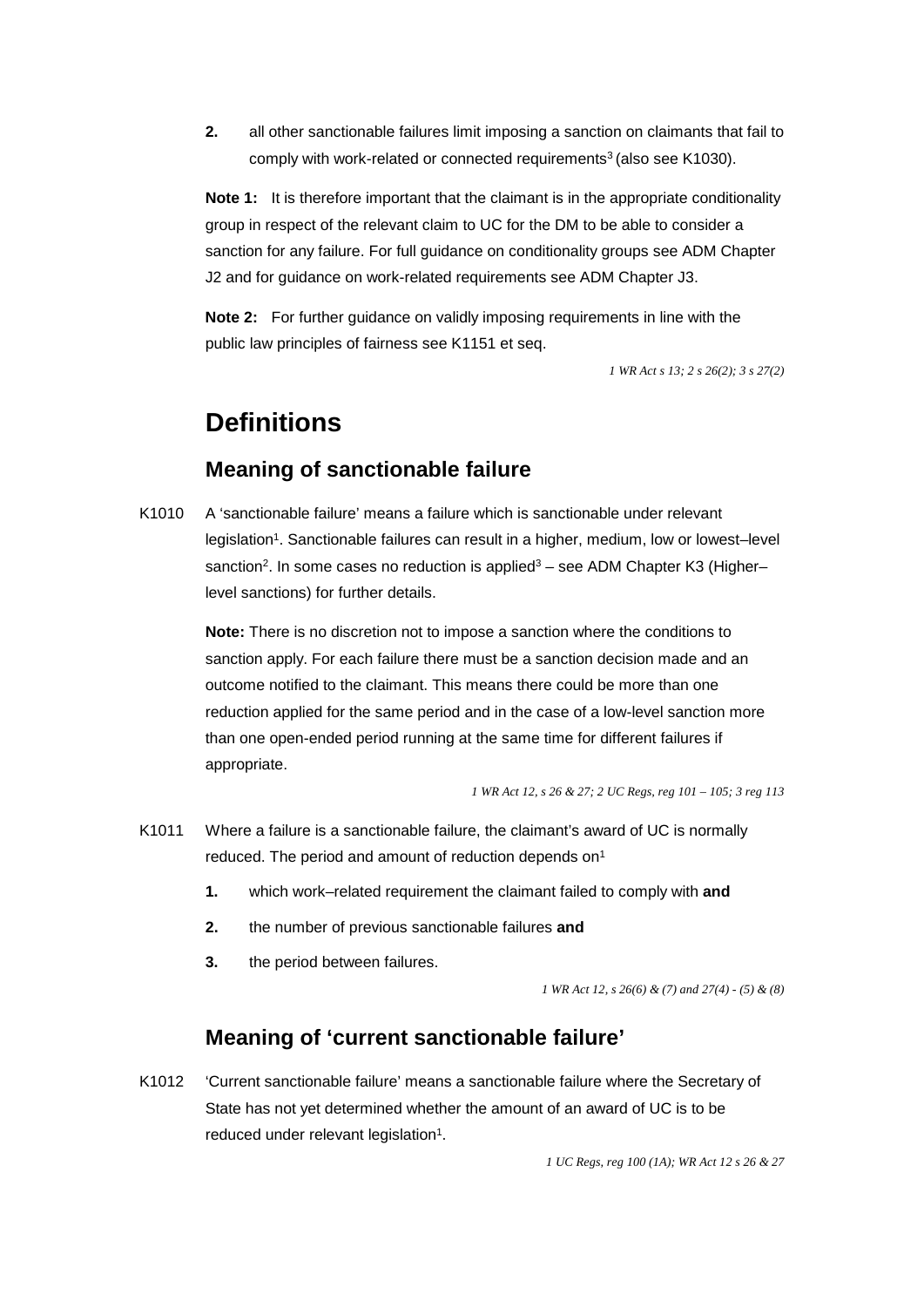**2.** all other sanctionable failures limit imposing a sanction on claimants that fail to comply with work-related or connected requirements<sup>3</sup> (also see K1030).

**Note 1:** It is therefore important that the claimant is in the appropriate conditionality  J2 and for guidance on work-related requirements see ADM Chapter J3. group in respect of the relevant claim to UC for the DM to be able to consider a sanction for any failure. For full guidance on conditionality groups see ADM Chapter

**Note 2:** For further guidance on validly imposing requirements in line with the public law principles of fairness see K1151 et seq.

*1 WR Act s 13; 2 s 26(2); 3 s 27(2)* 

# **Definitions**

# **Meaning of sanctionable failure**

sanction<sup>2</sup>. In some cases no reduction is applied<sup>3</sup> – see ADM Chapter K3 (Higher– K1010 A 'sanctionable failure' means a failure which is sanctionable under relevant legislation1. Sanctionable failures can result in a higher, medium, low or lowest–level level sanctions) for further details.

> **Note:** There is no discretion not to impose a sanction where the conditions to sanction apply. For each failure there must be a sanction decision made and an outcome notified to the claimant. This means there could be more than one reduction applied for the same period and in the case of a low-level sanction more than one open-ended period running at the same time for different failures if appropriate.

> > *1 WR Act 12, s 26 & 27; 2 UC Regs, reg 101 – 105; 3 reg 113*

- K1011 Where a failure is a sanctionable failure, the claimant's award of UC is normally reduced. The period and amount of reduction depends on<sup>1</sup>
	- **1.** which work–related requirement the claimant failed to comply with **and**
	- **2.** the number of previous sanctionable failures **and**
	- **3.** the period between failures.

 *1 WR Act 12, s 26(6) & (7) and 27(4) - (5) & (8)* 

# **Meaning of 'current sanctionable failure'**

K1012 'Current sanctionable failure' means a sanctionable failure where the Secretary of State has not yet determined whether the amount of an award of UC is to be reduced under relevant legislation<sup>1</sup>.

*1 UC Regs, reg 100 (1A); WR Act 12 s 26 & 27*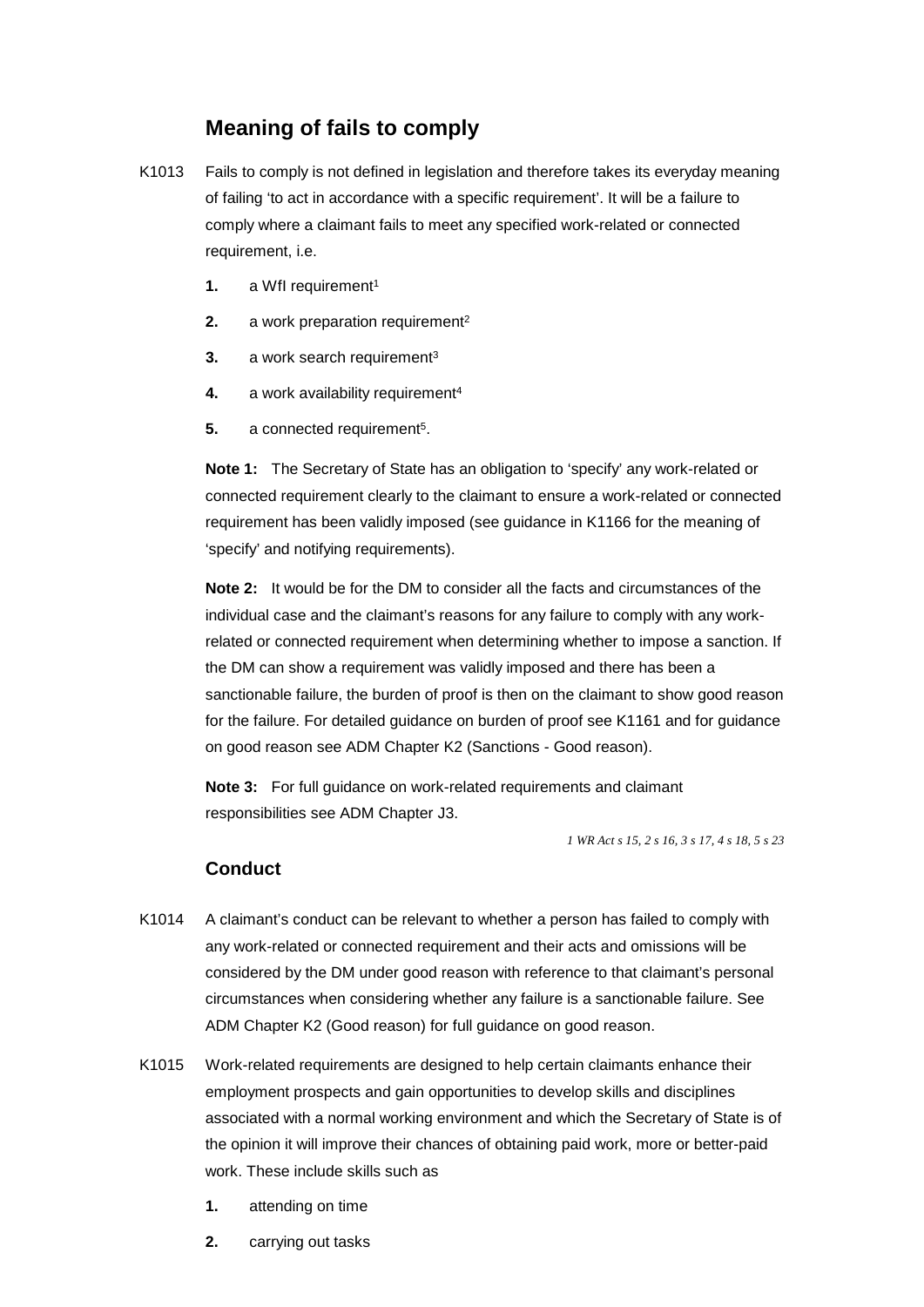# **Meaning of fails to comply**

- K1013 Fails to comply is not defined in legislation and therefore takes its everyday meaning of failing 'to act in accordance with a specific requirement'. It will be a failure to comply where a claimant fails to meet any specified work-related or connected requirement, i.e.
	- **1.** a WfI requirement<sup>1</sup>
	- **2.** a work preparation requirement<sup>2</sup>
	- **3.** a work search requirement<sup>3</sup>
	- **4.** a work availability requirement<sup>4</sup>
	- **5.** a connected requirement<sup>5</sup>.

**Note 1:** The Secretary of State has an obligation to 'specify' any work-related or connected requirement clearly to the claimant to ensure a work-related or connected requirement has been validly imposed (see guidance in K1166 for the meaning of 'specify' and notifying requirements).

**Note 2:** It would be for the DM to consider all the facts and circumstances of the individual case and the claimant's reasons for any failure to comply with any workrelated or connected requirement when determining whether to impose a sanction. If the DM can show a requirement was validly imposed and there has been a sanctionable failure, the burden of proof is then on the claimant to show good reason for the failure. For detailed guidance on burden of proof see K1161 and for guidance on good reason see ADM Chapter K2 (Sanctions - Good reason).

**Note 3:** For full guidance on work-related requirements and claimant responsibilities see ADM Chapter J3.

*1 WR Act s 15, 2 s 16, 3 s 17, 4 s 18, 5 s 23* 

#### **Conduct**

- K1014 A claimant's conduct can be relevant to whether a person has failed to comply with any work-related or connected requirement and their acts and omissions will be considered by the DM under good reason with reference to that claimant's personal circumstances when considering whether any failure is a sanctionable failure. See ADM Chapter K2 (Good reason) for full guidance on good reason.
- K1015 Work-related requirements are designed to help certain claimants enhance their employment prospects and gain opportunities to develop skills and disciplines associated with a normal working environment and which the Secretary of State is of the opinion it will improve their chances of obtaining paid work, more or better-paid work. These include skills such as
	- **1.** attending on time
	- **2.** carrying out tasks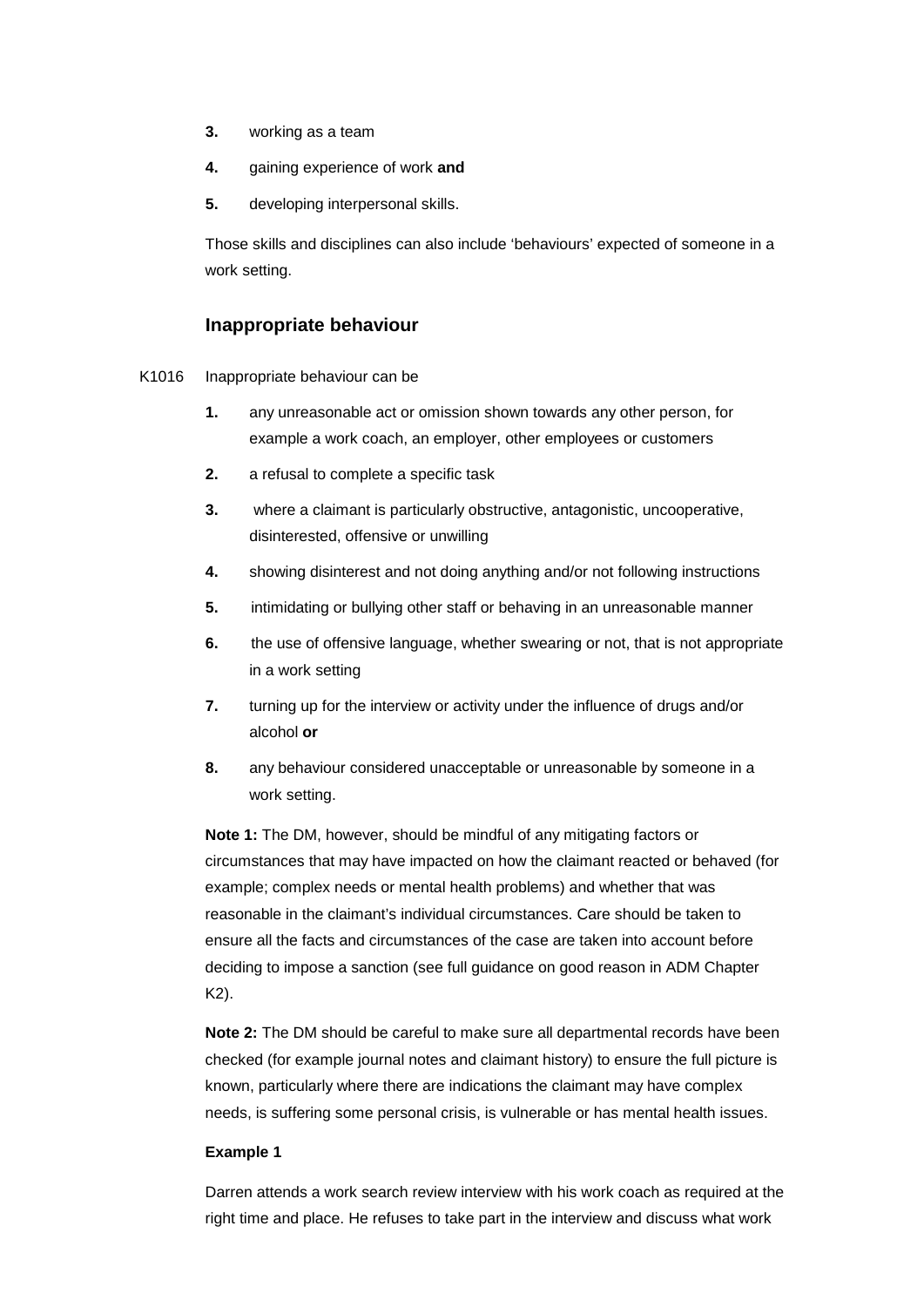- **3.** working as a team
- **4.** gaining experience of work **and**
- **5.** developing interpersonal skills.

Those skills and disciplines can also include 'behaviours' expected of someone in a work setting.

#### **Inappropriate behaviour**

- K1016 Inappropriate behaviour can be
	- **1.** any unreasonable act or omission shown towards any other person, for example a work coach, an employer, other employees or customers
	- **2.** a refusal to complete a specific task
	- **3.** where a claimant is particularly obstructive, antagonistic, uncooperative, disinterested, offensive or unwilling
	- **4.** showing disinterest and not doing anything and/or not following instructions
	- **5.** intimidating or bullying other staff or behaving in an unreasonable manner
	- **6.** the use of offensive language, whether swearing or not, that is not appropriate in a work setting
	- **7.** turning up for the interview or activity under the influence of drugs and/or alcohol **or**
	- **8.** any behaviour considered unacceptable or unreasonable by someone in a work setting.

**Note 1:** The DM, however, should be mindful of any mitigating factors or circumstances that may have impacted on how the claimant reacted or behaved (for example; complex needs or mental health problems) and whether that was reasonable in the claimant's individual circumstances. Care should be taken to ensure all the facts and circumstances of the case are taken into account before deciding to impose a sanction (see full guidance on good reason in ADM Chapter K2).

**Note 2:** The DM should be careful to make sure all departmental records have been checked (for example journal notes and claimant history) to ensure the full picture is known, particularly where there are indications the claimant may have complex needs, is suffering some personal crisis, is vulnerable or has mental health issues.

#### **Example 1**

Darren attends a work search review interview with his work coach as required at the right time and place. He refuses to take part in the interview and discuss what work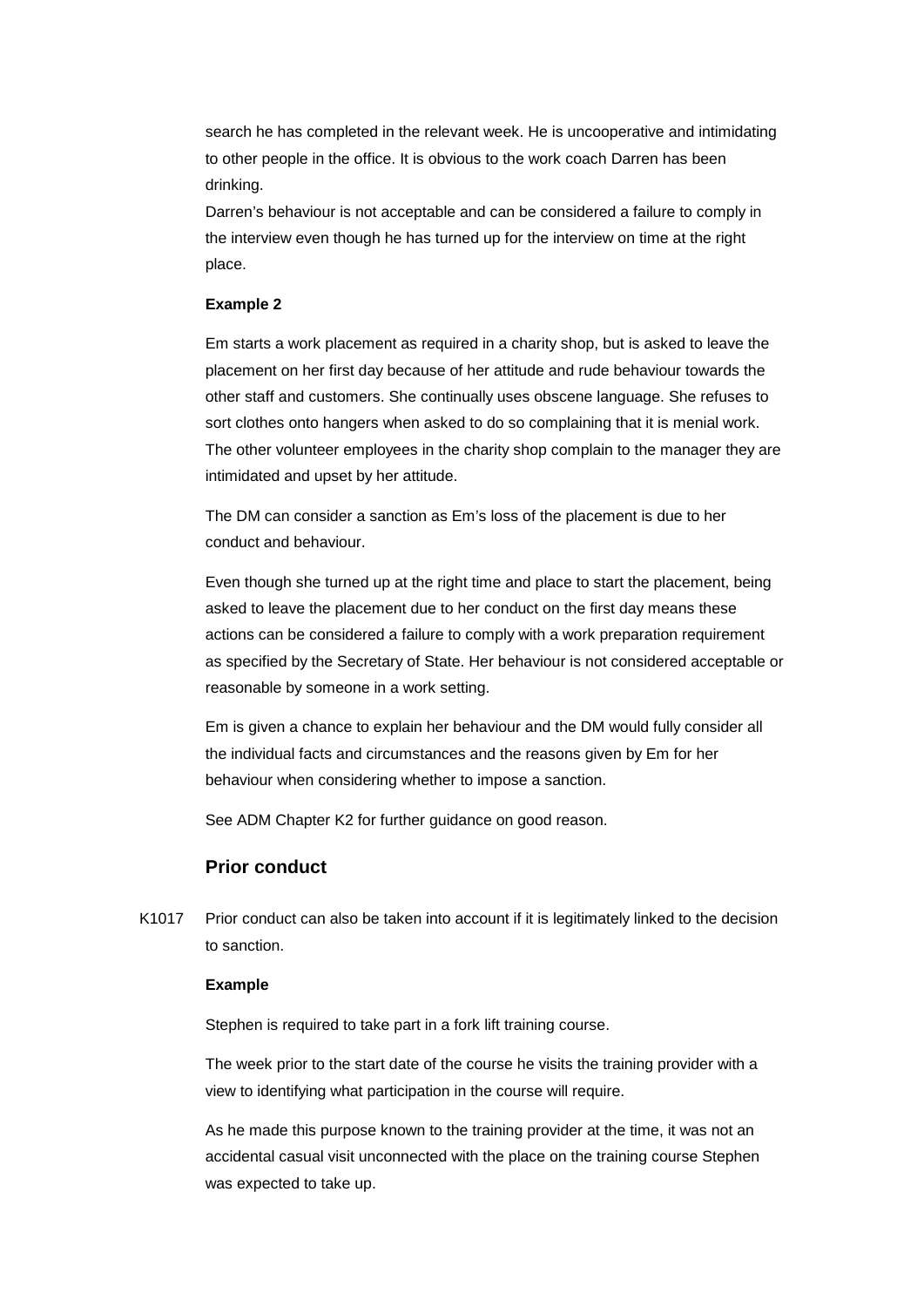search he has completed in the relevant week. He is uncooperative and intimidating to other people in the office. It is obvious to the work coach Darren has been drinking.

 place. Darren's behaviour is not acceptable and can be considered a failure to comply in the interview even though he has turned up for the interview on time at the right

#### **Example 2**

Em starts a work placement as required in a charity shop, but is asked to leave the placement on her first day because of her attitude and rude behaviour towards the other staff and customers. She continually uses obscene language. She refuses to sort clothes onto hangers when asked to do so complaining that it is menial work. The other volunteer employees in the charity shop complain to the manager they are intimidated and upset by her attitude.

The DM can consider a sanction as Em's loss of the placement is due to her conduct and behaviour.

Even though she turned up at the right time and place to start the placement, being asked to leave the placement due to her conduct on the first day means these actions can be considered a failure to comply with a work preparation requirement as specified by the Secretary of State. Her behaviour is not considered acceptable or reasonable by someone in a work setting.

Em is given a chance to explain her behaviour and the DM would fully consider all the individual facts and circumstances and the reasons given by Em for her behaviour when considering whether to impose a sanction.

See ADM Chapter K2 for further guidance on good reason.

#### **Prior conduct**

K1017 Prior conduct can also be taken into account if it is legitimately linked to the decision to sanction.

#### **Example**

Stephen is required to take part in a fork lift training course.

The week prior to the start date of the course he visits the training provider with a view to identifying what participation in the course will require.

As he made this purpose known to the training provider at the time, it was not an accidental casual visit unconnected with the place on the training course Stephen was expected to take up.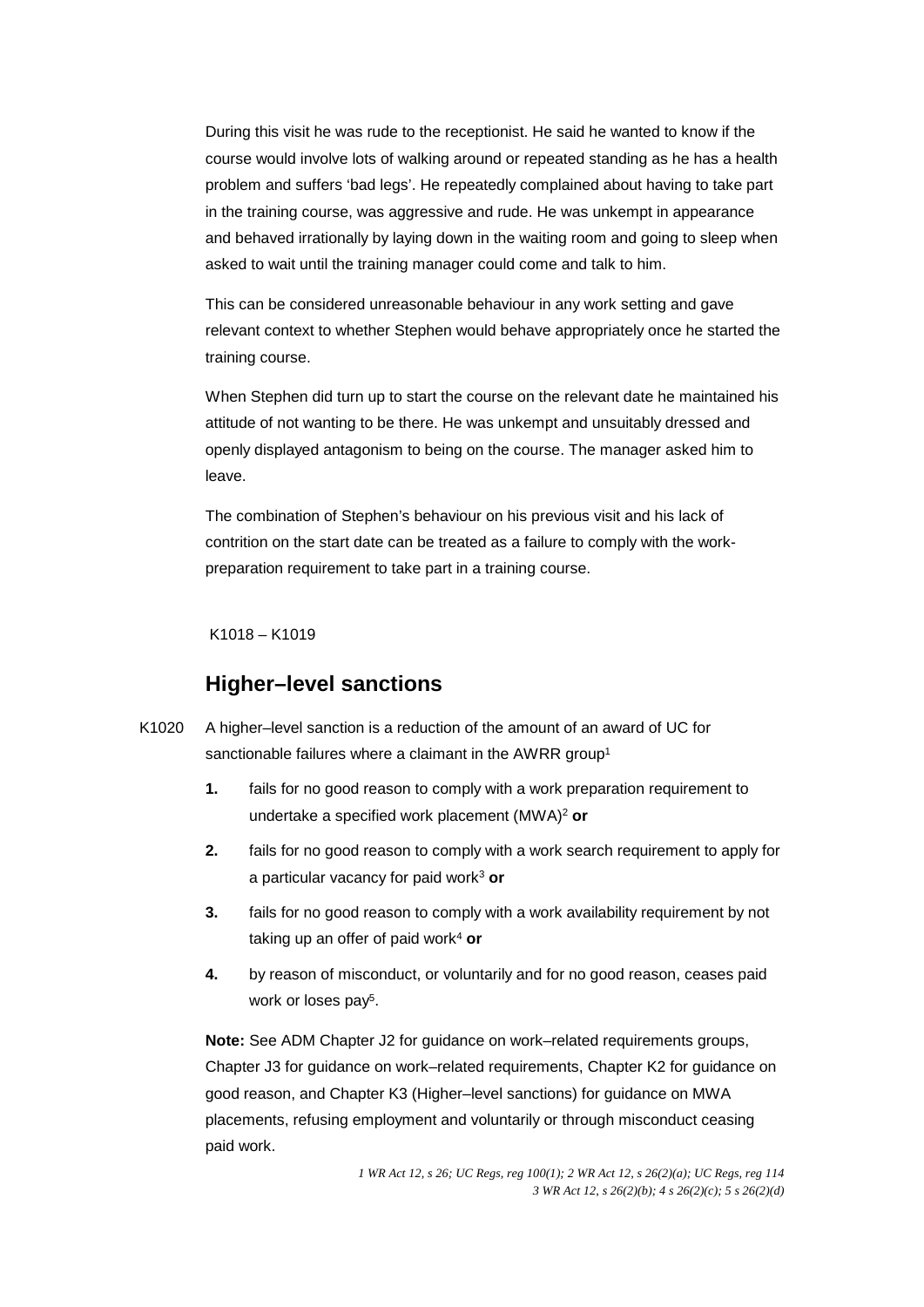During this visit he was rude to the receptionist. He said he wanted to know if the course would involve lots of walking around or repeated standing as he has a health problem and suffers 'bad legs'. He repeatedly complained about having to take part in the training course, was aggressive and rude. He was unkempt in appearance and behaved irrationally by laying down in the waiting room and going to sleep when asked to wait until the training manager could come and talk to him.

This can be considered unreasonable behaviour in any work setting and gave relevant context to whether Stephen would behave appropriately once he started the training course.

When Stephen did turn up to start the course on the relevant date he maintained his attitude of not wanting to be there. He was unkempt and unsuitably dressed and openly displayed antagonism to being on the course. The manager asked him to leave.

preparation requirement to take part in a training course.<br>K1018 – K1019 The combination of Stephen's behaviour on his previous visit and his lack of contrition on the start date can be treated as a failure to comply with the work-

# **Higher–level sanctions**

- sanctionable failures where a claimant in the AWRR group<sup>1</sup> K1020 A higher–level sanction is a reduction of the amount of an award of UC for
	- **1.** fails for no good reason to comply with a work preparation requirement to undertake a specified work placement (MWA)2 **or**
	- **2.** fails for no good reason to comply with a work search requirement to apply for a particular vacancy for paid work3 **or**
	- **3.** fails for no good reason to comply with a work availability requirement by not taking up an offer of paid work4 **or**
	- **4.** by reason of misconduct, or voluntarily and for no good reason, ceases paid work or loses pay<sup>5</sup>.

**Note:** See ADM Chapter J2 for guidance on work–related requirements groups, Chapter J3 for guidance on work–related requirements, Chapter K2 for guidance on good reason, and Chapter K3 (Higher–level sanctions) for guidance on MWA placements, refusing employment and voluntarily or through misconduct ceasing paid work.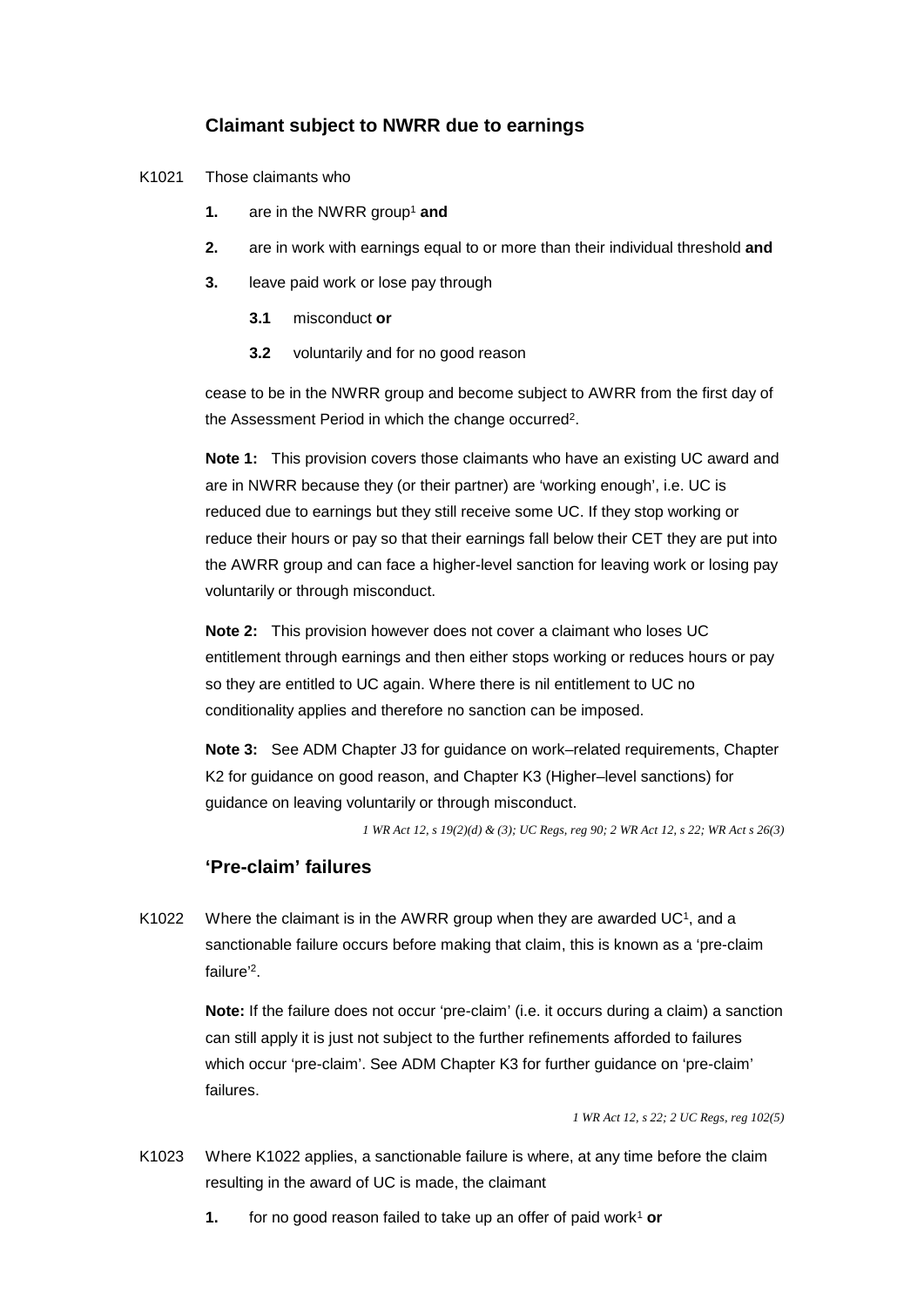### **Claimant subject to NWRR due to earnings**

- K1021 Those claimants who
	- **1.** are in the NWRR group<sup>1</sup> and
	- **2.** are in work with earnings equal to or more than their individual threshold **and**
	- **3.** leave paid work or lose pay through
		- misconduct or
		- **3.1 diffusion misconduct or 3.2 voluntarily and for no good reason**

cease to be in the NWRR group and become subject to AWRR from the first day of the Assessment Period in which the change occurred2.

**Note 1:** This provision covers those claimants who have an existing UC award and are in NWRR because they (or their partner) are 'working enough', i.e. UC is reduced due to earnings but they still receive some UC. If they stop working or reduce their hours or pay so that their earnings fall below their CET they are put into the AWRR group and can face a higher-level sanction for leaving work or losing pay voluntarily or through misconduct.

**Note 2:** This provision however does not cover a claimant who loses UC entitlement through earnings and then either stops working or reduces hours or pay so they are entitled to UC again. Where there is nil entitlement to UC no conditionality applies and therefore no sanction can be imposed.

**Note 3:** See ADM Chapter J3 for guidance on work–related requirements, Chapter K2 for guidance on good reason, and Chapter K3 (Higher–level sanctions) for guidance on leaving voluntarily or through misconduct.

*1 WR Act 12, s 19(2)(d) & (3); UC Regs, reg 90; 2 WR Act 12, s 22; WR Act s 26(3)* 

#### **'Pre-claim' failures**

K1022 Where the claimant is in the AWRR group when they are awarded  $UC<sup>1</sup>$ , and a sanctionable failure occurs before making that claim, this is known as a 'pre-claim failure' 2.

> **Note:** If the failure does not occur 'pre-claim' (i.e. it occurs during a claim) a sanction can still apply it is just not subject to the further refinements afforded to failures which occur 'pre-claim'. See ADM Chapter K3 for further guidance on 'pre-claim' failures.

> > *1 WR Act 12, s 22; 2 UC Regs, reg 102(5)*

- K1023 Where K1022 applies, a sanctionable failure is where, at any time before the claim resulting in the award of UC is made, the claimant
	- **1.** for no good reason failed to take up an offer of paid work<sup>1</sup> or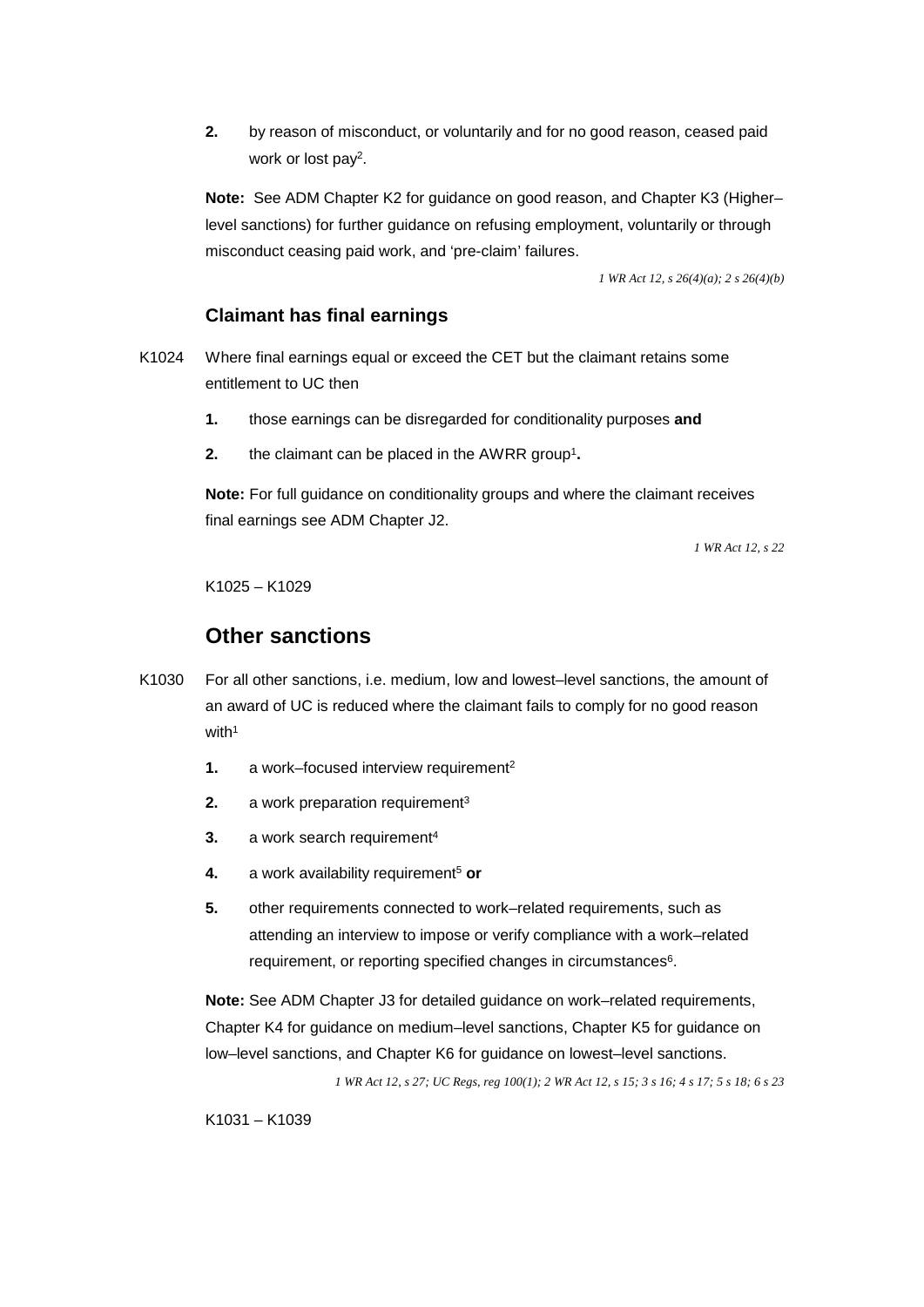**2.** by reason of misconduct, or voluntarily and for no good reason, ceased paid work or lost pay2.

 **Note:** See ADM Chapter K2 for guidance on good reason, and Chapter K3 (Higher– misconduct ceasing paid work, and 'pre-claim' failures. level sanctions) for further guidance on refusing employment, voluntarily or through

 *1 WR Act 12, s 26(4)(a); 2 s 26(4)(b)* 

### **Claimant has final earnings**

- K1024 Where final earnings equal or exceed the CET but the claimant retains some entitlement to UC then
	- those earnings can be disregarded for conditionality purposes and
	- **1.** those earnings can be disregarded for conditionality purposes the claimant can be placed in the AWRR group<sup>1</sup>.

**Note:** For full guidance on conditionality groups and where the claimant receives final earnings see ADM Chapter J2.

*1 WR Act 12, s 22* 

K1025 – K1029

# **Other sanctions**

- K1030 For all other sanctions, i.e. medium, low and lowest–level sanctions, the amount of an award of UC is reduced where the claimant fails to comply for no good reason with<sup>1</sup>
	- **1.** a work–focused interview requirement<sup>2</sup>
	- **2.** a work preparation requirement<sup>3</sup>
	- **3.** a work search requirement<sup>4</sup>
	- **4.** a work availability requirement<sup>5</sup> or
	- **5.** other requirements connected to work–related requirements, such as attending an interview to impose or verify compliance with a work–related requirement, or reporting specified changes in circumstances<sup>6</sup>.

**Note:** See ADM Chapter J3 for detailed guidance on work–related requirements, Chapter K4 for guidance on medium–level sanctions, Chapter K5 for guidance on low–level sanctions, and Chapter K6 for guidance on lowest–level sanctions.

*1 WR Act 12, s 27; UC Regs, reg 100(1); 2 WR Act 12, s 15; 3 s 16; 4 s 17; 5 s 18; 6 s 23* 

K1031 – K1039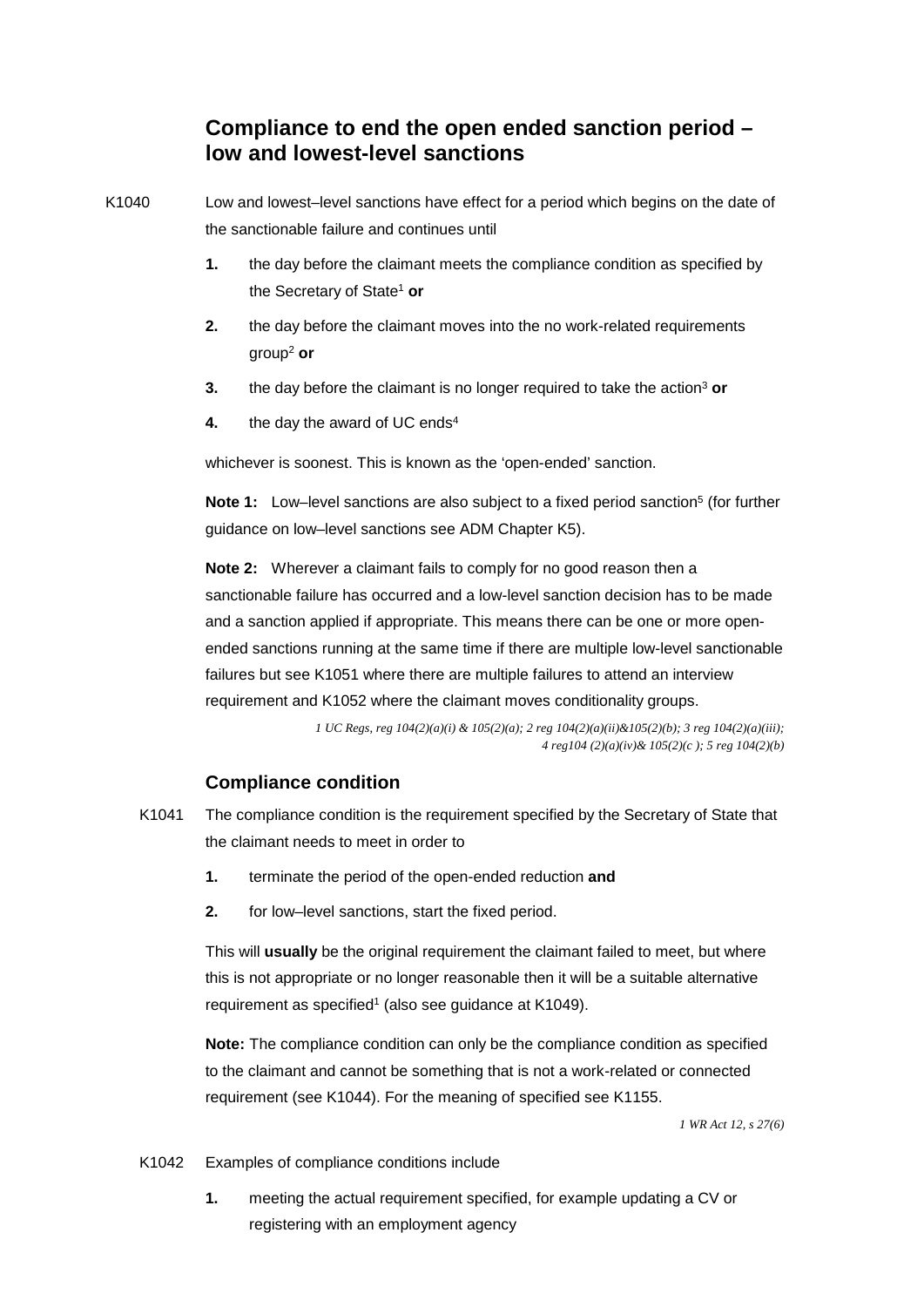# **low and lowest-level sanctions Compliance to end the open ended sanction period –**

K1040 Low and lowest–level sanctions have effect for a period which begins on the date of the sanctionable failure and continues until

- the Secretary of State1 **or 1.** the day before the claimant meets the compliance condition as specified by
- group2 **or 2.** the day before the claimant moves into the no work-related requirements
- **3.** the day before the claimant is no longer required to take the action<sup>3</sup> or
- **4.** the day the award of UC ends<sup>4</sup>

whichever is soonest. This is known as the 'open-ended' sanction.

**Note 1:** Low–level sanctions are also subject to a fixed period sanction<sup>5</sup> (for further guidance on low–level sanctions see ADM Chapter K5).

**Note 2:** Wherever a claimant fails to comply for no good reason then a sanctionable failure has occurred and a low-level sanction decision has to be made and a sanction applied if appropriate. This means there can be one or more openended sanctions running at the same time if there are multiple low-level sanctionable failures but see K1051 where there are multiple failures to attend an interview requirement and K1052 where the claimant moves conditionality groups.

> *1 UC Regs, reg 104(2)(a)(i) & 105(2)(a); 2 reg 104(2)(a)(ii)&105(2)(b); 3 reg 104(2)(a)(iii); 4 reg104 (2)(a)(iv)& 105(2)(c ); 5 reg 104(2)(b)*

#### **Compliance condition**

- the claimant needs to meet in order to K1041 The compliance condition is the requirement specified by the Secretary of State that
	- terminate the period of the open-ended reduction and **1.** terminate the period of the open-ended reduction **and 2.** for low–level sanctions, start the fixed period.
	-

This will **usually** be the original requirement the claimant failed to meet, but where this is not appropriate or no longer reasonable then it will be a suitable alternative requirement as specified<sup>1</sup> (also see guidance at K1049).

**Note:** The compliance condition can only be the compliance condition as specified to the claimant and cannot be something that is not a work-related or connected requirement (see K1044). For the meaning of specified see K1155.

*1 WR Act 12, s 27(6)* 

#### K1042 Examples of compliance conditions include

**1.** meeting the actual requirement specified, for example updating a CV or registering with an employment agency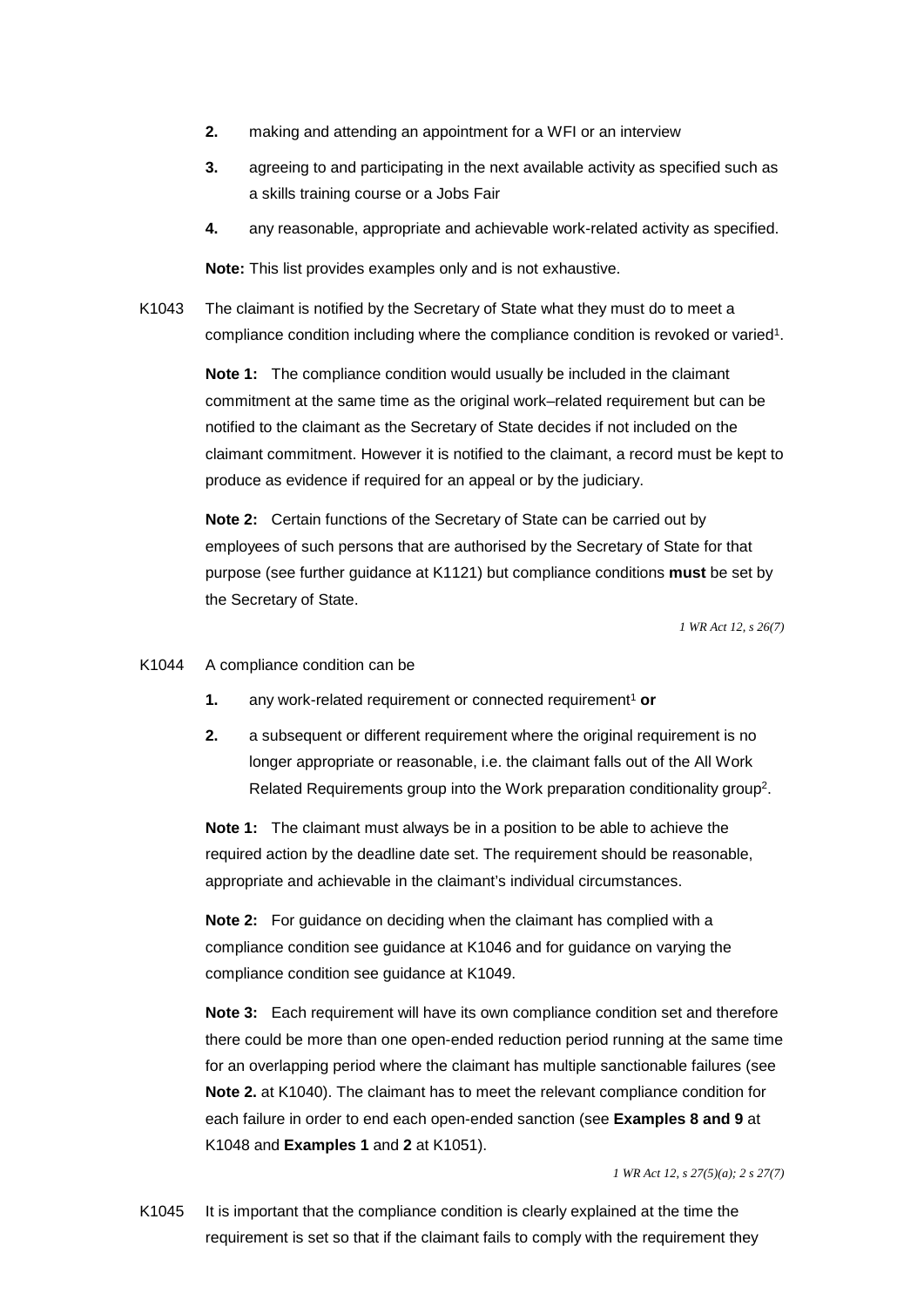- **2.** making and attending an appointment for a WFI or an interview
- a skills training course or a Jobs Fair **3.** agreeing to and participating in the next available activity as specified such as
- **4.** any reasonable, appropriate and achievable work-related activity as specified.

**Note:** This list provides examples only and is not exhaustive.

K1043 The claimant is notified by the Secretary of State what they must do to meet a compliance condition including where the compliance condition is revoked or varied1.

> **Note 1:** The compliance condition would usually be included in the claimant commitment at the same time as the original work–related requirement but can be notified to the claimant as the Secretary of State decides if not included on the claimant commitment. However it is notified to the claimant, a record must be kept to produce as evidence if required for an appeal or by the judiciary.

**Note 2:** Certain functions of the Secretary of State can be carried out by employees of such persons that are authorised by the Secretary of State for that purpose (see further guidance at K1121) but compliance conditions **must** be set by the Secretary of State.

*1 WR Act 12, s 26(7)* 

#### K1044 A compliance condition can be

- **1.** any work-related requirement or connected requirement<sup>1</sup> or
- **2.** a subsequent or different requirement where the original requirement is no longer appropriate or reasonable, i.e. the claimant falls out of the All Work Related Requirements group into the Work preparation conditionality group<sup>2</sup>.

**Note 1:** The claimant must always be in a position to be able to achieve the required action by the deadline date set. The requirement should be reasonable, appropriate and achievable in the claimant's individual circumstances.

**Note 2:** For guidance on deciding when the claimant has complied with a compliance condition see guidance at K1046 and for guidance on varying the compliance condition see guidance at K1049.

 each failure in order to end each open-ended sanction (see **Examples 8 and 9** at K1048 and **Examples 1** and **2** at K1051). **Note 3:** Each requirement will have its own compliance condition set and therefore there could be more than one open-ended reduction period running at the same time for an overlapping period where the claimant has multiple sanctionable failures (see **Note 2.** at K1040). The claimant has to meet the relevant compliance condition for

*1 WR Act 12, s 27(5)(a); 2 s 27(7)* 

K1045 It is important that the compliance condition is clearly explained at the time the requirement is set so that if the claimant fails to comply with the requirement they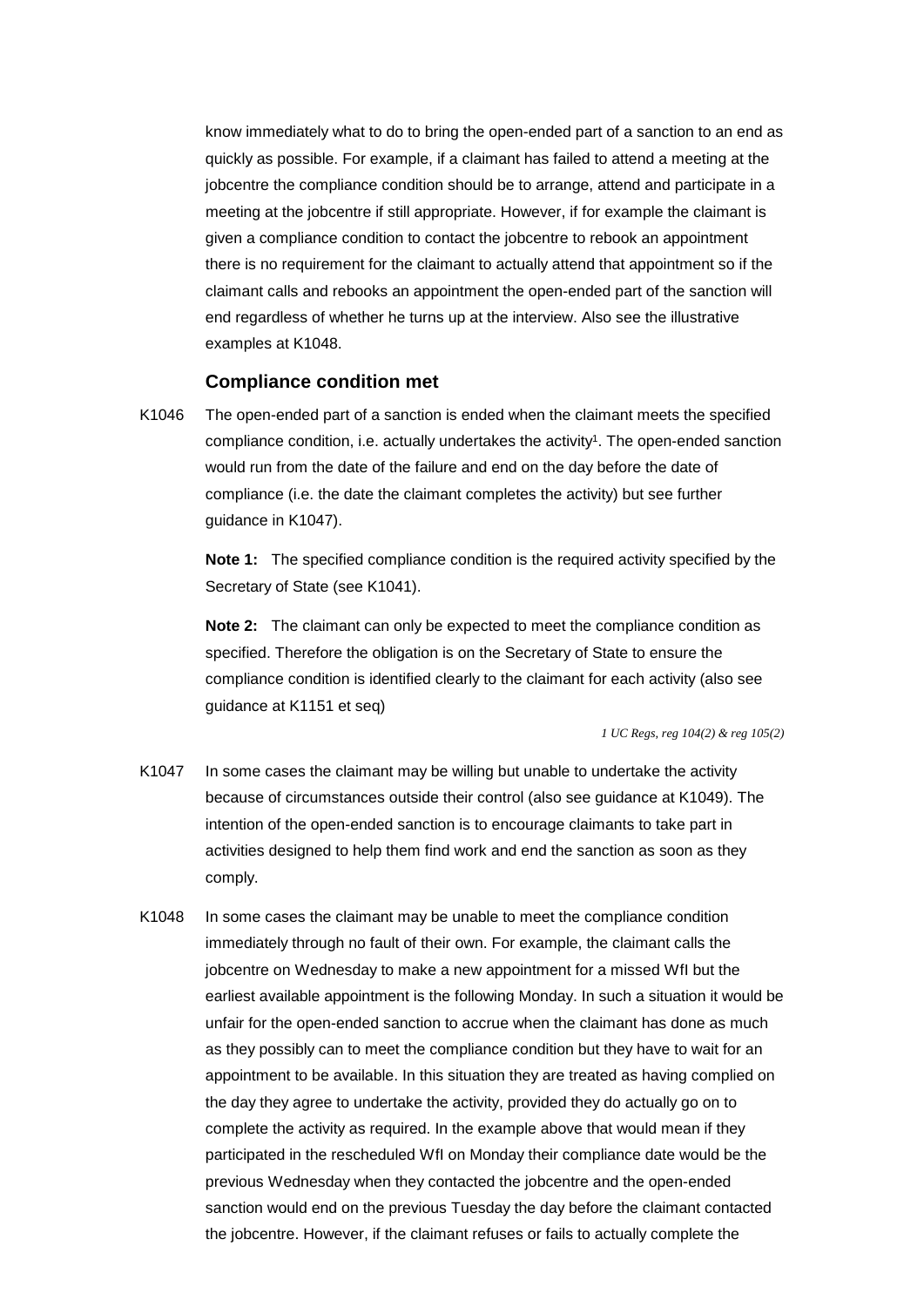examples at K1048. know immediately what to do to bring the open-ended part of a sanction to an end as quickly as possible. For example, if a claimant has failed to attend a meeting at the jobcentre the compliance condition should be to arrange, attend and participate in a meeting at the jobcentre if still appropriate. However, if for example the claimant is given a compliance condition to contact the jobcentre to rebook an appointment there is no requirement for the claimant to actually attend that appointment so if the claimant calls and rebooks an appointment the open-ended part of the sanction will end regardless of whether he turns up at the interview. Also see the illustrative

#### **Compliance condition met**

K1046 The open-ended part of a sanction is ended when the claimant meets the specified compliance condition, i.e. actually undertakes the activity<sup>1</sup>. The open-ended sanction would run from the date of the failure and end on the day before the date of compliance (i.e. the date the claimant completes the activity) but see further guidance in K1047).

> **Note 1:** The specified compliance condition is the required activity specified by the Secretary of State (see K1041).

 compliance condition is identified clearly to the claimant for each activity (also see **Note 2:** The claimant can only be expected to meet the compliance condition as specified. Therefore the obligation is on the Secretary of State to ensure the guidance at K1151 et seq)

*1 UC Regs, reg 104(2) & reg 105(2)* 

- K1047 In some cases the claimant may be willing but unable to undertake the activity because of circumstances outside their control (also see guidance at K1049). The intention of the open-ended sanction is to encourage claimants to take part in activities designed to help them find work and end the sanction as soon as they comply.
- K1048 In some cases the claimant may be unable to meet the compliance condition immediately through no fault of their own. For example, the claimant calls the jobcentre on Wednesday to make a new appointment for a missed WfI but the earliest available appointment is the following Monday. In such a situation it would be unfair for the open-ended sanction to accrue when the claimant has done as much as they possibly can to meet the compliance condition but they have to wait for an appointment to be available. In this situation they are treated as having complied on the day they agree to undertake the activity, provided they do actually go on to complete the activity as required. In the example above that would mean if they participated in the rescheduled WfI on Monday their compliance date would be the previous Wednesday when they contacted the jobcentre and the open-ended sanction would end on the previous Tuesday the day before the claimant contacted the jobcentre. However, if the claimant refuses or fails to actually complete the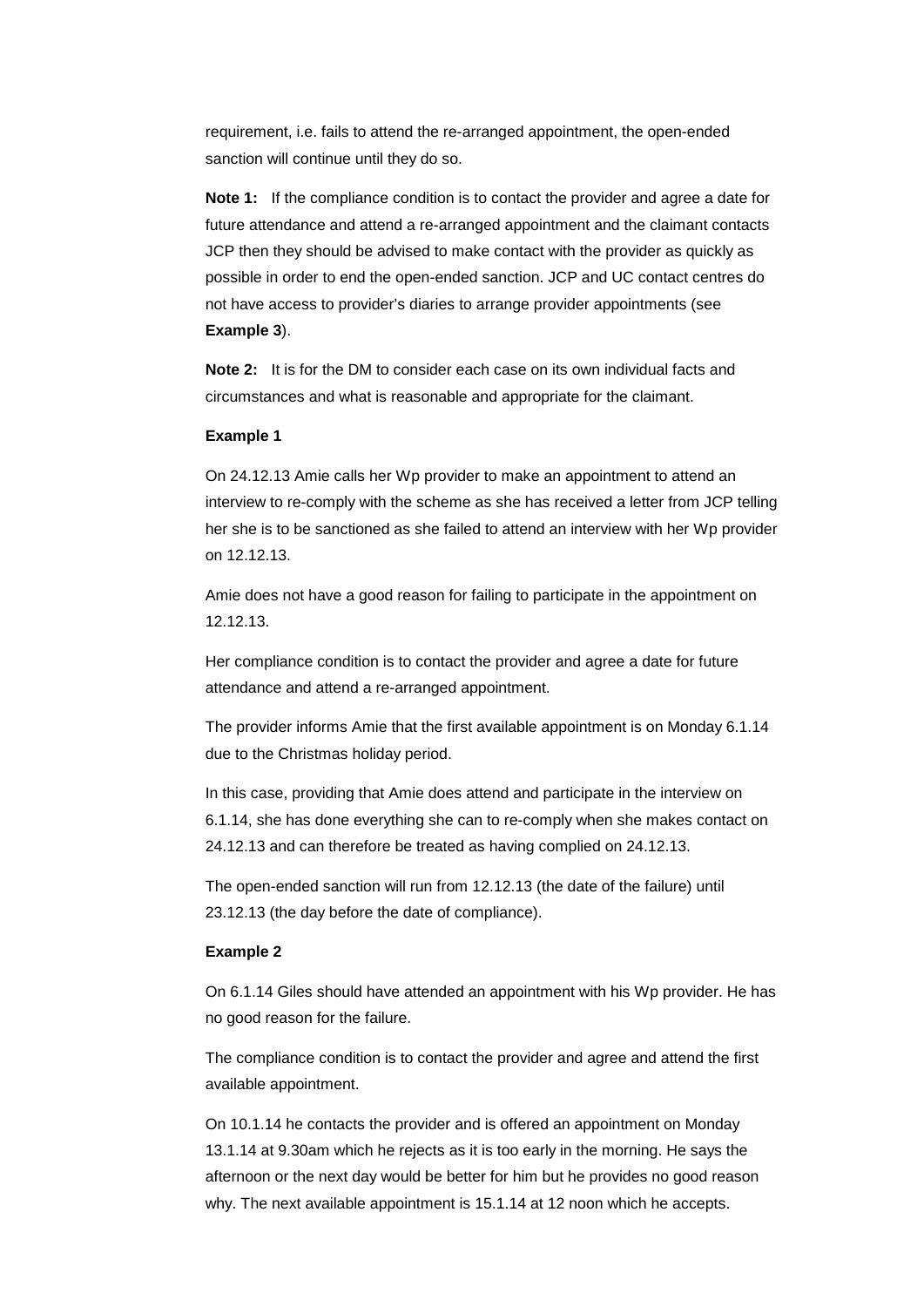requirement, i.e. fails to attend the re-arranged appointment, the open-ended sanction will continue until they do so.

**Note 1:** If the compliance condition is to contact the provider and agree a date for future attendance and attend a re-arranged appointment and the claimant contacts JCP then they should be advised to make contact with the provider as quickly as possible in order to end the open-ended sanction. JCP and UC contact centres do not have access to provider's diaries to arrange provider appointments (see **Example 3**).

**Note 2:** It is for the DM to consider each case on its own individual facts and circumstances and what is reasonable and appropriate for the claimant.

#### **Example 1**

On 24.12.13 Amie calls her Wp provider to make an appointment to attend an interview to re-comply with the scheme as she has received a letter from JCP telling her she is to be sanctioned as she failed to attend an interview with her Wp provider on 12.12.13.

Amie does not have a good reason for failing to participate in the appointment on 12.12.13.

Her compliance condition is to contact the provider and agree a date for future attendance and attend a re-arranged appointment.

The provider informs Amie that the first available appointment is on Monday 6.1.14 due to the Christmas holiday period.

In this case, providing that Amie does attend and participate in the interview on 6.1.14, she has done everything she can to re-comply when she makes contact on 24.12.13 and can therefore be treated as having complied on 24.12.13.

The open-ended sanction will run from 12.12.13 (the date of the failure) until 23.12.13 (the day before the date of compliance).

#### **Example 2**

On 6.1.14 Giles should have attended an appointment with his Wp provider. He has no good reason for the failure.

The compliance condition is to contact the provider and agree and attend the first available appointment.

On 10.1.14 he contacts the provider and is offered an appointment on Monday 13.1.14 at 9.30am which he rejects as it is too early in the morning. He says the afternoon or the next day would be better for him but he provides no good reason why. The next available appointment is 15.1.14 at 12 noon which he accepts.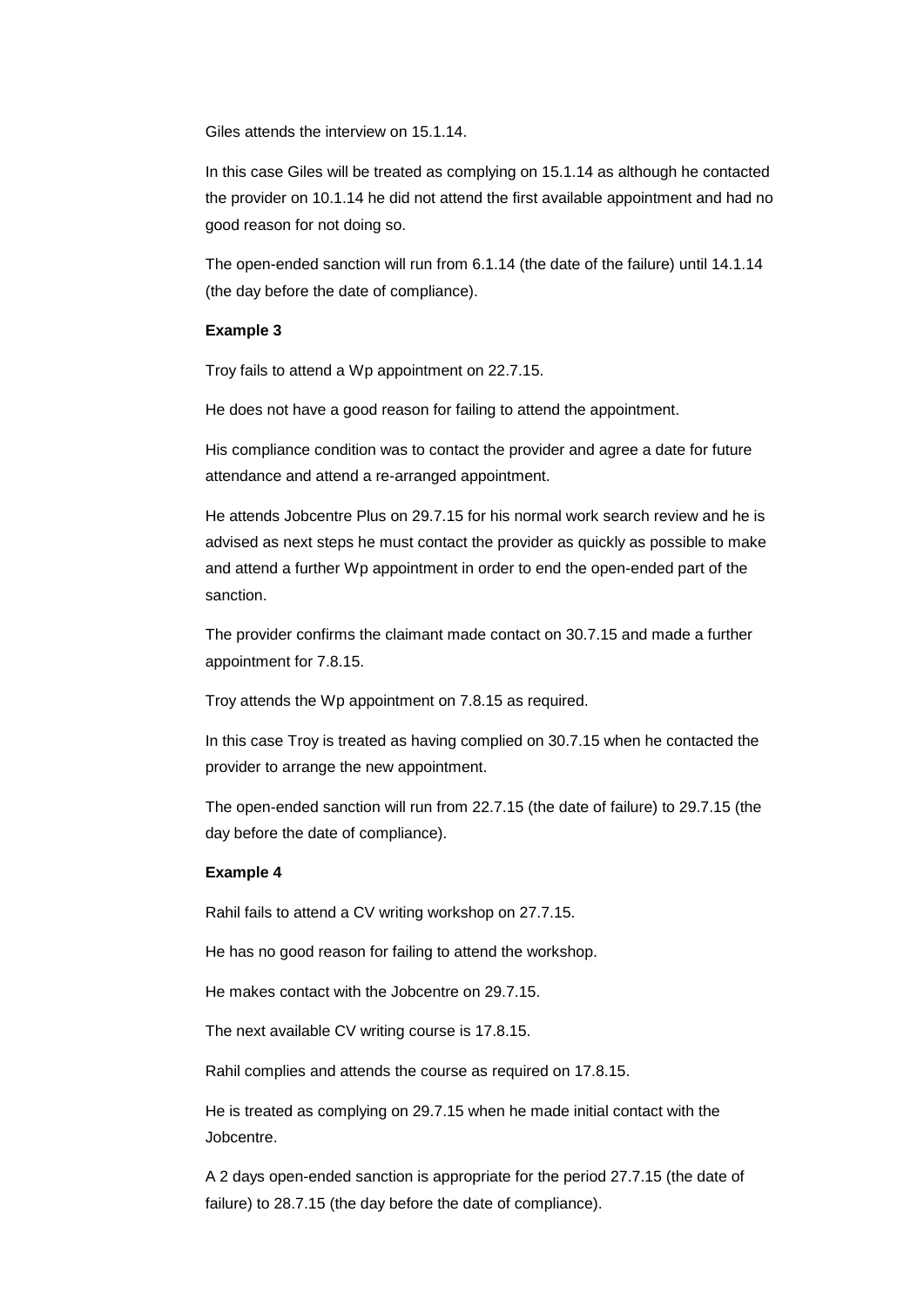Giles attends the interview on 15.1.14

In this case Giles will be treated as complying on 15.1.14 as although he contacted the provider on 10.1.14 he did not attend the first available appointment and had no good reason for not doing so.

The open-ended sanction will run from 6.1.14 (the date of the failure) until 14.1.14 (the day before the date of compliance).

#### **Example 3**

Troy fails to attend a Wp appointment on 22.7.15.

He does not have a good reason for failing to attend the appointment.

His compliance condition was to contact the provider and agree a date for future attendance and attend a re-arranged appointment.

He attends Jobcentre Plus on 29.7.15 for his normal work search review and he is advised as next steps he must contact the provider as quickly as possible to make and attend a further Wp appointment in order to end the open-ended part of the sanction.

The provider confirms the claimant made contact on 30.7.15 and made a further appointment for 7.8.15.

Troy attends the Wp appointment on 7.8.15 as required.

In this case Troy is treated as having complied on 30.7.15 when he contacted the provider to arrange the new appointment.

The open-ended sanction will run from 22.7.15 (the date of failure) to 29.7.15 (the day before the date of compliance).

#### **Example 4**

Rahil fails to attend a CV writing workshop on 27.7.15.

He has no good reason for failing to attend the workshop.

He makes contact with the Jobcentre on 29.7.15.

The next available CV writing course is 17.8.15.

Rahil complies and attends the course as required on 17.8.15.

He is treated as complying on 29.7.15 when he made initial contact with the Jobcentre.

A 2 days open-ended sanction is appropriate for the period 27.7.15 (the date of failure) to 28.7.15 (the day before the date of compliance).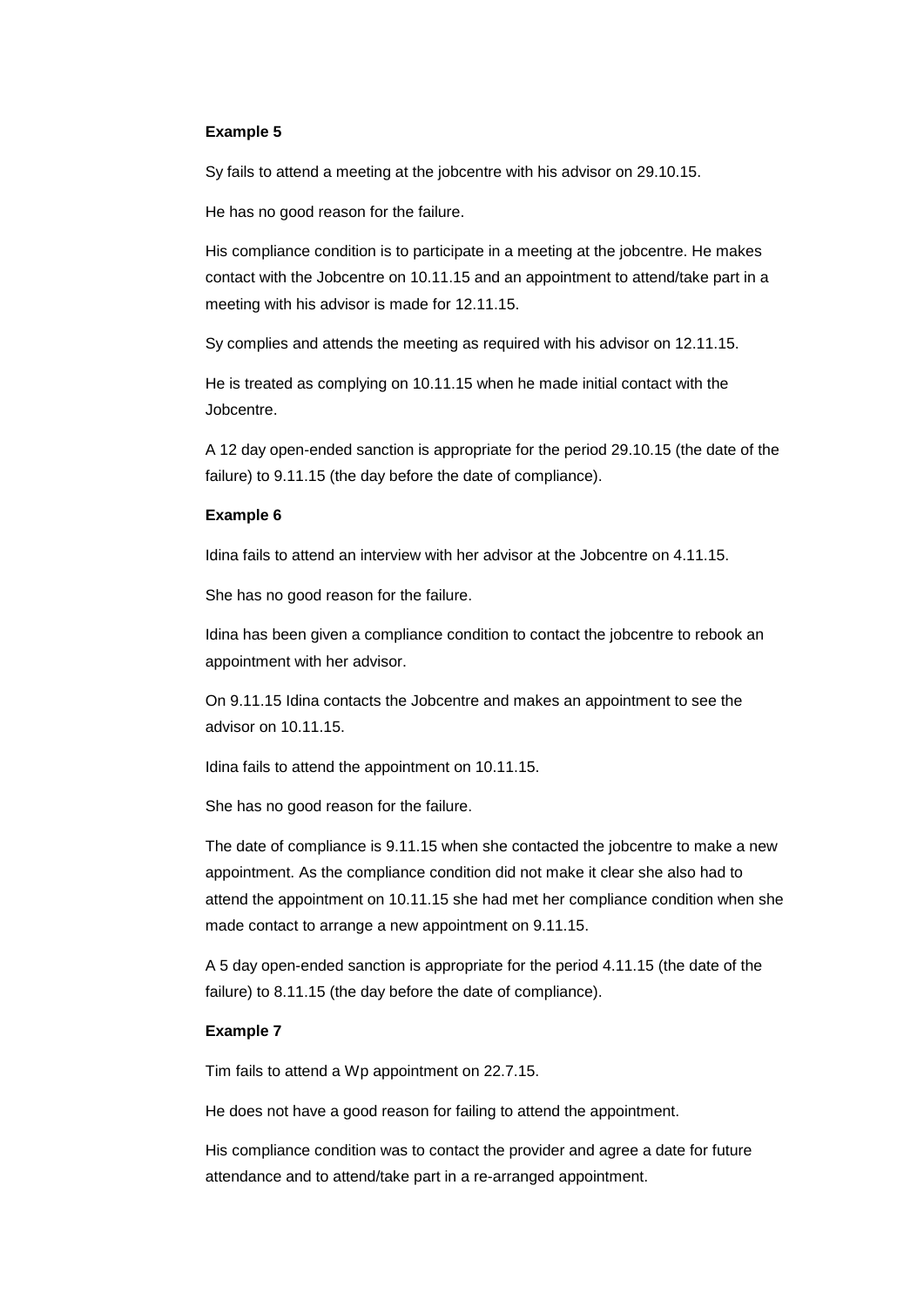#### **Example 5**

Sy fails to attend a meeting at the jobcentre with his advisor on 29.10.15.

He has no good reason for the failure.

His compliance condition is to participate in a meeting at the jobcentre. He makes contact with the Jobcentre on 10.11.15 and an appointment to attend/take part in a meeting with his advisor is made for 12.11.15.

Sy complies and attends the meeting as required with his advisor on 12.11.15.

He is treated as complying on 10.11.15 when he made initial contact with the Jobcentre.

A 12 day open-ended sanction is appropriate for the period 29.10.15 (the date of the failure) to 9.11.15 (the day before the date of compliance).

#### **Example 6**

Idina fails to attend an interview with her advisor at the Jobcentre on 4.11.15.

She has no good reason for the failure.

Idina has been given a compliance condition to contact the jobcentre to rebook an appointment with her advisor.

On 9.11.15 Idina contacts the Jobcentre and makes an appointment to see the advisor on 10.11.15.

Idina fails to attend the appointment on 10.11.15.

She has no good reason for the failure.

The date of compliance is 9.11.15 when she contacted the jobcentre to make a new appointment. As the compliance condition did not make it clear she also had to attend the appointment on 10.11.15 she had met her compliance condition when she made contact to arrange a new appointment on 9.11.15.

A 5 day open-ended sanction is appropriate for the period 4.11.15 (the date of the failure) to 8.11.15 (the day before the date of compliance).

#### **Example 7**

Tim fails to attend a Wp appointment on 22.7.15.

He does not have a good reason for failing to attend the appointment.

His compliance condition was to contact the provider and agree a date for future attendance and to attend/take part in a re-arranged appointment.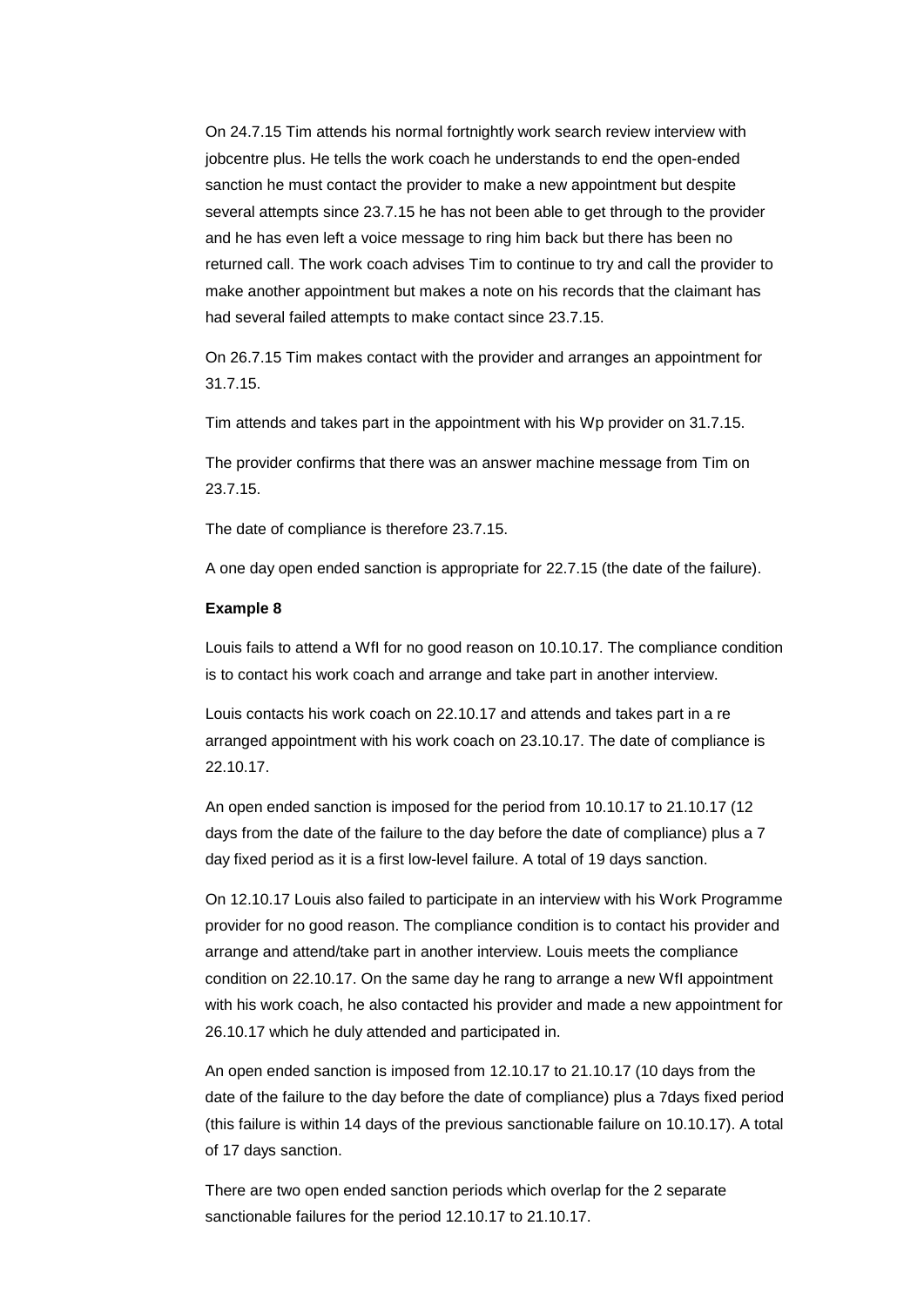On 24.7.15 Tim attends his normal fortnightly work search review interview with jobcentre plus. He tells the work coach he understands to end the open-ended sanction he must contact the provider to make a new appointment but despite several attempts since 23.7.15 he has not been able to get through to the provider and he has even left a voice message to ring him back but there has been no returned call. The work coach advises Tim to continue to try and call the provider to make another appointment but makes a note on his records that the claimant has had several failed attempts to make contact since 23.7.15.

On 26.7.15 Tim makes contact with the provider and arranges an appointment for 31.7.15.

Tim attends and takes part in the appointment with his Wp provider on 31.7.15.

The provider confirms that there was an answer machine message from Tim on 23.7.15.

The date of compliance is therefore 23.7.15.

A one day open ended sanction is appropriate for 22.7.15 (the date of the failure).

#### **Example 8**

 is to contact his work coach and arrange and take part in another interview. Louis fails to attend a WfI for no good reason on 10.10.17. The compliance condition

Louis contacts his work coach on 22.10.17 and attends and takes part in a re arranged appointment with his work coach on 23.10.17. The date of compliance is 22.10.17.

 day fixed period as it is a first low-level failure. A total of 19 days sanction. An open ended sanction is imposed for the period from 10.10.17 to 21.10.17 (12 days from the date of the failure to the day before the date of compliance) plus a 7

On 12.10.17 Louis also failed to participate in an interview with his Work Programme provider for no good reason. The compliance condition is to contact his provider and arrange and attend/take part in another interview. Louis meets the compliance condition on 22.10.17. On the same day he rang to arrange a new WfI appointment with his work coach, he also contacted his provider and made a new appointment for 26.10.17 which he duly attended and participated in.

 An open ended sanction is imposed from 12.10.17 to 21.10.17 (10 days from the (this failure is within 14 days of the previous sanctionable failure on 10.10.17). A total of 17 days sanction. date of the failure to the day before the date of compliance) plus a 7days fixed period

There are two open ended sanction periods which overlap for the 2 separate sanctionable failures for the period 12.10.17 to 21.10.17.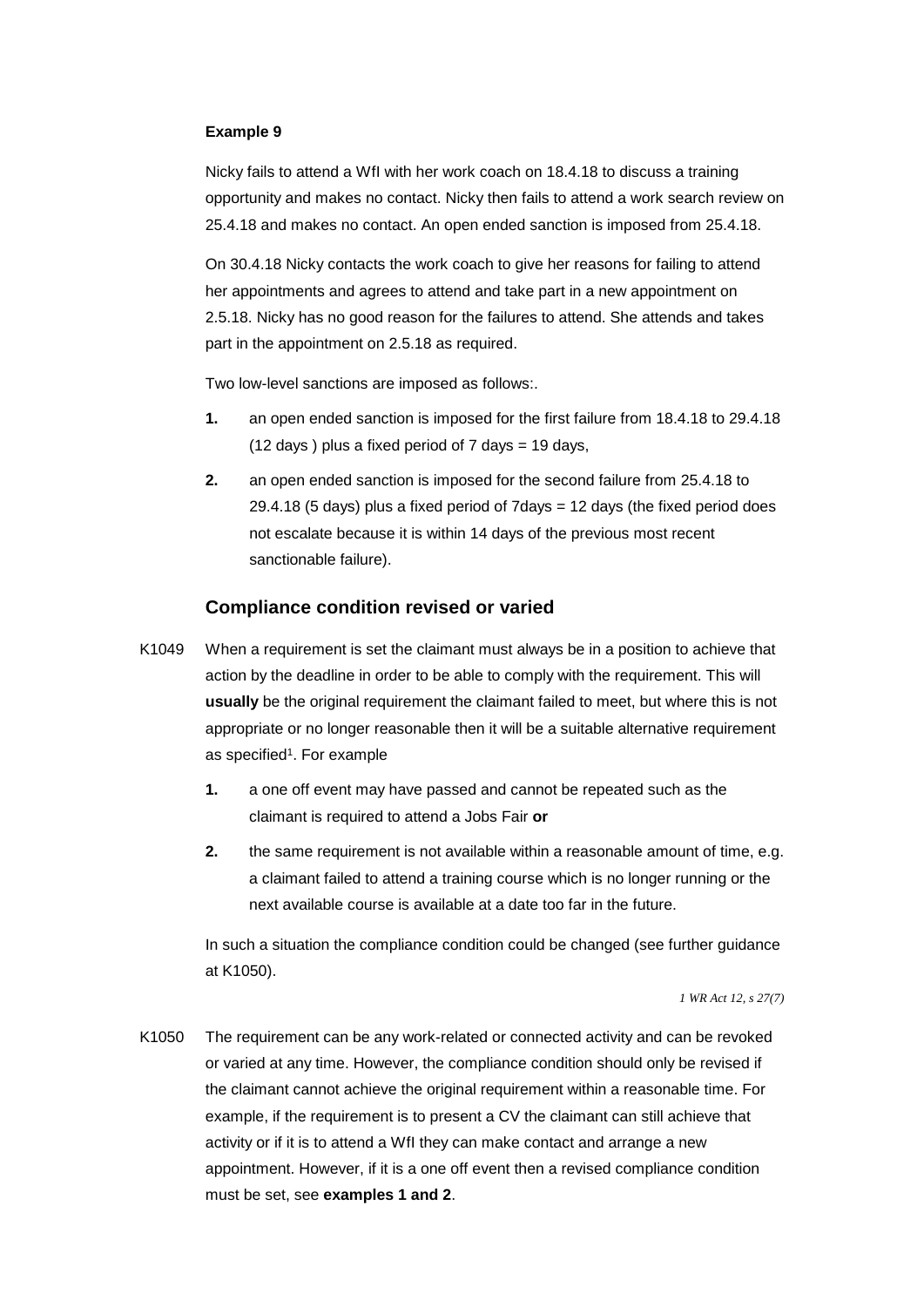#### **Example 9**

Nicky fails to attend a WfI with her work coach on 18.4.18 to discuss a training opportunity and makes no contact. Nicky then fails to attend a work search review on 25.4.18 and makes no contact. An open ended sanction is imposed from 25.4.18.

On 30.4.18 Nicky contacts the work coach to give her reasons for failing to attend her appointments and agrees to attend and take part in a new appointment on 2.5.18. Nicky has no good reason for the failures to attend. She attends and takes part in the appointment on 2.5.18 as required.

Two low-level sanctions are imposed as follows:.

- (12 days ) plus a fixed period of 7 days = 19 days, **1.** an open ended sanction is imposed for the first failure from 18.4.18 to 29.4.18
- **2.** an open ended sanction is imposed for the second failure from 25.4.18 to  $29.4.18$  (5 days) plus a fixed period of  $7$ days = 12 days (the fixed period does not escalate because it is within 14 days of the previous most recent sanctionable failure).

#### **Compliance condition revised or varied**

- K1049 When a requirement is set the claimant must always be in a position to achieve that action by the deadline in order to be able to comply with the requirement. This will **usually** be the original requirement the claimant failed to meet, but where this is not appropriate or no longer reasonable then it will be a suitable alternative requirement as specified<sup>1</sup>. For example
	- **1.** a one off event may have passed and cannot be repeated such as the claimant is required to attend a Jobs Fair **or**
	- **2.** the same requirement is not available within a reasonable amount of time, e.g. a claimant failed to attend a training course which is no longer running or the next available course is available at a date too far in the future.

In such a situation the compliance condition could be changed (see further guidance at K1050).

*1 WR Act 12, s 27(7)* 

K1050 The requirement can be any work-related or connected activity and can be revoked or varied at any time. However, the compliance condition should only be revised if the claimant cannot achieve the original requirement within a reasonable time. For example, if the requirement is to present a CV the claimant can still achieve that activity or if it is to attend a WfI they can make contact and arrange a new appointment. However, if it is a one off event then a revised compliance condition must be set, see **examples 1 and 2**.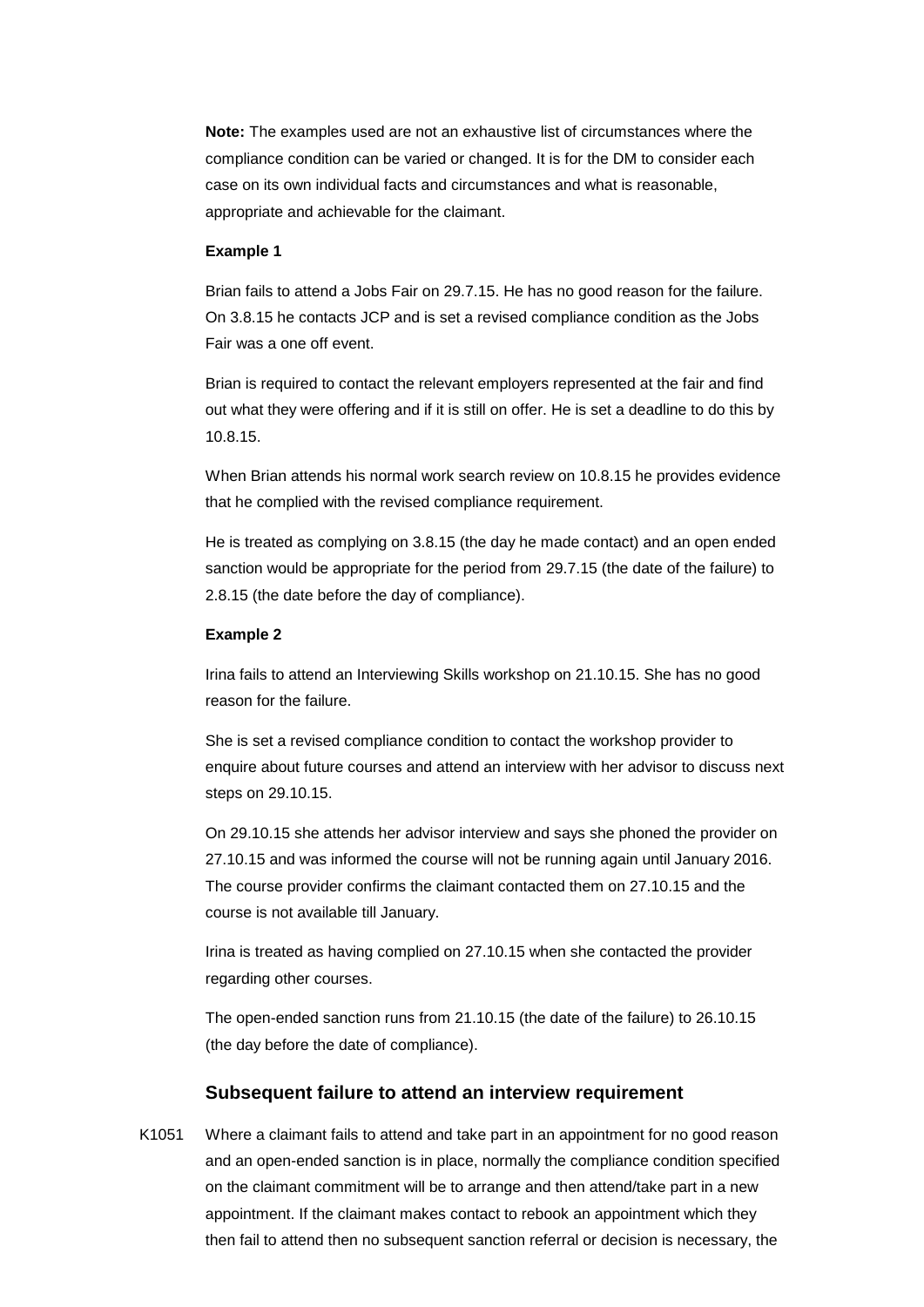**Note:** The examples used are not an exhaustive list of circumstances where the compliance condition can be varied or changed. It is for the DM to consider each case on its own individual facts and circumstances and what is reasonable, appropriate and achievable for the claimant.

#### **Example 1**

Brian fails to attend a Jobs Fair on 29.7.15. He has no good reason for the failure. On 3.8.15 he contacts JCP and is set a revised compliance condition as the Jobs Fair was a one off event.

Brian is required to contact the relevant employers represented at the fair and find out what they were offering and if it is still on offer. He is set a deadline to do this by 10.8.15.

When Brian attends his normal work search review on 10.8.15 he provides evidence that he complied with the revised compliance requirement.

He is treated as complying on 3.8.15 (the day he made contact) and an open ended sanction would be appropriate for the period from 29.7.15 (the date of the failure) to 2.8.15 (the date before the day of compliance).

#### **Example 2**

Irina fails to attend an Interviewing Skills workshop on 21.10.15. She has no good reason for the failure.

She is set a revised compliance condition to contact the workshop provider to enquire about future courses and attend an interview with her advisor to discuss next steps on 29.10.15.

On 29.10.15 she attends her advisor interview and says she phoned the provider on 27.10.15 and was informed the course will not be running again until January 2016. The course provider confirms the claimant contacted them on 27.10.15 and the course is not available till January.

Irina is treated as having complied on 27.10.15 when she contacted the provider regarding other courses.

The open-ended sanction runs from 21.10.15 (the date of the failure) to 26.10.15 (the day before the date of compliance).

#### **Subsequent failure to attend an interview requirement**

K1051 Where a claimant fails to attend and take part in an appointment for no good reason and an open-ended sanction is in place, normally the compliance condition specified on the claimant commitment will be to arrange and then attend/take part in a new appointment. If the claimant makes contact to rebook an appointment which they then fail to attend then no subsequent sanction referral or decision is necessary, the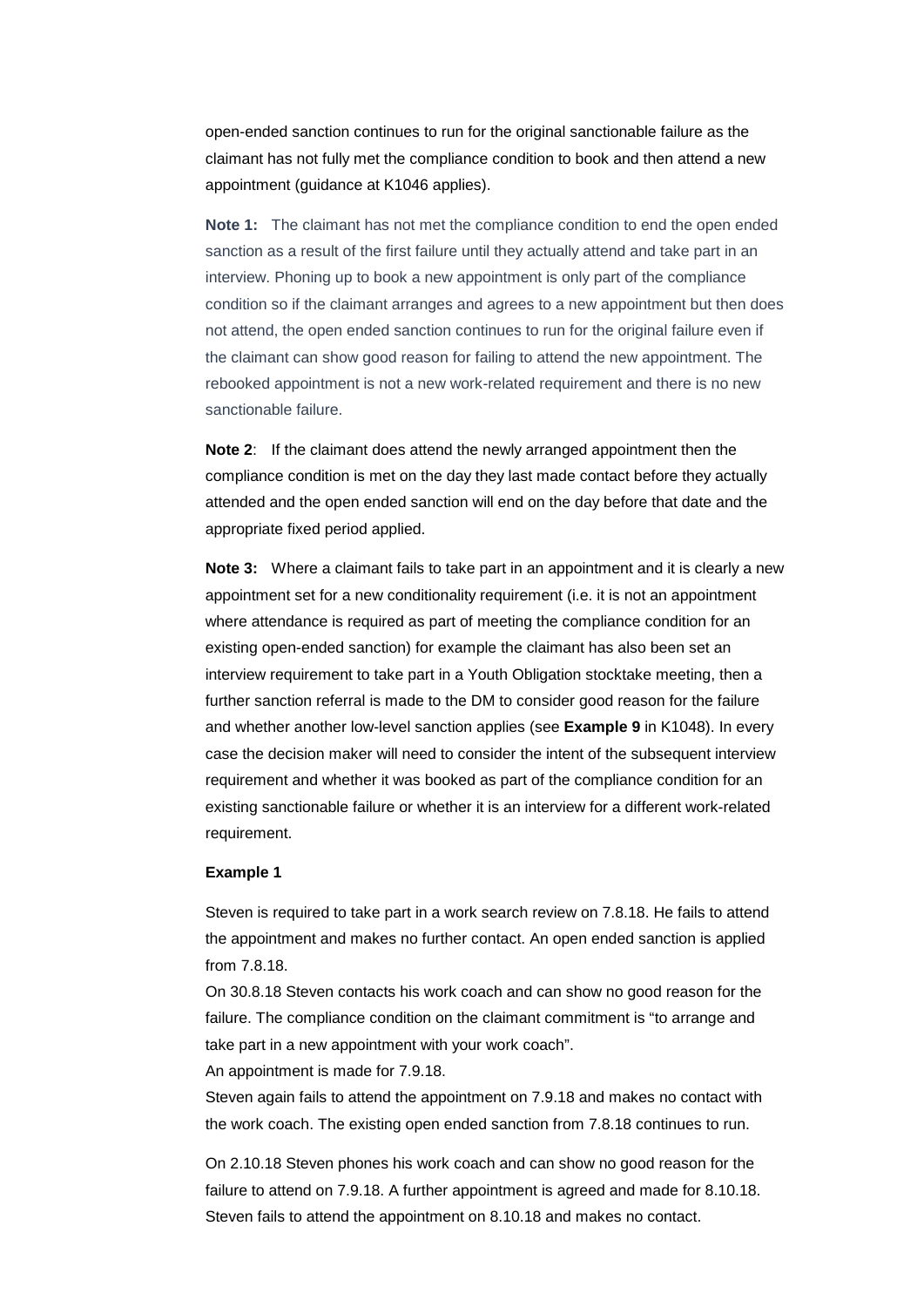appointment (guidance at K1046 applies). open-ended sanction continues to run for the original sanctionable failure as the claimant has not fully met the compliance condition to book and then attend a new

**Note 1:** The claimant has not met the compliance condition to end the open ended sanction as a result of the first failure until they actually attend and take part in an interview. Phoning up to book a new appointment is only part of the compliance condition so if the claimant arranges and agrees to a new appointment but then does not attend, the open ended sanction continues to run for the original failure even if the claimant can show good reason for failing to attend the new appointment. The rebooked appointment is not a new work-related requirement and there is no new sanctionable failure.

**Note 2**: If the claimant does attend the newly arranged appointment then the compliance condition is met on the day they last made contact before they actually attended and the open ended sanction will end on the day before that date and the appropriate fixed period applied.

 and whether another low-level sanction applies (see **Example 9** in K1048). In every **Note 3:** Where a claimant fails to take part in an appointment and it is clearly a new appointment set for a new conditionality requirement (i.e. it is not an appointment where attendance is required as part of meeting the compliance condition for an existing open-ended sanction) for example the claimant has also been set an interview requirement to take part in a Youth Obligation stocktake meeting, then a further sanction referral is made to the DM to consider good reason for the failure case the decision maker will need to consider the intent of the subsequent interview requirement and whether it was booked as part of the compliance condition for an existing sanctionable failure or whether it is an interview for a different work-related requirement.

#### **Example 1**

Steven is required to take part in a work search review on 7.8.18. He fails to attend the appointment and makes no further contact. An open ended sanction is applied from 7.8.18.

On 30.8.18 Steven contacts his work coach and can show no good reason for the failure. The compliance condition on the claimant commitment is "to arrange and take part in a new appointment with your work coach".

An appointment is made for 7.9.18.

Steven again fails to attend the appointment on 7.9.18 and makes no contact with the work coach. The existing open ended sanction from 7.8.18 continues to run.

On 2.10.18 Steven phones his work coach and can show no good reason for the failure to attend on 7.9.18. A further appointment is agreed and made for 8.10.18. Steven fails to attend the appointment on 8.10.18 and makes no contact.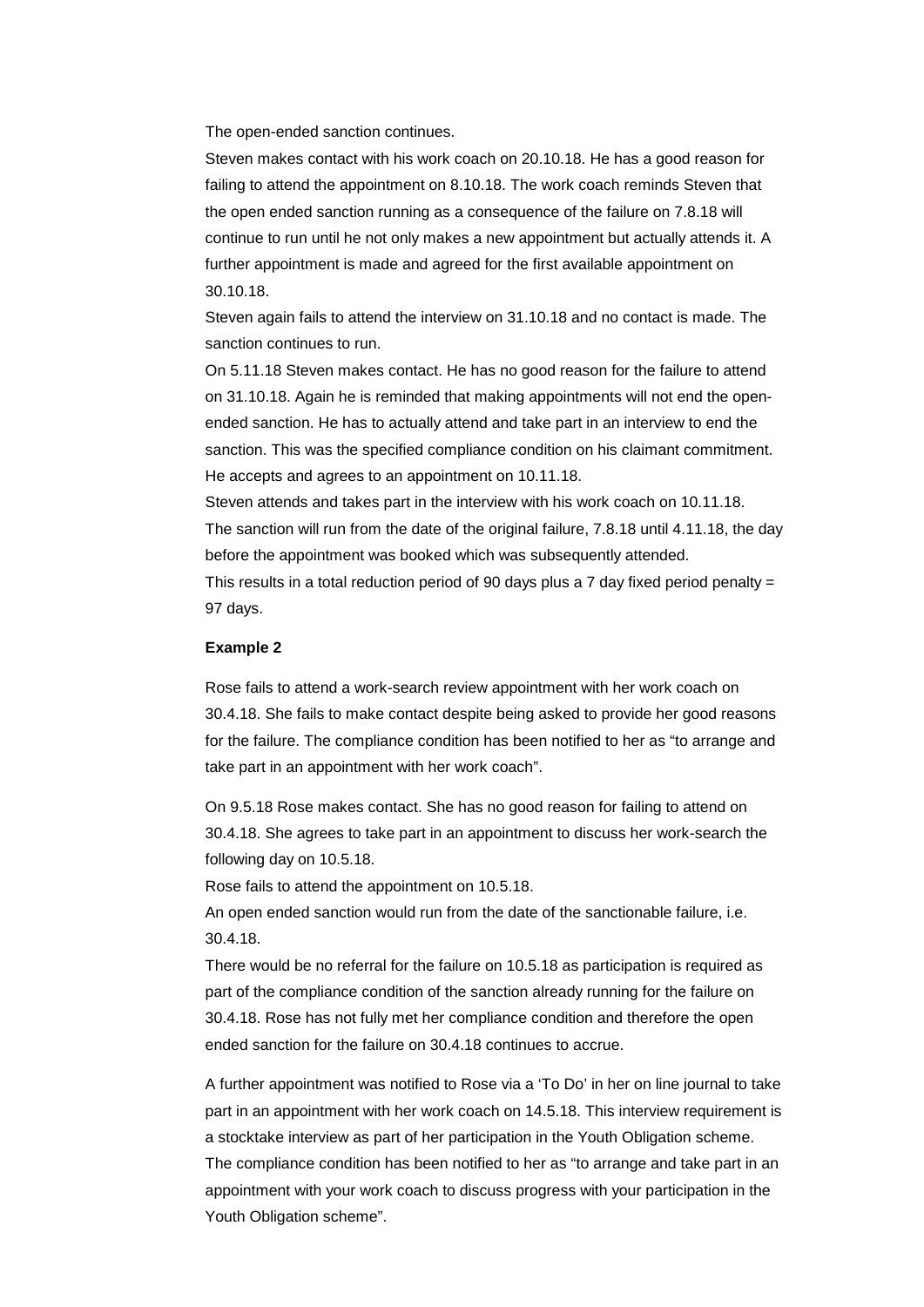The open-ended sanction continues.

Steven makes contact with his work coach on 20.10.18. He has a good reason for failing to attend the appointment on 8.10.18. The work coach reminds Steven that the open ended sanction running as a consequence of the failure on 7.8.18 will continue to run until he not only makes a new appointment but actually attends it. A further appointment is made and agreed for the first available appointment on 30.10.18.

Steven again fails to attend the interview on 31.10.18 and no contact is made. The sanction continues to run.

On 5.11.18 Steven makes contact. He has no good reason for the failure to attend on 31.10.18. Again he is reminded that making appointments will not end the openended sanction. He has to actually attend and take part in an interview to end the sanction. This was the specified compliance condition on his claimant commitment. He accepts and agrees to an appointment on 10.11.18.

Steven attends and takes part in the interview with his work coach on 10.11.18. The sanction will run from the date of the original failure, 7.8.18 until 4.11.18, the day before the appointment was booked which was subsequently attended.

This results in a total reduction period of 90 days plus a 7 day fixed period penalty = 97 days.

#### **Example 2**

Rose fails to attend a work-search review appointment with her work coach on 30.4.18. She fails to make contact despite being asked to provide her good reasons for the failure. The compliance condition has been notified to her as "to arrange and take part in an appointment with her work coach".

 following day on 10.5.18. On 9.5.18 Rose makes contact. She has no good reason for failing to attend on 30.4.18. She agrees to take part in an appointment to discuss her work-search the

Rose fails to attend the appointment on 10.5.18.

An open ended sanction would run from the date of the sanctionable failure, i.e. 30.4.18.

There would be no referral for the failure on 10.5.18 as participation is required as part of the compliance condition of the sanction already running for the failure on 30.4.18. Rose has not fully met her compliance condition and therefore the open ended sanction for the failure on 30.4.18 continues to accrue.

 a stocktake interview as part of her participation in the Youth Obligation scheme. A further appointment was notified to Rose via a 'To Do' in her on line journal to take part in an appointment with her work coach on 14.5.18. This interview requirement is The compliance condition has been notified to her as "to arrange and take part in an appointment with your work coach to discuss progress with your participation in the Youth Obligation scheme".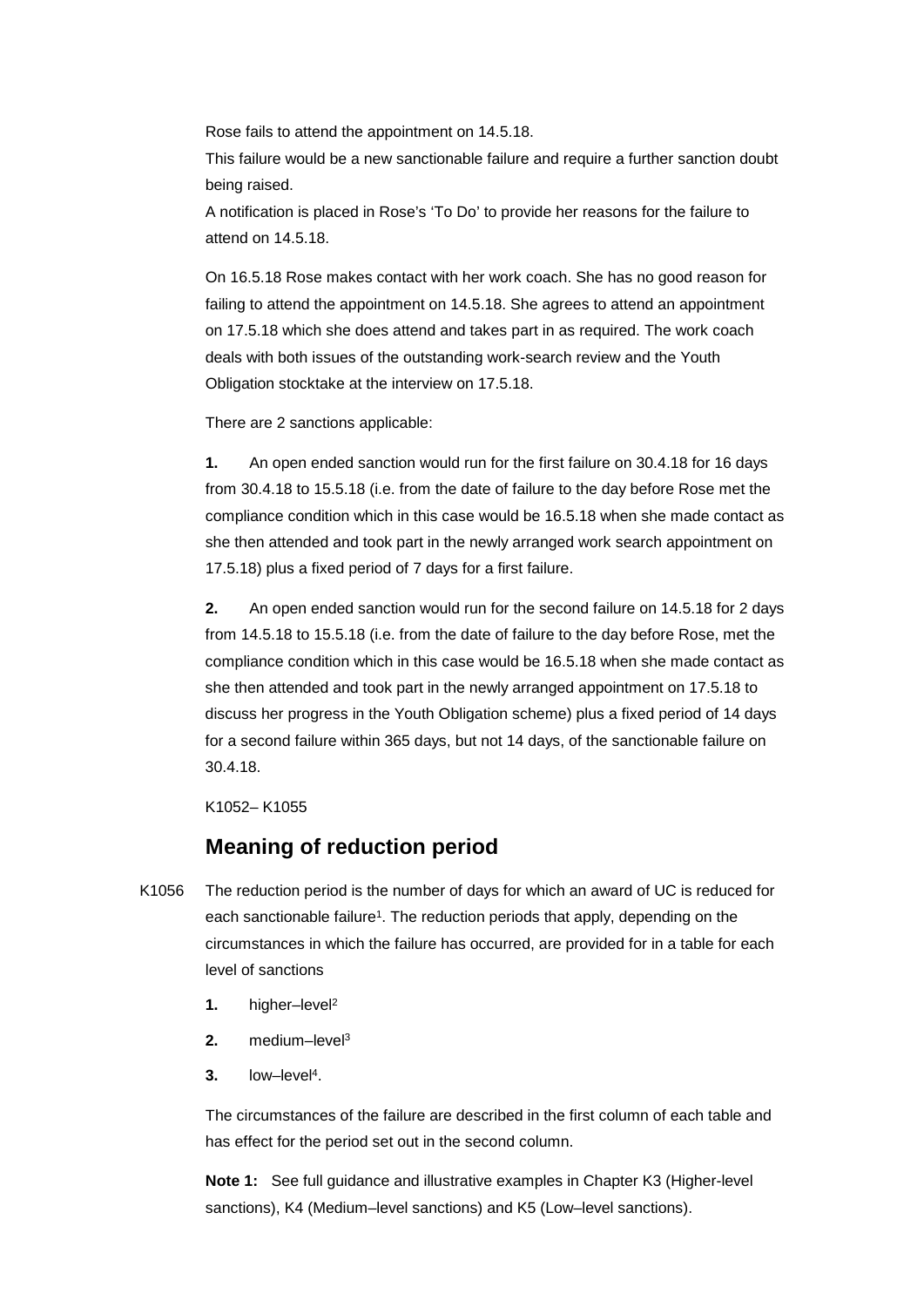Rose fails to attend the appointment on 14.5.18.

This failure would be a new sanctionable failure and require a further sanction doubt being raised.

A notification is placed in Rose's 'To Do' to provide her reasons for the failure to attend on 14.5.18.

 on 17.5.18 which she does attend and takes part in as required. The work coach On 16.5.18 Rose makes contact with her work coach. She has no good reason for failing to attend the appointment on 14.5.18. She agrees to attend an appointment deals with both issues of the outstanding work-search review and the Youth Obligation stocktake at the interview on 17.5.18.

There are 2 sanctions applicable:

**1.** An open ended sanction would run for the first failure on 30.4.18 for 16 days from 30.4.18 to 15.5.18 (i.e. from the date of failure to the day before Rose met the compliance condition which in this case would be 16.5.18 when she made contact as she then attended and took part in the newly arranged work search appointment on 17.5.18) plus a fixed period of 7 days for a first failure.

**2.** An open ended sanction would run for the second failure on 14.5.18 for 2 days from 14.5.18 to 15.5.18 (i.e. from the date of failure to the day before Rose, met the compliance condition which in this case would be 16.5.18 when she made contact as she then attended and took part in the newly arranged appointment on 17.5.18 to discuss her progress in the Youth Obligation scheme) plus a fixed period of 14 days for a second failure within 365 days, but not 14 days, of the sanctionable failure on 30.4.18.

K1052– K1055

# **Meaning of reduction period**

- K1056 The reduction period is the number of days for which an award of UC is reduced for each sanctionable failure<sup>1</sup>. The reduction periods that apply, depending on the circumstances in which the failure has occurred, are provided for in a table for each level of sanctions
	- **1.** higher–level2
	- **2.** medium–level3
	- **3.** low–level4.

The circumstances of the failure are described in the first column of each table and has effect for the period set out in the second column.

**Note 1:** See full guidance and illustrative examples in Chapter K3 (Higher-level sanctions), K4 (Medium–level sanctions) and K5 (Low–level sanctions).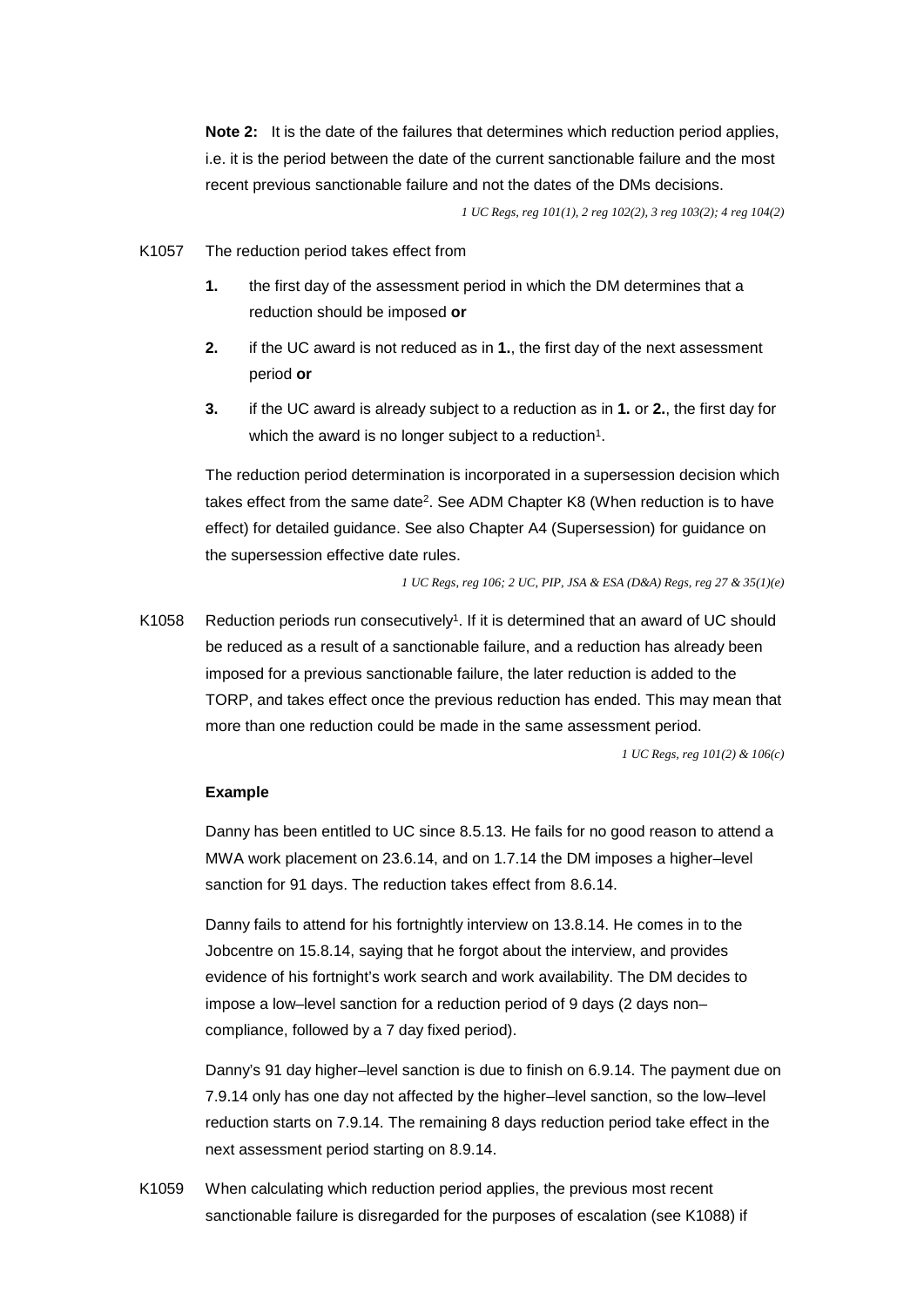**Note 2:** It is the date of the failures that determines which reduction period applies, i.e. it is the period between the date of the current sanctionable failure and the most recent previous sanctionable failure and not the dates of the DMs decisions.

 *1 UC Regs, reg 101(1), 2 reg 102(2), 3 reg 103(2); 4 reg 104(2)* 

- K1057 The reduction period takes effect from
	- reduction should be imposed **or 1.** the first day of the assessment period in which the DM determines that a
	- **2.** if the UC award is not reduced as in **1.**, the first day of the next assessment period **or**
	- $3.$ **3.** if the UC award is already subject to a reduction as in **1.** or **2.**, the first day for which the award is no longer subject to a reduction<sup>1</sup>.

The reduction period determination is incorporated in a supersession decision which takes effect from the same date<sup>2</sup>. See ADM Chapter K8 (When reduction is to have effect) for detailed guidance. See also Chapter A4 (Supersession) for guidance on the supersession effective date rules.

*1 UC Regs, reg 106; 2 UC, PIP, JSA & ESA (D&A) Regs, reg 27 & 35(1)(e)* 

K1058 Reduction periods run consecutively<sup>1</sup>. If it is determined that an award of UC should be reduced as a result of a sanctionable failure, and a reduction has already been imposed for a previous sanctionable failure, the later reduction is added to the TORP, and takes effect once the previous reduction has ended. This may mean that more than one reduction could be made in the same assessment period.

 *1 UC Regs, reg 101(2) & 106(c)* 

#### **Example**

Danny has been entitled to UC since 8.5.13. He fails for no good reason to attend a MWA work placement on 23.6.14, and on 1.7.14 the DM imposes a higher–level sanction for 91 days. The reduction takes effect from 8.6.14.

Danny fails to attend for his fortnightly interview on 13.8.14. He comes in to the Jobcentre on 15.8.14, saying that he forgot about the interview, and provides evidence of his fortnight's work search and work availability. The DM decides to impose a low–level sanction for a reduction period of 9 days (2 days non– compliance, followed by a 7 day fixed period).

Danny's 91 day higher–level sanction is due to finish on 6.9.14. The payment due on 7.9.14 only has one day not affected by the higher–level sanction, so the low–level reduction starts on 7.9.14. The remaining 8 days reduction period take effect in the next assessment period starting on 8.9.14.

K1059 When calculating which reduction period applies, the previous most recent sanctionable failure is disregarded for the purposes of escalation (see K1088) if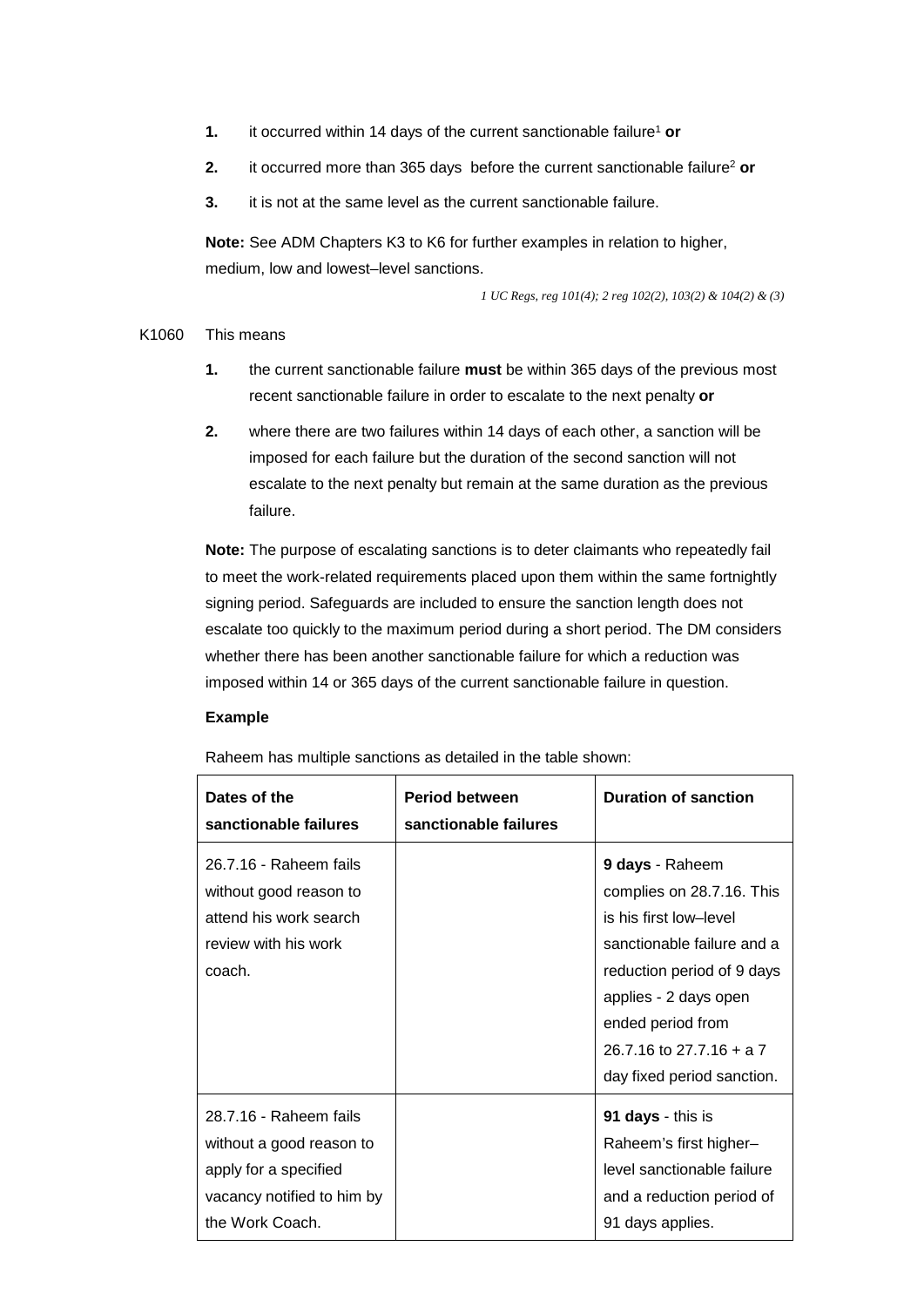- **1.** it occurred within 14 days of the current sanctionable failure<sup>1</sup> or
- **2.** it occurred more than 365 days before the current sanctionable failure<sup>2</sup> or
- **3.** it is not at the same level as the current sanctionable failure.

 **Note:** See ADM Chapters K3 to K6 for further examples in relation to higher, medium, low and lowest–level sanctions.

*1 UC Regs, reg 101(4); 2 reg 102(2), 103(2) & 104(2) & (3)* 

#### K1060 This means

- recent sanctionable failure in order to escalate to the next penalty or **1.** the current sanctionable failure **must** be within 365 days of the previous most
- 2. where there are two failures within 14 days of each other, a sanction will be imposed for each failure but the duration of the second sanction will not escalate to the next penalty but remain at the same duration as the previous failure.

**Note:** The purpose of escalating sanctions is to deter claimants who repeatedly fail to meet the work-related requirements placed upon them within the same fortnightly signing period. Safeguards are included to ensure the sanction length does not escalate too quickly to the maximum period during a short period. The DM considers whether there has been another sanctionable failure for which a reduction was imposed within 14 or 365 days of the current sanctionable failure in question.

#### **Example**

Raheem has multiple sanctions as detailed in the table shown:

| Dates of the<br>sanctionable failures                                                                                        | <b>Period between</b><br>sanctionable failures | <b>Duration of sanction</b>                                                                                                                                                                                                                |
|------------------------------------------------------------------------------------------------------------------------------|------------------------------------------------|--------------------------------------------------------------------------------------------------------------------------------------------------------------------------------------------------------------------------------------------|
| 26.7.16 - Raheem fails<br>without good reason to<br>attend his work search<br>review with his work<br>coach.                 |                                                | 9 days - Raheem<br>complies on 28.7.16. This<br>is his first low-level<br>sanctionable failure and a<br>reduction period of 9 days<br>applies - 2 days open<br>ended period from<br>26.7.16 to 27.7.16 + a 7<br>day fixed period sanction. |
| 28.7.16 - Raheem fails<br>without a good reason to<br>apply for a specified<br>vacancy notified to him by<br>the Work Coach. |                                                | 91 days - this is<br>Raheem's first higher-<br>level sanctionable failure<br>and a reduction period of<br>91 days applies.                                                                                                                 |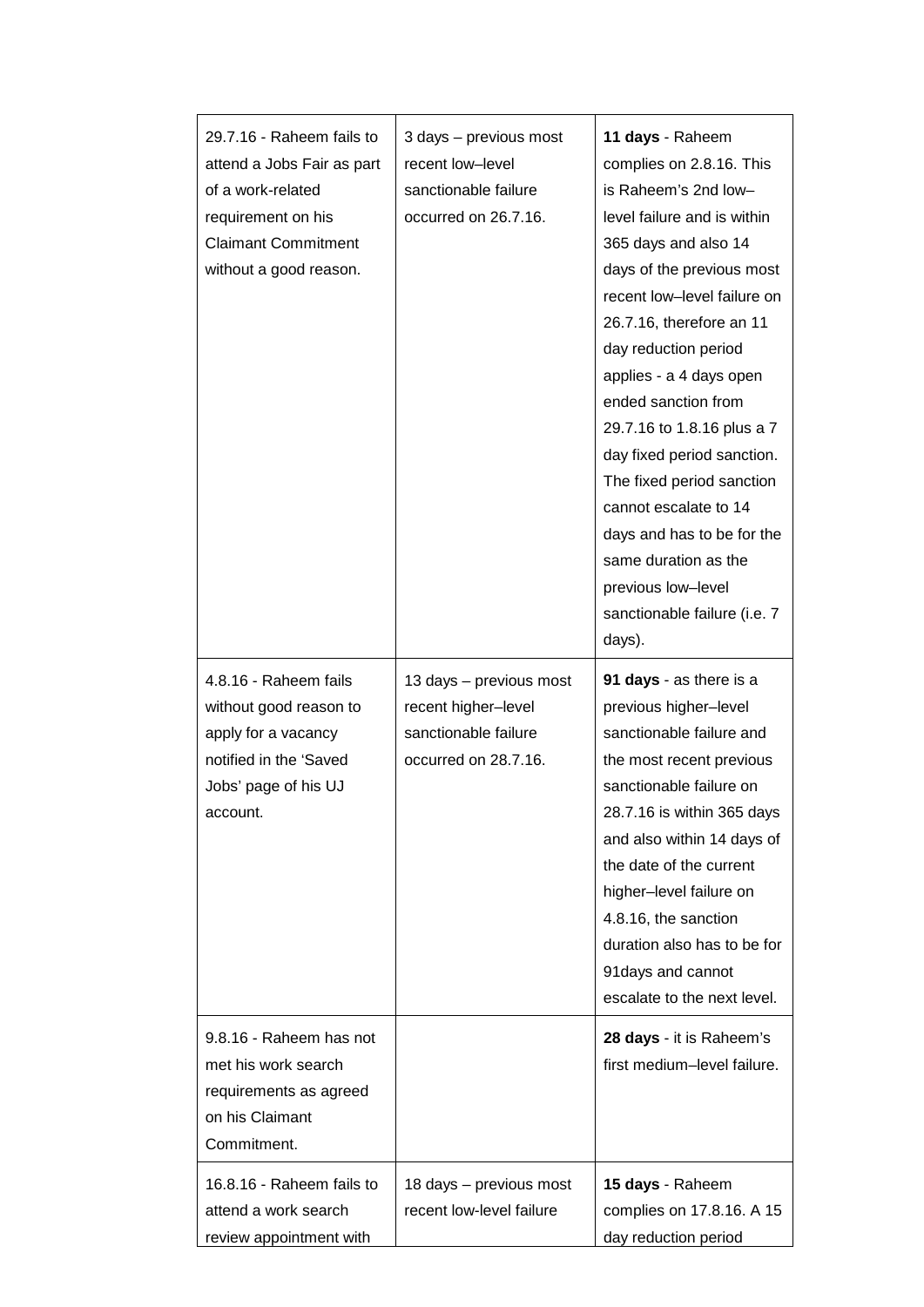| 29.7.16 - Raheem fails to<br>attend a Jobs Fair as part<br>of a work-related<br>requirement on his<br><b>Claimant Commitment</b><br>without a good reason. | 3 days - previous most<br>recent low-level<br>sanctionable failure<br>occurred on 26.7.16.     | 11 days - Raheem<br>complies on 2.8.16. This<br>is Raheem's 2nd low-<br>level failure and is within<br>365 days and also 14<br>days of the previous most<br>recent low-level failure on<br>26.7.16, therefore an 11<br>day reduction period<br>applies - a 4 days open<br>ended sanction from<br>29.7.16 to 1.8.16 plus a 7<br>day fixed period sanction.<br>The fixed period sanction<br>cannot escalate to 14<br>days and has to be for the<br>same duration as the<br>previous low-level<br>sanctionable failure (i.e. 7<br>days). |
|------------------------------------------------------------------------------------------------------------------------------------------------------------|------------------------------------------------------------------------------------------------|---------------------------------------------------------------------------------------------------------------------------------------------------------------------------------------------------------------------------------------------------------------------------------------------------------------------------------------------------------------------------------------------------------------------------------------------------------------------------------------------------------------------------------------|
| 4.8.16 - Raheem fails<br>without good reason to<br>apply for a vacancy<br>notified in the 'Saved<br>Jobs' page of his UJ<br>account.                       | 13 days - previous most<br>recent higher-level<br>sanctionable failure<br>occurred on 28.7.16. | 91 days - as there is a<br>previous higher-level<br>sanctionable failure and<br>the most recent previous<br>sanctionable failure on<br>28.7.16 is within 365 days<br>and also within 14 days of<br>the date of the current<br>higher-level failure on<br>4.8.16, the sanction<br>duration also has to be for<br>91 days and cannot<br>escalate to the next level.                                                                                                                                                                     |
| 9.8.16 - Raheem has not<br>met his work search<br>requirements as agreed<br>on his Claimant<br>Commitment.                                                 |                                                                                                | 28 days - it is Raheem's<br>first medium-level failure.                                                                                                                                                                                                                                                                                                                                                                                                                                                                               |
| 16.8.16 - Raheem fails to<br>attend a work search<br>review appointment with                                                                               | 18 days - previous most<br>recent low-level failure                                            | 15 days - Raheem<br>complies on 17.8.16. A 15<br>day reduction period                                                                                                                                                                                                                                                                                                                                                                                                                                                                 |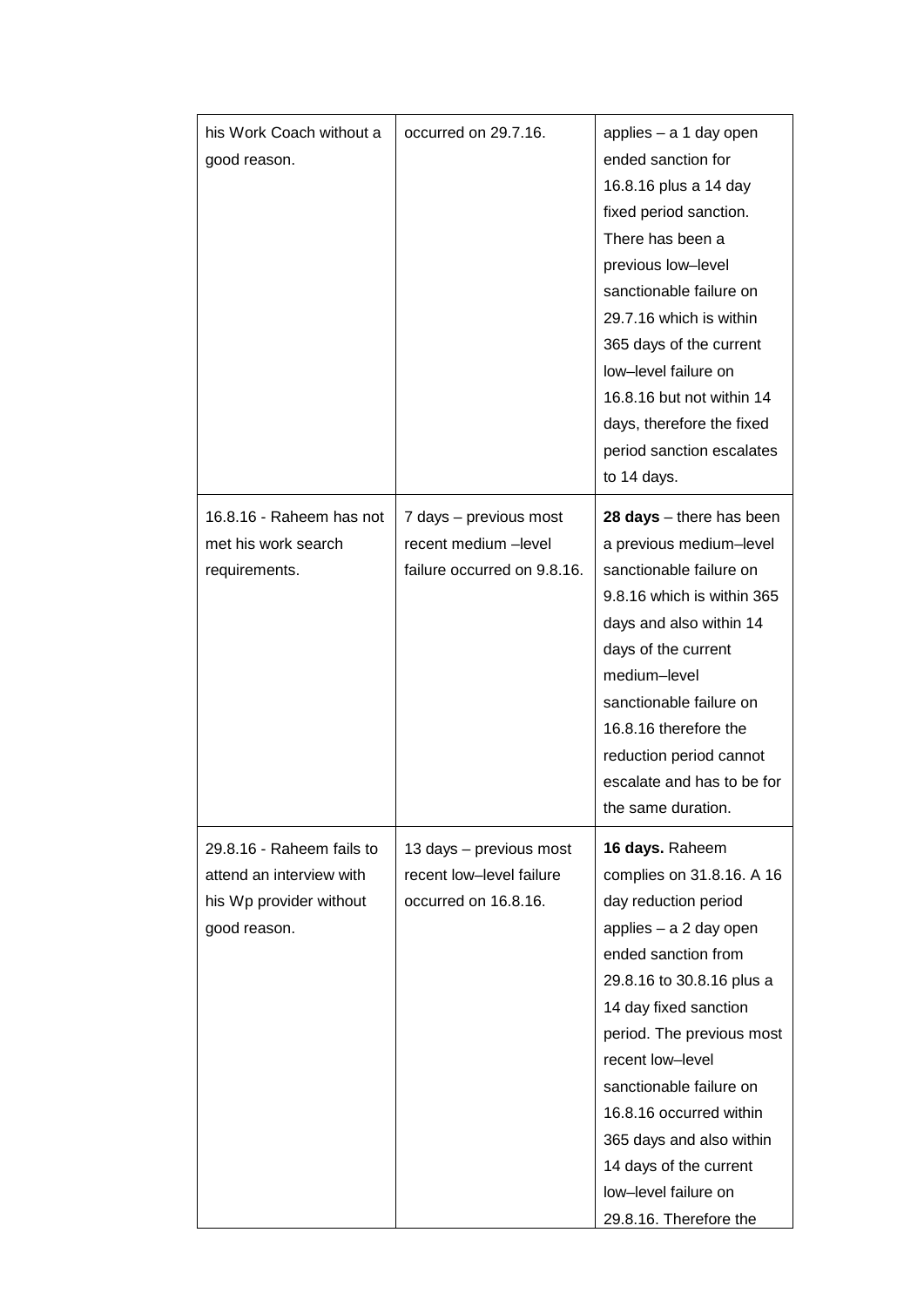| his Work Coach without a<br>good reason.                                                         | occurred on 29.7.16.                                                          | applies - a 1 day open<br>ended sanction for<br>16.8.16 plus a 14 day<br>fixed period sanction.<br>There has been a<br>previous low-level<br>sanctionable failure on<br>29.7.16 which is within<br>365 days of the current<br>low-level failure on<br>16.8.16 but not within 14<br>days, therefore the fixed<br>period sanction escalates<br>to 14 days.                                   |
|--------------------------------------------------------------------------------------------------|-------------------------------------------------------------------------------|--------------------------------------------------------------------------------------------------------------------------------------------------------------------------------------------------------------------------------------------------------------------------------------------------------------------------------------------------------------------------------------------|
| 16.8.16 - Raheem has not<br>met his work search<br>requirements.                                 | 7 days - previous most<br>recent medium -level<br>failure occurred on 9.8.16. | $28 \text{ days} - \text{there has been}$<br>a previous medium-level<br>sanctionable failure on<br>9.8.16 which is within 365<br>days and also within 14<br>days of the current<br>medium-level<br>sanctionable failure on<br>16.8.16 therefore the<br>reduction period cannot<br>escalate and has to be for<br>the same duration.                                                         |
| 29.8.16 - Raheem fails to<br>attend an interview with<br>his Wp provider without<br>good reason. | 13 days - previous most<br>recent low-level failure<br>occurred on 16.8.16.   | 16 days. Raheem<br>complies on 31.8.16. A 16<br>day reduction period<br>applies - a 2 day open<br>ended sanction from<br>29.8.16 to 30.8.16 plus a<br>14 day fixed sanction<br>period. The previous most<br>recent low-level<br>sanctionable failure on<br>16.8.16 occurred within<br>365 days and also within<br>14 days of the current<br>low-level failure on<br>29.8.16. Therefore the |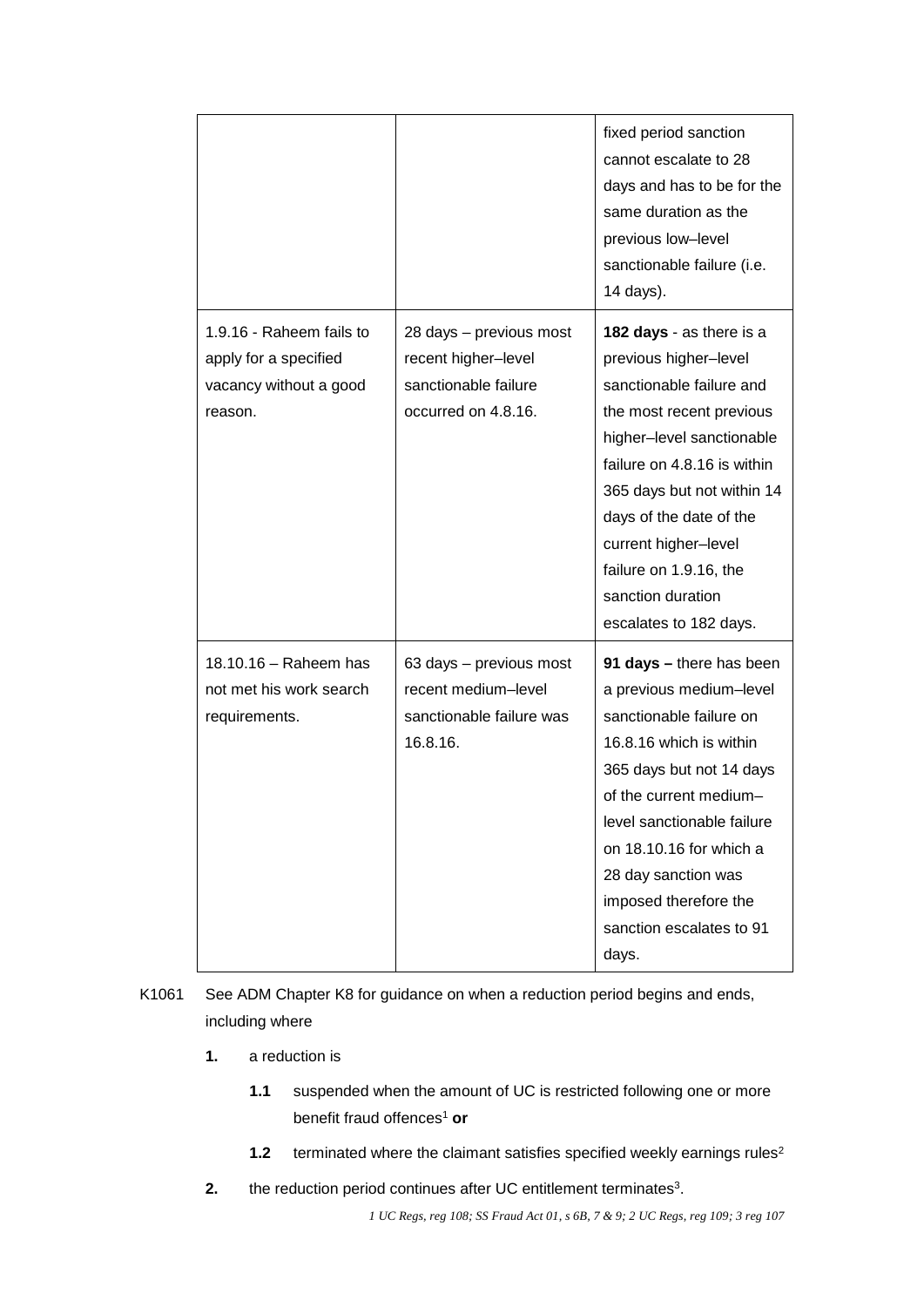|                                                                                        |                                                                                               | fixed period sanction<br>cannot escalate to 28<br>days and has to be for the<br>same duration as the<br>previous low-level<br>sanctionable failure (i.e.<br>14 days).                                                                                                                                                           |
|----------------------------------------------------------------------------------------|-----------------------------------------------------------------------------------------------|---------------------------------------------------------------------------------------------------------------------------------------------------------------------------------------------------------------------------------------------------------------------------------------------------------------------------------|
| 1.9.16 - Raheem fails to<br>apply for a specified<br>vacancy without a good<br>reason. | 28 days - previous most<br>recent higher-level<br>sanctionable failure<br>occurred on 4.8.16. | 182 days - as there is a<br>previous higher-level<br>sanctionable failure and<br>the most recent previous<br>higher-level sanctionable<br>failure on 4.8.16 is within<br>365 days but not within 14<br>days of the date of the<br>current higher-level<br>failure on 1.9.16, the<br>sanction duration<br>escalates to 182 days. |
| 18.10.16 - Raheem has<br>not met his work search<br>requirements.                      | 63 days - previous most<br>recent medium-level<br>sanctionable failure was<br>16.8.16.        | 91 days - there has been<br>a previous medium-level<br>sanctionable failure on<br>16.8.16 which is within<br>365 days but not 14 days<br>of the current medium-<br>level sanctionable failure<br>on 18.10.16 for which a<br>28 day sanction was<br>imposed therefore the<br>sanction escalates to 91<br>days.                   |

K1061 See ADM Chapter K8 for guidance on when a reduction period begins and ends, including where

- **1.** a reduction is
	- benefit fraud offences<sup>1</sup> or **1.1** suspended when the amount of UC is restricted following one or more
	- **1.2** terminated where the claimant satisfies specified weekly earnings rules<sup>2</sup>
- **2.** the reduction period continues after UC entitlement terminates<sup>3</sup>.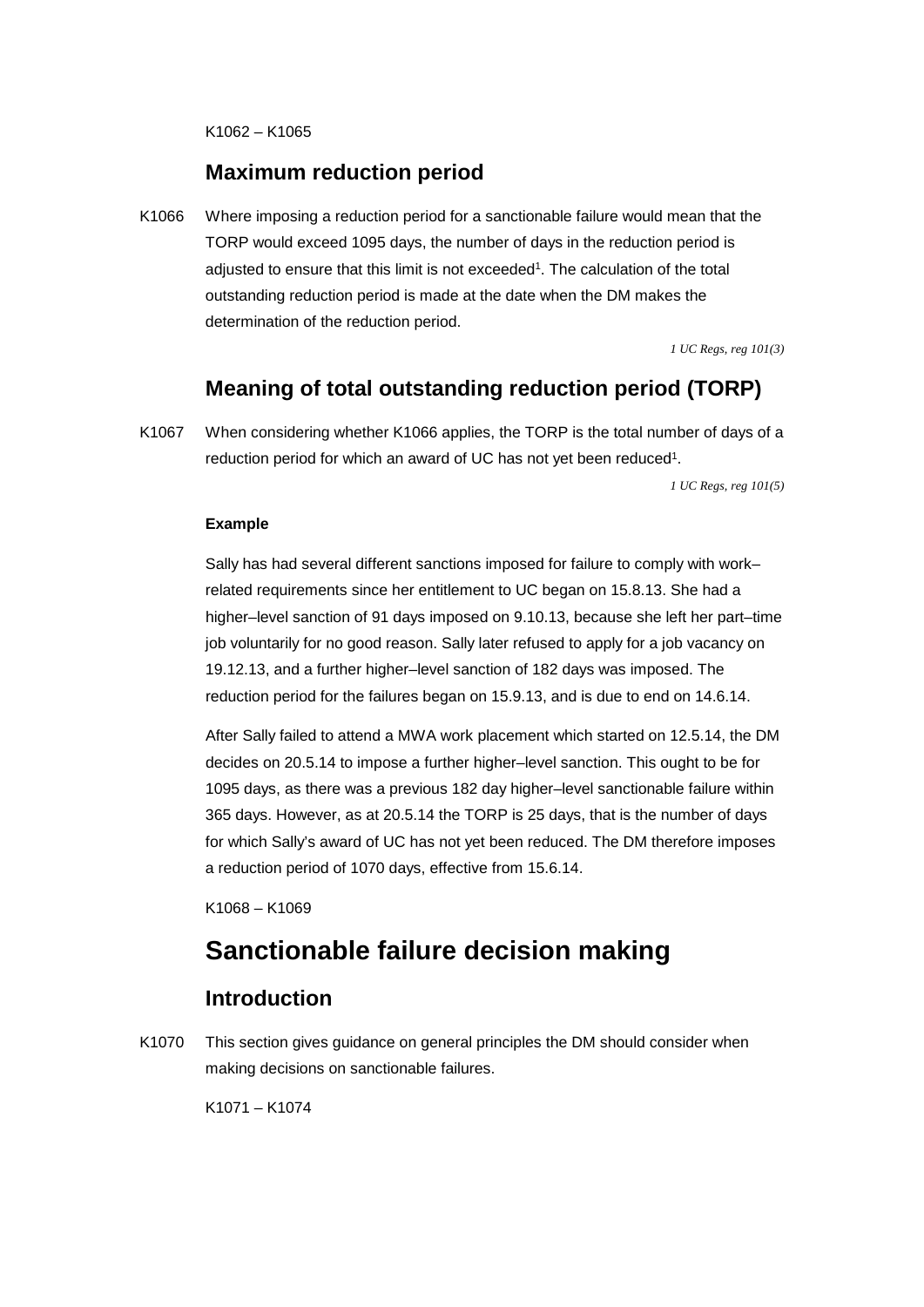K1062 – K1065

### **Maximum reduction period**

K1066 Where imposing a reduction period for a sanctionable failure would mean that the TORP would exceed 1095 days, the number of days in the reduction period is adjusted to ensure that this limit is not exceeded<sup>1</sup>. The calculation of the total outstanding reduction period is made at the date when the DM makes the determination of the reduction period.

*1 UC Regs, reg 101(3)* 

# **Meaning of total outstanding reduction period (TORP)**

 K1067 When considering whether K1066 applies, the TORP is the total number of days of a reduction period for which an award of UC has not yet been reduced<sup>1</sup>.

*1 UC Regs, reg 101(5)* 

#### **Example**

Sally has had several different sanctions imposed for failure to comply with work– related requirements since her entitlement to UC began on 15.8.13. She had a higher–level sanction of 91 days imposed on 9.10.13, because she left her part–time job voluntarily for no good reason. Sally later refused to apply for a job vacancy on 19.12.13, and a further higher–level sanction of 182 days was imposed. The reduction period for the failures began on 15.9.13, and is due to end on 14.6.14.

After Sally failed to attend a MWA work placement which started on 12.5.14, the DM decides on 20.5.14 to impose a further higher–level sanction. This ought to be for 1095 days, as there was a previous 182 day higher–level sanctionable failure within 365 days. However, as at 20.5.14 the TORP is 25 days, that is the number of days for which Sally's award of UC has not yet been reduced. The DM therefore imposes a reduction period of 1070 days, effective from 15.6.14.

K1068 – K1069

# **Sanctionable failure decision making**

### **Introduction**

K1070 This section gives guidance on general principles the DM should consider when making decisions on sanctionable failures.

K1071 – K1074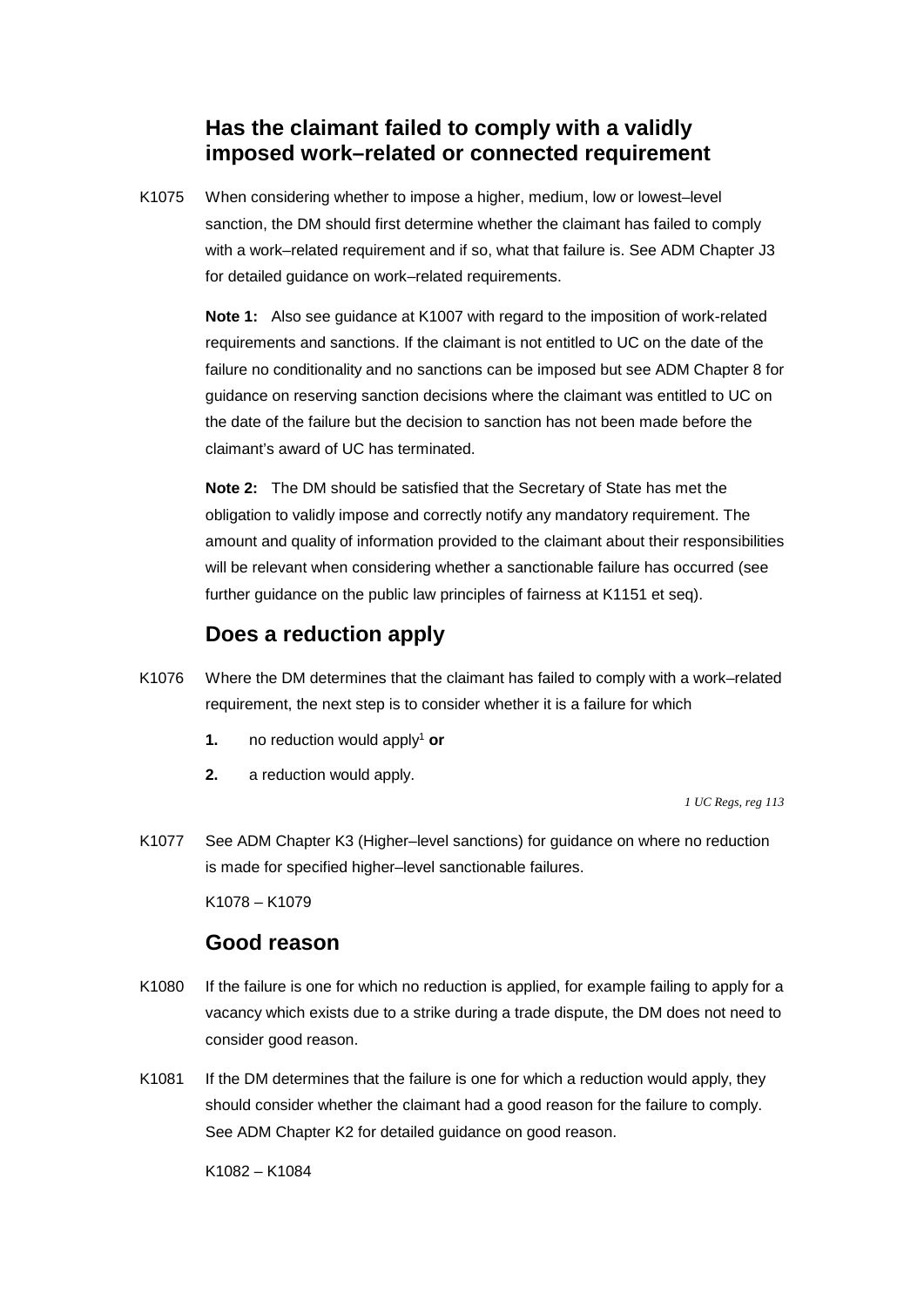# **Has the claimant failed to comply with a validly imposed work–related or connected requirement**

 sanction, the DM should first determine whether the claimant has failed to comply K1075 When considering whether to impose a higher, medium, low or lowest–level with a work–related requirement and if so, what that failure is. See ADM Chapter J3 for detailed guidance on work–related requirements.

> **Note 1:** Also see guidance at K1007 with regard to the imposition of work-related claimant's award of UC has terminated. requirements and sanctions. If the claimant is not entitled to UC on the date of the failure no conditionality and no sanctions can be imposed but see ADM Chapter 8 for guidance on reserving sanction decisions where the claimant was entitled to UC on the date of the failure but the decision to sanction has not been made before the

> obligation to validly impose and correctly notify any mandatory requirement. The further guidance on the public law principles of fairness at K1151 et seq). **Note 2:** The DM should be satisfied that the Secretary of State has met the amount and quality of information provided to the claimant about their responsibilities will be relevant when considering whether a sanctionable failure has occurred (see

# **Does a reduction apply**

- K1076 Where the DM determines that the claimant has failed to comply with a work–related requirement, the next step is to consider whether it is a failure for which
	- **1. no reduction would apply<sup>1</sup> or**
	- **2.** a reduction would apply.

*1 UC Regs, reg 113* 

K1077 See ADM Chapter K3 (Higher–level sanctions) for guidance on where no reduction is made for specified higher–level sanctionable failures.

K1078 – K1079

### **Good reason**

- K1080 If the failure is one for which no reduction is applied, for example failing to apply for a vacancy which exists due to a strike during a trade dispute, the DM does not need to consider good reason.
- K1081 If the DM determines that the failure is one for which a reduction would apply, they should consider whether the claimant had a good reason for the failure to comply. See ADM Chapter K2 for detailed guidance on good reason.

K1082 – K1084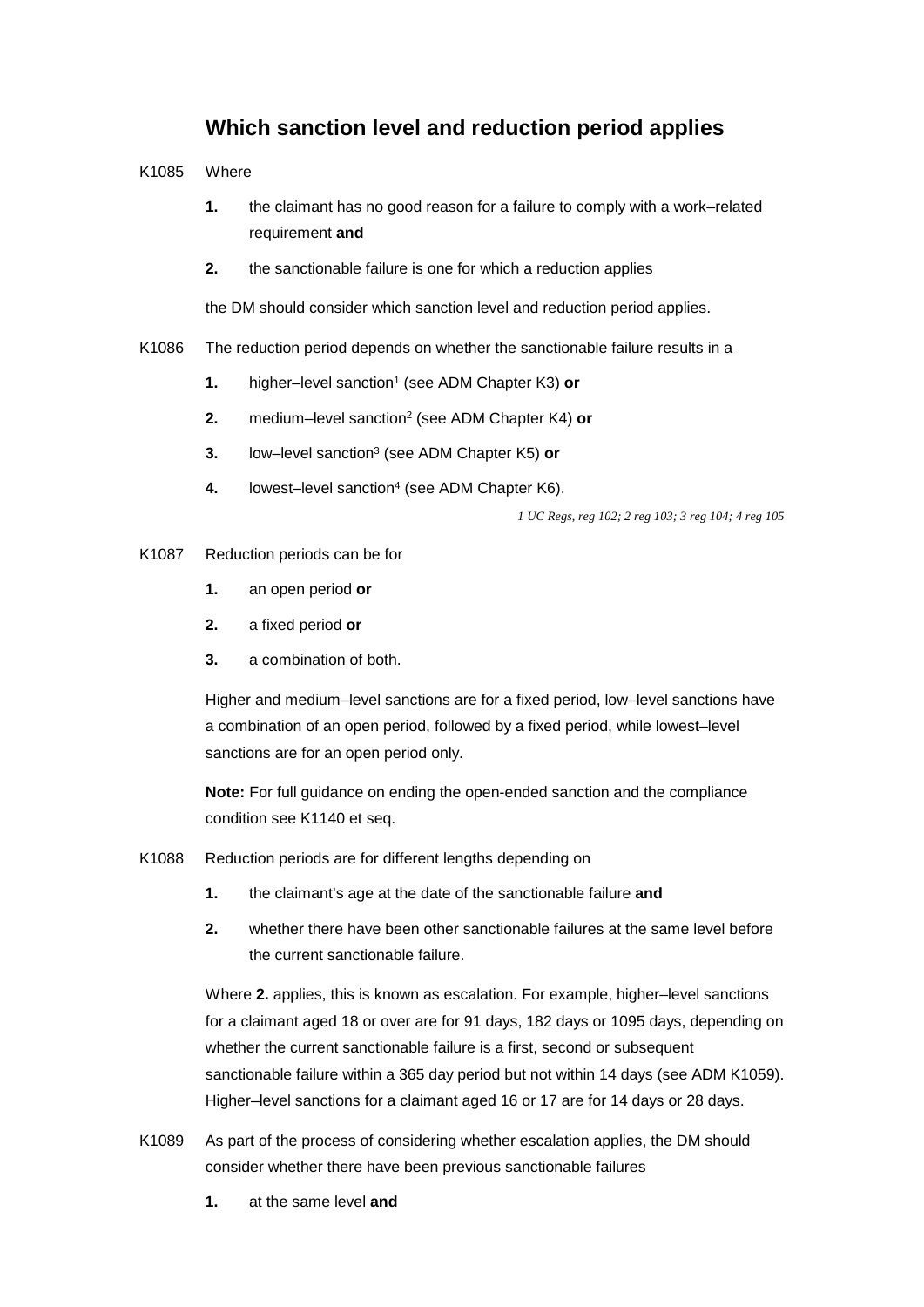# **Which sanction level and reduction period applies**

K1085 Where

- requirement **and 1.** the claimant has no good reason for a failure to comply with a work–related
- **2.** the sanctionable failure is one for which a reduction applies

the DM should consider which sanction level and reduction period applies.

- K1086 The reduction period depends on whether the sanctionable failure results in a
	- **1.** higher–level sanction<sup>1</sup> (see ADM Chapter K3) or
	- **2.** medium–level sanction2 (see ADM Chapter K4) **or**
	- **3.** low–level sanction3 (see ADM Chapter K5) **or**
	- 4. **Iowest–level sanction<sup>4</sup> (see ADM Chapter K6).**

*1 UC Regs, reg 102; 2 reg 103; 3 reg 104; 4 reg 105* 

#### K1087 Reduction periods can be for

- **1.** an open period **or**
- **2.** a fixed period **or**
- **3.** a combination of both.

 sanctions are for an open period only. Higher and medium–level sanctions are for a fixed period, low–level sanctions have a combination of an open period, followed by a fixed period, while lowest–level

**Note:** For full guidance on ending the open-ended sanction and the compliance condition see K1140 et seq.

- K1088 Reduction periods are for different lengths depending on
	- **1.** the claimant's age at the date of the sanctionable failure **and**
	- **2.** whether there have been other sanctionable failures at the same level before the current sanctionable failure.

Where **2.** applies, this is known as escalation. For example, higher–level sanctions for a claimant aged 18 or over are for 91 days, 182 days or 1095 days, depending on whether the current sanctionable failure is a first, second or subsequent sanctionable failure within a 365 day period but not within 14 days (see ADM K1059). Higher–level sanctions for a claimant aged 16 or 17 are for 14 days or 28 days.

- K1089 As part of the process of considering whether escalation applies, the DM should consider whether there have been previous sanctionable failures
	- **1.** at the same level **and**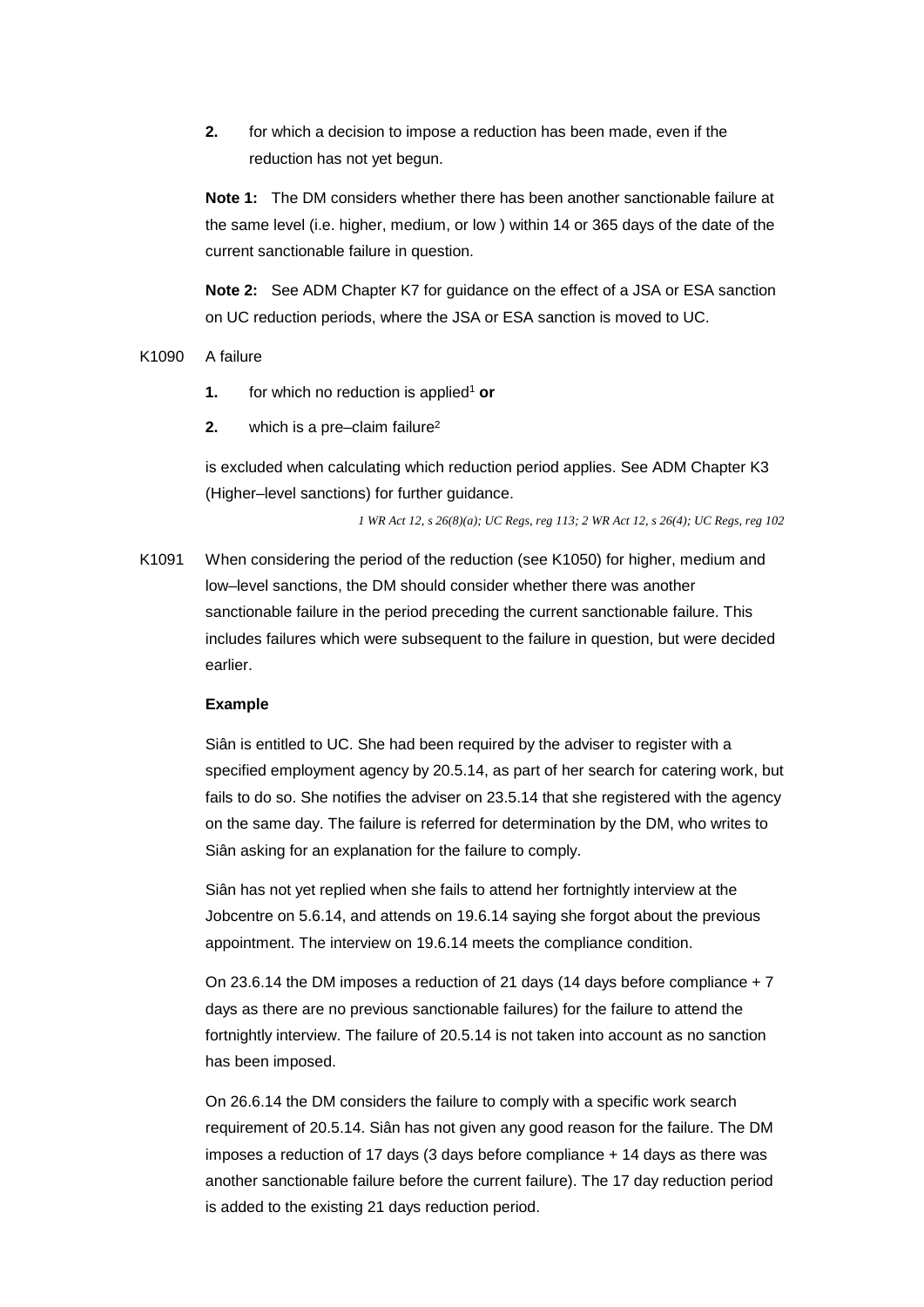**2.** for which a decision to impose a reduction has been made, even if the reduction has not yet begun.

**Note 1:** The DM considers whether there has been another sanctionable failure at the same level (i.e. higher, medium, or low ) within 14 or 365 days of the date of the current sanctionable failure in question.

 **Note 2:** See ADM Chapter K7 for guidance on the effect of a JSA or ESA sanction on UC reduction periods, where the JSA or ESA sanction is moved to UC.

#### K1090 A failure

- **1.** for which no reduction is applied<sup>1</sup> or
- **2.** which is a pre–claim failure<sup>2</sup>

is excluded when calculating which reduction period applies. See ADM Chapter K3 (Higher–level sanctions) for further guidance.

*1 WR Act 12, s 26(8)(a); UC Regs, reg 113; 2 WR Act 12, s 26(4); UC Regs, reg 102* 

K1091 When considering the period of the reduction (see K1050) for higher, medium and low–level sanctions, the DM should consider whether there was another sanctionable failure in the period preceding the current sanctionable failure. This includes failures which were subsequent to the failure in question, but were decided earlier.

#### **Example**

Siân is entitled to UC. She had been required by the adviser to register with a specified employment agency by 20.5.14, as part of her search for catering work, but fails to do so. She notifies the adviser on 23.5.14 that she registered with the agency on the same day. The failure is referred for determination by the DM, who writes to Siân asking for an explanation for the failure to comply.

Siân has not yet replied when she fails to attend her fortnightly interview at the Jobcentre on 5.6.14, and attends on 19.6.14 saying she forgot about the previous appointment. The interview on 19.6.14 meets the compliance condition.

On 23.6.14 the DM imposes a reduction of 21 days (14 days before compliance + 7 days as there are no previous sanctionable failures) for the failure to attend the fortnightly interview. The failure of 20.5.14 is not taken into account as no sanction has been imposed.

On 26.6.14 the DM considers the failure to comply with a specific work search requirement of 20.5.14. Siân has not given any good reason for the failure. The DM imposes a reduction of 17 days (3 days before compliance + 14 days as there was another sanctionable failure before the current failure). The 17 day reduction period is added to the existing 21 days reduction period.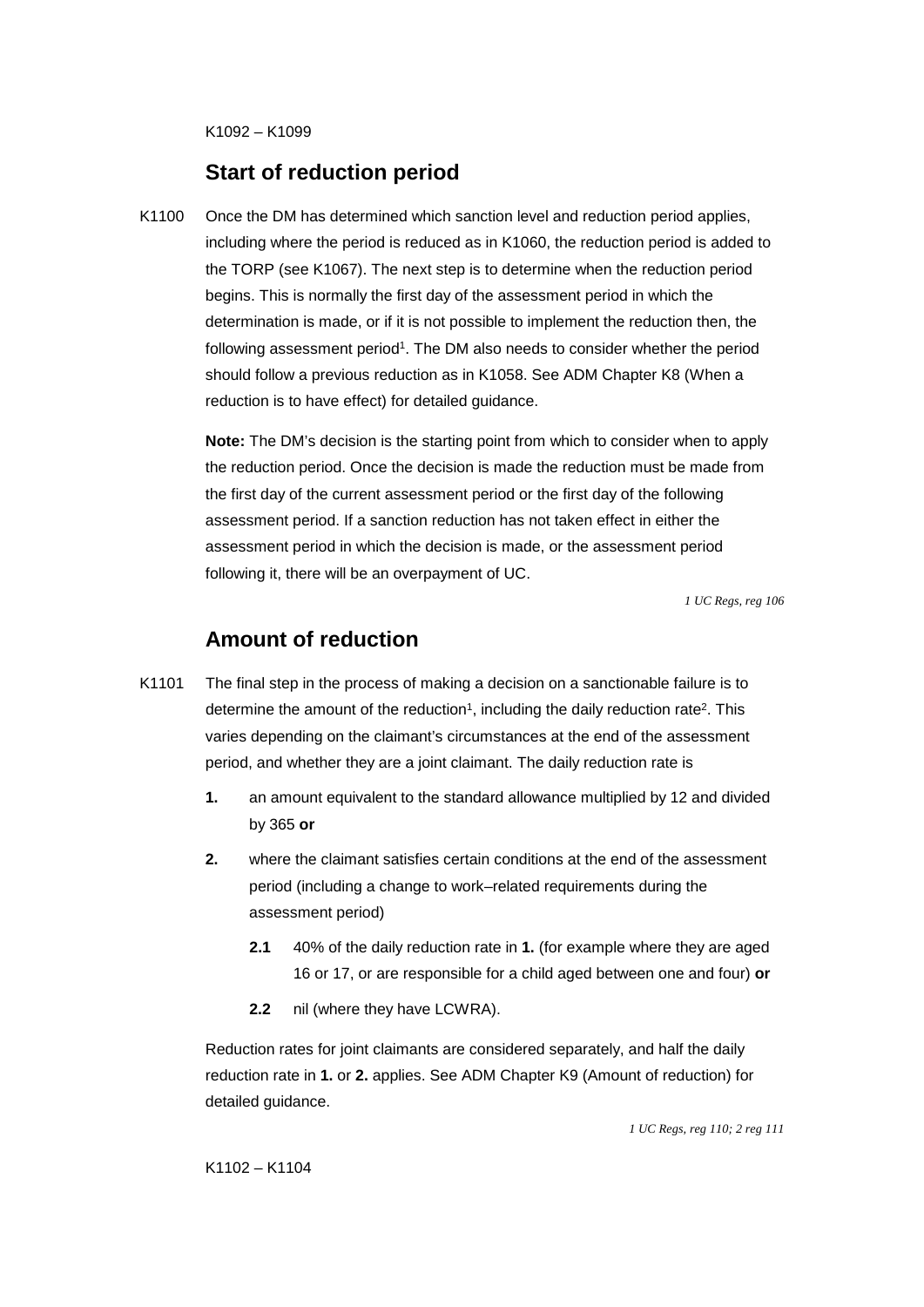K1092 – K1099

### **Start of reduction period**

K1100 Once the DM has determined which sanction level and reduction period applies, including where the period is reduced as in K1060, the reduction period is added to the TORP (see K1067). The next step is to determine when the reduction period begins. This is normally the first day of the assessment period in which the determination is made, or if it is not possible to implement the reduction then, the following assessment period<sup>1</sup>. The DM also needs to consider whether the period should follow a previous reduction as in K1058. See ADM Chapter K8 (When a reduction is to have effect) for detailed guidance.

> following it, there will be an overpayment of UC. **Note:** The DM's decision is the starting point from which to consider when to apply the reduction period. Once the decision is made the reduction must be made from the first day of the current assessment period or the first day of the following assessment period. If a sanction reduction has not taken effect in either the assessment period in which the decision is made, or the assessment period

> > *1 UC Regs, reg 106*

# **Amount of reduction**

- K1101 The final step in the process of making a decision on a sanctionable failure is to determine the amount of the reduction<sup>1</sup>, including the daily reduction rate<sup>2</sup>. This varies depending on the claimant's circumstances at the end of the assessment period, and whether they are a joint claimant. The daily reduction rate is
	- **1.** an amount equivalent to the standard allowance multiplied by 12 and divided by 365 **or**
	- **2.** where the claimant satisfies certain conditions at the end of the assessment period (including a change to work–related requirements during the assessment period)
		- **2.1** 40% of the daily reduction rate in **1.** (for example where they are aged 16 or 17, or are responsible for a child aged between one and four) **or**
		- **2.2** nil (where they have LCWRA).

Reduction rates for joint claimants are considered separately, and half the daily reduction rate in **1.** or **2.** applies. See ADM Chapter K9 (Amount of reduction) for detailed guidance.

*1 UC Regs, reg 110; 2 reg 111*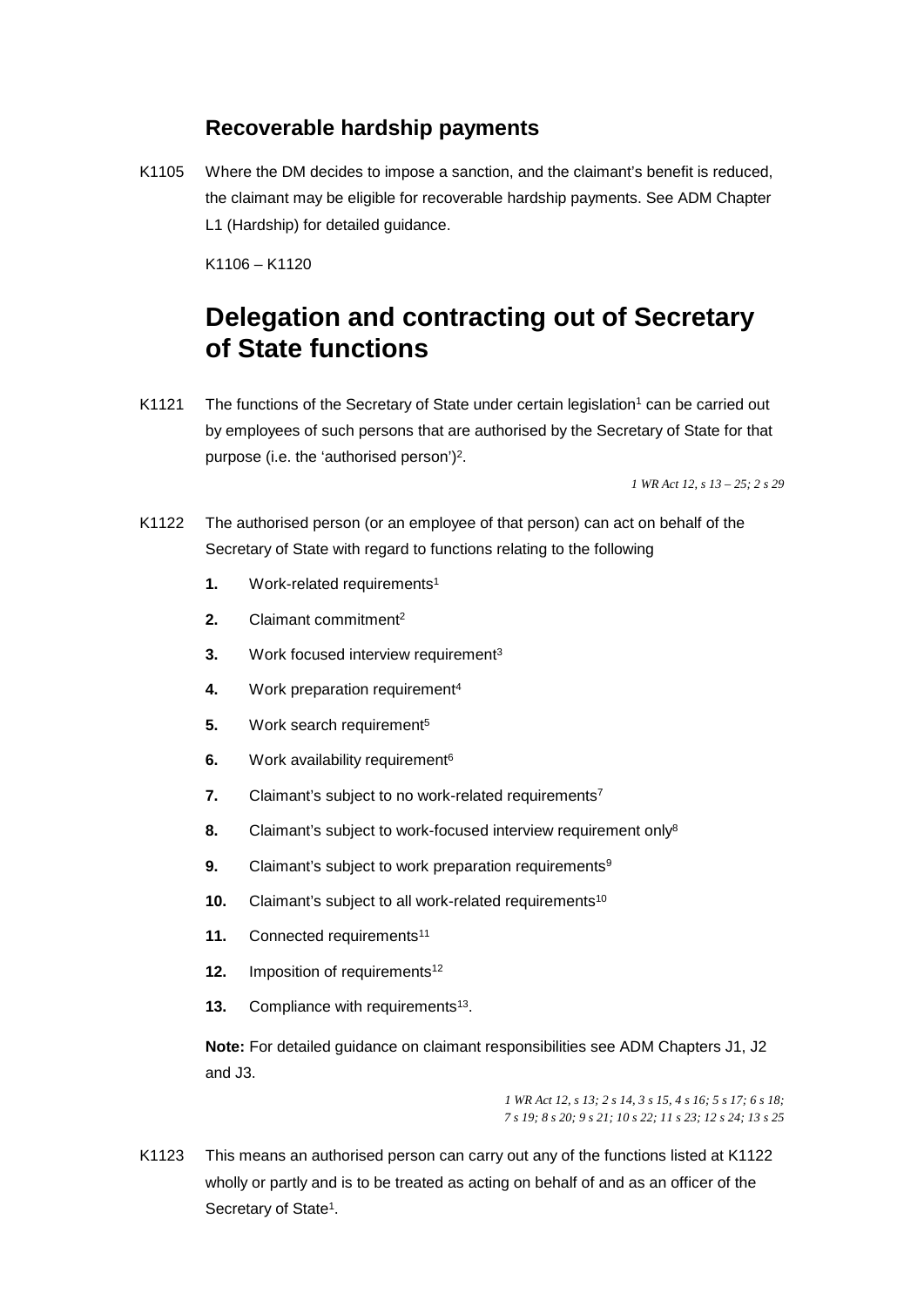# **Recoverable hardship payments**

K1105 Where the DM decides to impose a sanction, and the claimant's benefit is reduced, the claimant may be eligible for recoverable hardship payments. See ADM Chapter L1 (Hardship) for detailed guidance.

K1106 – K1120

# **of State functions Delegation and contracting out of Secretary**

K1121 The functions of the Secretary of State under certain legislation<sup>1</sup> can be carried out by employees of such persons that are authorised by the Secretary of State for that purpose (i.e. the 'authorised person')2.

 *1 WR Act 12, s 13 – 25; 2 s 29* 

- K1122 The authorised person (or an employee of that person) can act on behalf of the Secretary of State with regard to functions relating to the following
	- **1.** Work-related requirements<sup>1</sup>
	- **2.** Claimant commitment2
	- **3.** Work focused interview requirement<sup>3</sup>
	- 4. Work preparation requirement<sup>4</sup>
	- 5. Work search requirement<sup>5</sup>
	- **6.** Work availability requirement<sup>6</sup>
	- **7.** Claimant's subject to no work-related requirements<sup>7</sup>
	- 8. Claimant's subject to work-focused interview requirement only<sup>8</sup>
	- **9.** Claimant's subject to work preparation requirements<sup>9</sup>
	- **10.** Claimant's subject to all work-related requirements<sup>10</sup>
	- 11. Connected requirements<sup>11</sup>
	- **12.** Imposition of requirements<sup>12</sup>
	- **13.** Compliance with requirements<sup>13</sup>.

**Note:** For detailed guidance on claimant responsibilities see ADM Chapters J1, J2 and J3.

> *7 s 19; 8 s 20; 9 s 21; 10 s 22; 11 s 23; 12 s 24; 13 s 25 1 WR Act 12, s 13; 2 s 14, 3 s 15, 4 s 16; 5 s 17; 6 s 18;*

K1123 This means an authorised person can carry out any of the functions listed at K1122 wholly or partly and is to be treated as acting on behalf of and as an officer of the Secretary of State<sup>1</sup>.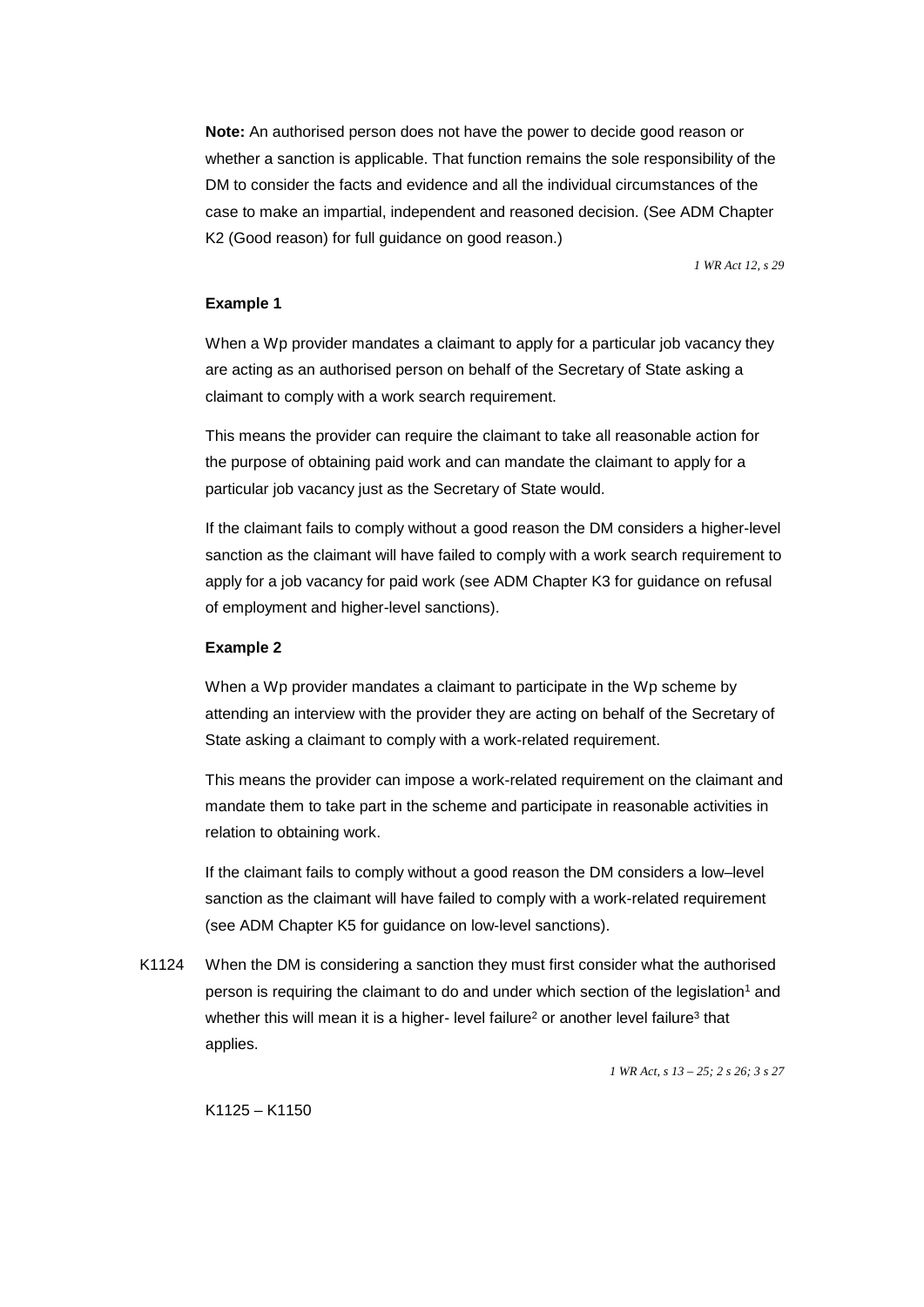K2 (Good reason) for full guidance on good reason.) **Note:** An authorised person does not have the power to decide good reason or whether a sanction is applicable. That function remains the sole responsibility of the DM to consider the facts and evidence and all the individual circumstances of the case to make an impartial, independent and reasoned decision. (See ADM Chapter

 *1 WR Act 12, s 29* 

#### **Example 1**

When a Wp provider mandates a claimant to apply for a particular job vacancy they are acting as an authorised person on behalf of the Secretary of State asking a claimant to comply with a work search requirement.

This means the provider can require the claimant to take all reasonable action for the purpose of obtaining paid work and can mandate the claimant to apply for a particular job vacancy just as the Secretary of State would.

If the claimant fails to comply without a good reason the DM considers a higher-level sanction as the claimant will have failed to comply with a work search requirement to apply for a job vacancy for paid work (see ADM Chapter K3 for guidance on refusal of employment and higher-level sanctions).

#### **Example 2**

When a Wp provider mandates a claimant to participate in the Wp scheme by attending an interview with the provider they are acting on behalf of the Secretary of State asking a claimant to comply with a work-related requirement.

This means the provider can impose a work-related requirement on the claimant and mandate them to take part in the scheme and participate in reasonable activities in relation to obtaining work.

(see ADM Chapter K5 for guidance on low-level sanctions). If the claimant fails to comply without a good reason the DM considers a low–level sanction as the claimant will have failed to comply with a work-related requirement

K1124 When the DM is considering a sanction they must first consider what the authorised person is requiring the claimant to do and under which section of the legislation<sup>1</sup> and whether this will mean it is a higher- level failure<sup>2</sup> or another level failure<sup>3</sup> that applies.

*1 WR Act, s 13 – 25; 2 s 26; 3 s 27* 

K1125 – K1150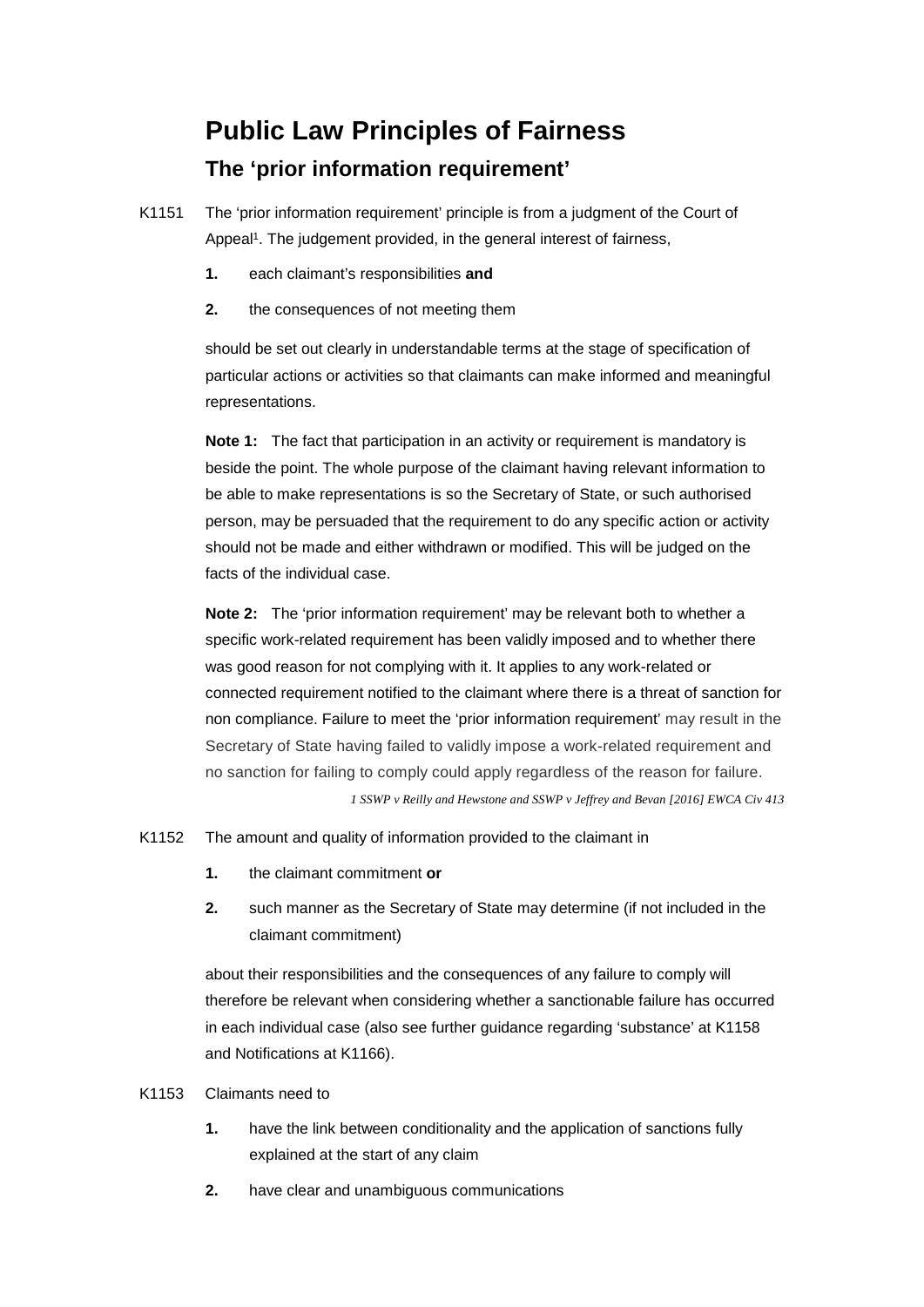# **Public Law Principles of Fairness The 'prior information requirement'**

K1151 The 'prior information requirement' principle is from a judgment of the Court of Appeal<sup>1</sup>. The judgement provided, in the general interest of fairness,

- each claimant's responsibilities and
- **1.** each claimant's responsibilities **and**<br>**2.** the consequences of not meeting them

should be set out clearly in understandable terms at the stage of specification of particular actions or activities so that claimants can make informed and meaningful representations.

 facts of the individual case. **Note 1:** The fact that participation in an activity or requirement is mandatory is beside the point. The whole purpose of the claimant having relevant information to be able to make representations is so the Secretary of State, or such authorised person, may be persuaded that the requirement to do any specific action or activity should not be made and either withdrawn or modified. This will be judged on the

**Note 2:** The 'prior information requirement' may be relevant both to whether a specific work-related requirement has been validly imposed and to whether there was good reason for not complying with it. It applies to any work-related or connected requirement notified to the claimant where there is a threat of sanction for non compliance. Failure to meet the 'prior information requirement' may result in the Secretary of State having failed to validly impose a work-related requirement and no sanction for failing to comply could apply regardless of the reason for failure.

*1 SSWP v Reilly and Hewstone and SSWP v Jeffrey and Bevan [2016] EWCA Civ 413* 

#### K1152 The amount and quality of information provided to the claimant in

- the claimant commitment or
- claimant commitment) **1.** the claimant commitment **or 2.** such manner as the Secretary of State may determine (if not included in the

about their responsibilities and the consequences of any failure to comply will therefore be relevant when considering whether a sanctionable failure has occurred in each individual case (also see further guidance regarding 'substance' at K1158 and Notifications at K1166).

#### K1153 Claimants need to

- **1.** have the link between conditionality and the application of sanctions fully explained at the start of any claim
- **2.** have clear and unambiguous communications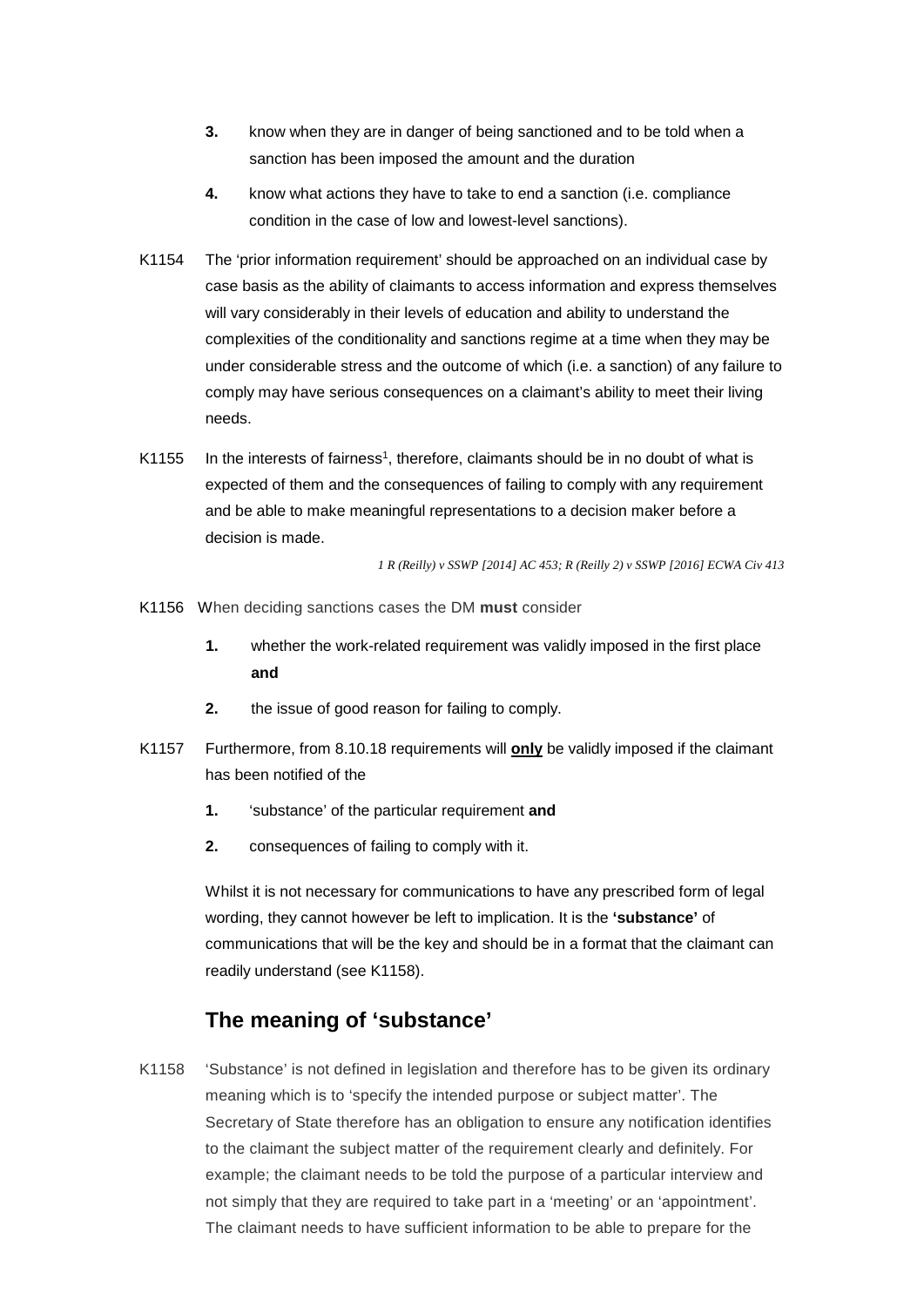- **3.** know when they are in danger of being sanctioned and to be told when a sanction has been imposed the amount and the duration
- **4.** know what actions they have to take to end a sanction (i.e. compliance condition in the case of low and lowest-level sanctions).
- K1154 The 'prior information requirement' should be approached on an individual case by case basis as the ability of claimants to access information and express themselves will vary considerably in their levels of education and ability to understand the complexities of the conditionality and sanctions regime at a time when they may be under considerable stress and the outcome of which (i.e. a sanction) of any failure to comply may have serious consequences on a claimant's ability to meet their living needs.
- decision is made. K1155 In the interests of fairness<sup>1</sup>, therefore, claimants should be in no doubt of what is expected of them and the consequences of failing to comply with any requirement and be able to make meaningful representations to a decision maker before a

*1 R (Reilly) v SSWP [2014] AC 453; R (Reilly 2) v SSWP [2016] ECWA Civ 413* 

- K1156 When deciding sanctions cases the DM **must** consider
	- **1.** whether the work-related requirement was validly imposed in the first place **and**
	- **2.** the issue of good reason for failing to comply.
- has been notified of the K1157 Furthermore, from 8.10.18 requirements will **only** be validly imposed if the claimant
	- **1.** 'substance' of the particular requirement **and**
	- **2.** consequences of failing to comply with it.

Whilst it is not necessary for communications to have any prescribed form of legal wording, they cannot however be left to implication. It is the **'substance'** of communications that will be the key and should be in a format that the claimant can readily understand (see K1158).

# **The meaning of 'substance'**

K1158 'Substance' is not defined in legislation and therefore has to be given its ordinary meaning which is to 'specify the intended purpose or subject matter'. The Secretary of State therefore has an obligation to ensure any notification identifies to the claimant the subject matter of the requirement clearly and definitely. For example; the claimant needs to be told the purpose of a particular interview and not simply that they are required to take part in a 'meeting' or an 'appointment'. The claimant needs to have sufficient information to be able to prepare for the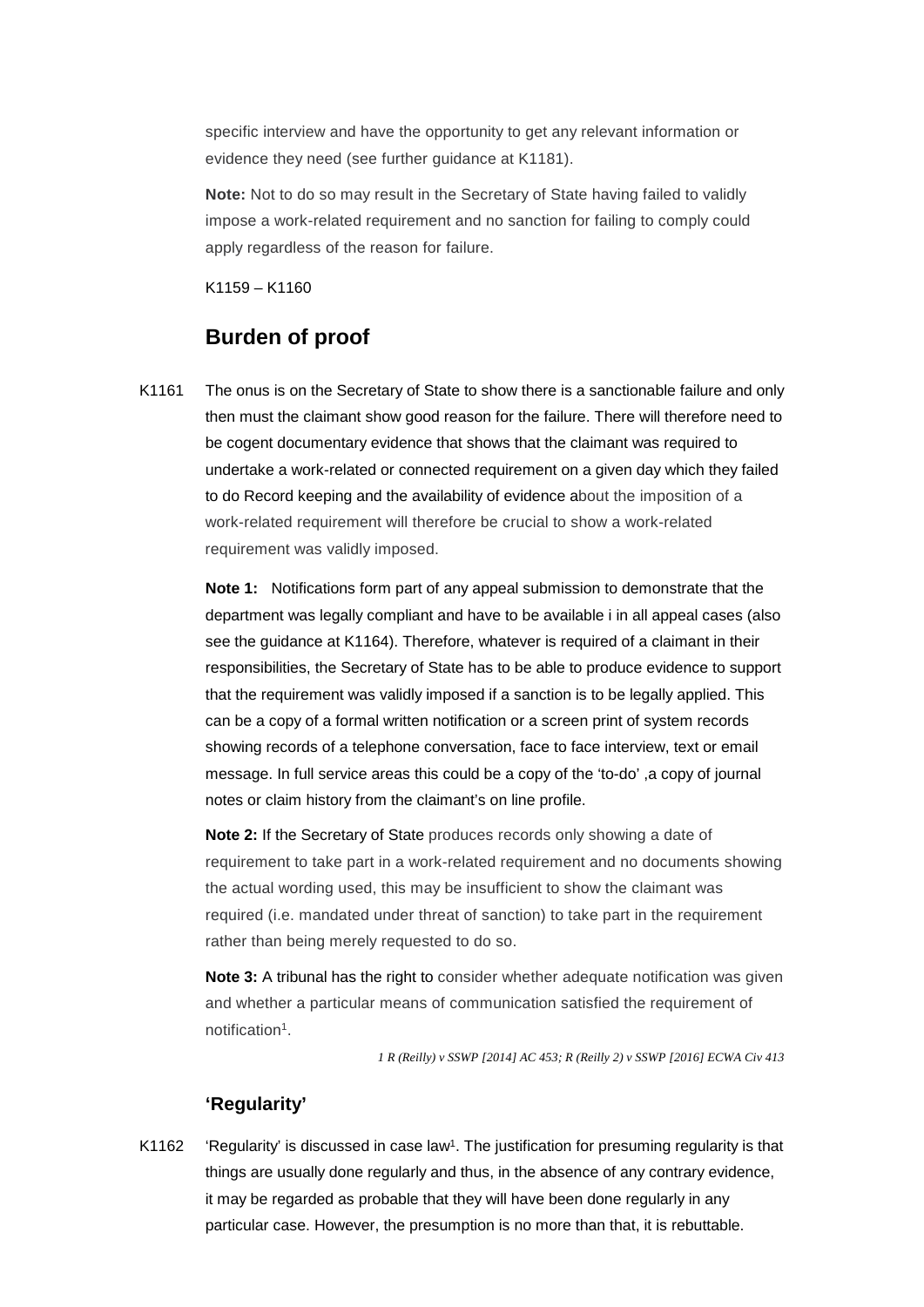specific interview and have the opportunity to get any relevant information or evidence they need (see further guidance at K1181).

**Note:** Not to do so may result in the Secretary of State having failed to validly impose a work-related requirement and no sanction for failing to comply could apply regardless of the reason for failure.

K1159 – K1160

# **Burden of proof**

K1161 The onus is on the Secretary of State to show there is a sanctionable failure and only then must the claimant show good reason for the failure. There will therefore need to be cogent documentary evidence that shows that the claimant was required to undertake a work-related or connected requirement on a given day which they failed to do Record keeping and the availability of evidence about the imposition of a work-related requirement will therefore be crucial to show a work-related requirement was validly imposed.

> notes or claim history from the claimant's on line profile. **Note 1:** Notifications form part of any appeal submission to demonstrate that the department was legally compliant and have to be available i in all appeal cases (also see the guidance at K1164). Therefore, whatever is required of a claimant in their responsibilities, the Secretary of State has to be able to produce evidence to support that the requirement was validly imposed if a sanction is to be legally applied. This can be a copy of a formal written notification or a screen print of system records showing records of a telephone conversation, face to face interview, text or email message. In full service areas this could be a copy of the 'to-do' ,a copy of journal

> **Note 2:** If the Secretary of State produces records only showing a date of requirement to take part in a work-related requirement and no documents showing the actual wording used, this may be insufficient to show the claimant was required (i.e. mandated under threat of sanction) to take part in the requirement rather than being merely requested to do so.

> **Note 3:** A tribunal has the right to consider whether adequate notification was given and whether a particular means of communication satisfied the requirement of notification<sup>1</sup>.

> > *1 R (Reilly) v SSWP [2014] AC 453; R (Reilly 2) v SSWP [2016] ECWA Civ 413*

#### **'Regularity'**

K1162 'Regularity' is discussed in case law<sup>1</sup>. The justification for presuming regularity is that things are usually done regularly and thus, in the absence of any contrary evidence, it may be regarded as probable that they will have been done regularly in any particular case. However, the presumption is no more than that, it is rebuttable.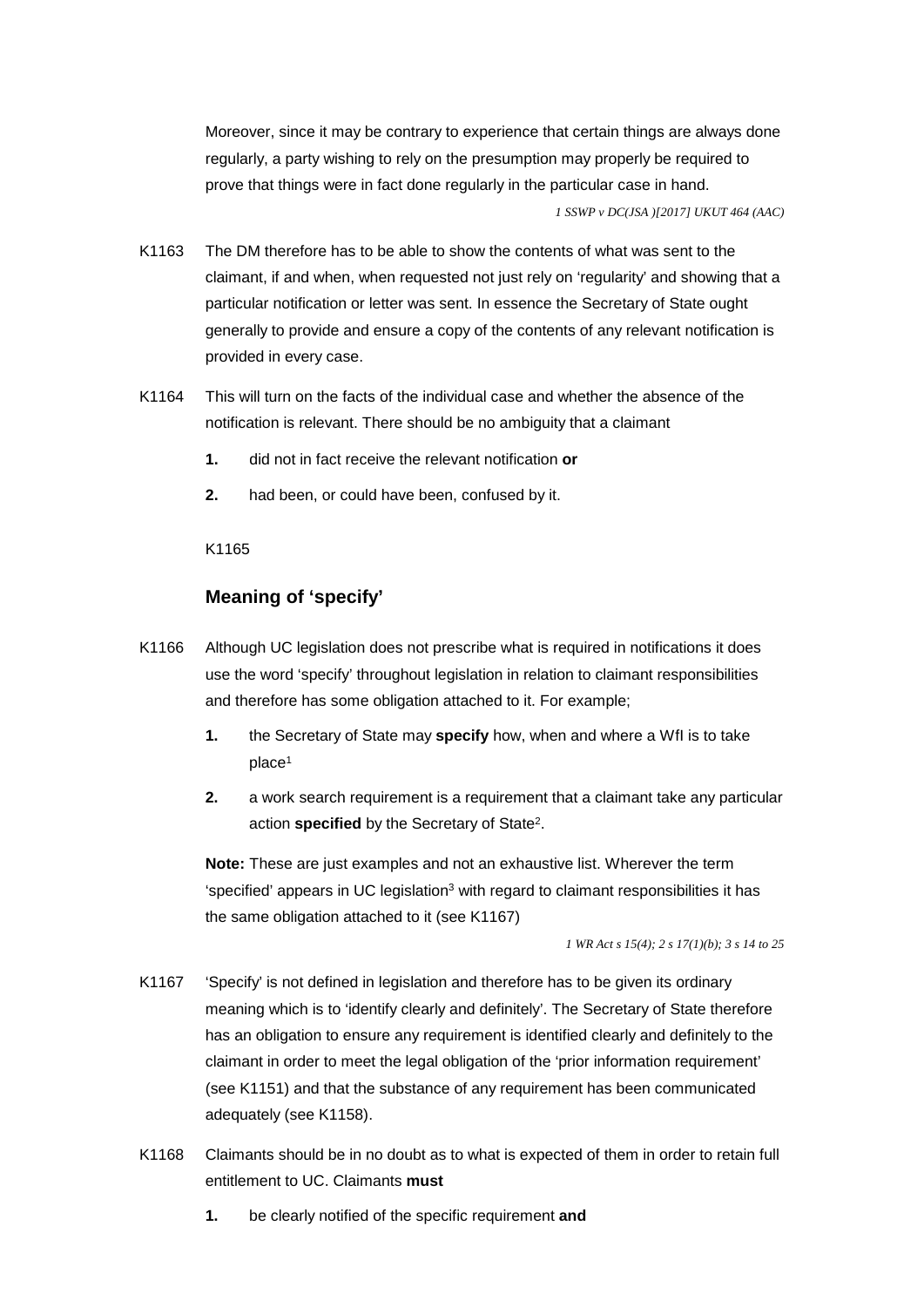Moreover, since it may be contrary to experience that certain things are always done regularly, a party wishing to rely on the presumption may properly be required to prove that things were in fact done regularly in the particular case in hand. *1 SSWP v DC(JSA )[2017] UKUT 464 (AAC)* 

- particular notification or letter was sent. In essence the Secretary of State ought K1163 The DM therefore has to be able to show the contents of what was sent to the claimant, if and when, when requested not just rely on 'regularity' and showing that a generally to provide and ensure a copy of the contents of any relevant notification is provided in every case.
- notification is relevant. There should be no ambiguity that a claimant K1164 This will turn on the facts of the individual case and whether the absence of the
	- $\mathbf{1}$ **1.** did not in fact receive the relevant notification **or**
	- **2.** had been, or could have been, confused by it.<br>K1165

#### **Meaning of 'specify'**

- K1166 Although UC legislation does not prescribe what is required in notifications it does use the word 'specify' throughout legislation in relation to claimant responsibilities and therefore has some obligation attached to it. For example;
	- **1.** the Secretary of State may **specify** how, when and where a WfI is to take place1
	- **2.** a work search requirement is a requirement that a claimant take any particular action **specified** by the Secretary of State2.

**Note:** These are just examples and not an exhaustive list. Wherever the term 'specified' appears in UC legislation<sup>3</sup> with regard to claimant responsibilities it has the same obligation attached to it (see K1167)

*1 WR Act s 15(4); 2 s 17(1)(b); 3 s 14 to 25* 

- K1167 'Specify' is not defined in legislation and therefore has to be given its ordinary meaning which is to 'identify clearly and definitely'. The Secretary of State therefore has an obligation to ensure any requirement is identified clearly and definitely to the claimant in order to meet the legal obligation of the 'prior information requirement' (see K1151) and that the substance of any requirement has been communicated adequately (see K1158).
- K1168 Claimants should be in no doubt as to what is expected of them in order to retain full entitlement to UC. Claimants **must** 
	- **1.** be clearly notified of the specific requirement **and**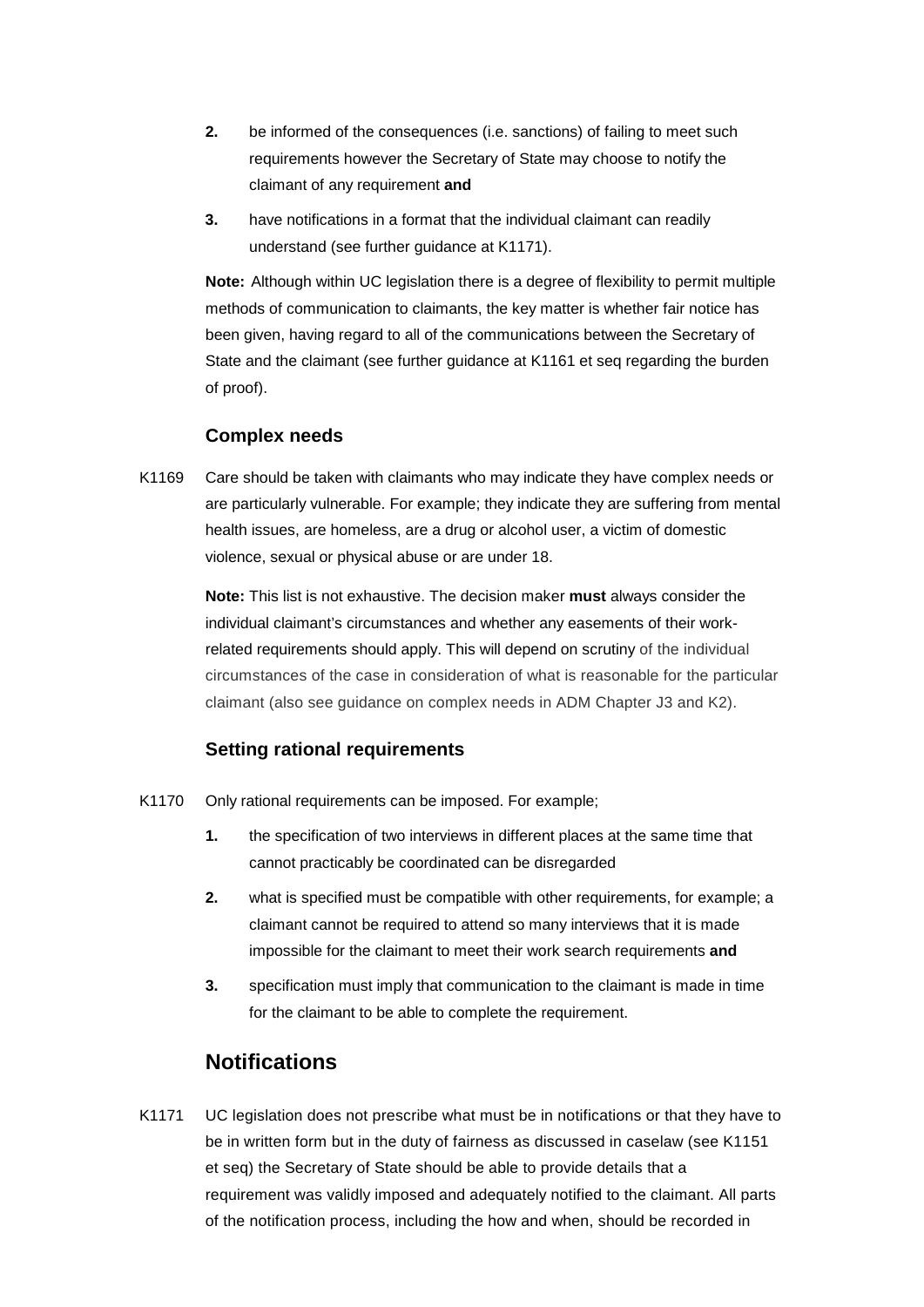- claimant of any requirement **and 2.** be informed of the consequences (i.e. sanctions) of failing to meet such requirements however the Secretary of State may choose to notify the
- $3.$  understand (see further guidance at K1171). **3.** have notifications in a format that the individual claimant can readily

**Note:** Although within UC legislation there is a degree of flexibility to permit multiple methods of communication to claimants, the key matter is whether fair notice has been given, having regard to all of the communications between the Secretary of State and the claimant (see further guidance at K1161 et seq regarding the burden of proof).

#### **Complex needs**

K1169 Care should be taken with claimants who may indicate they have complex needs or are particularly vulnerable. For example; they indicate they are suffering from mental health issues, are homeless, are a drug or alcohol user, a victim of domestic violence, sexual or physical abuse or are under 18.

> claimant (also see guidance on complex needs in ADM Chapter J3 and K2). **Note:** This list is not exhaustive. The decision maker **must** always consider the individual claimant's circumstances and whether any easements of their workrelated requirements should apply. This will depend on scrutiny of the individual circumstances of the case in consideration of what is reasonable for the particular

#### **Setting rational requirements**

- K1170 Only rational requirements can be imposed. For example;
	- **1.** the specification of two interviews in different places at the same time that cannot practicably be coordinated can be disregarded
	- **2.** what is specified must be compatible with other requirements, for example; a claimant cannot be required to attend so many interviews that it is made impossible for the claimant to meet their work search requirements **and**
	- **3.** specification must imply that communication to the claimant is made in time for the claimant to be able to complete the requirement.

# **Notifications**

 be in written form but in the duty of fairness as discussed in caselaw (see K1151 requirement was validly imposed and adequately notified to the claimant. All parts K1171 UC legislation does not prescribe what must be in notifications or that they have to et seq) the Secretary of State should be able to provide details that a of the notification process, including the how and when, should be recorded in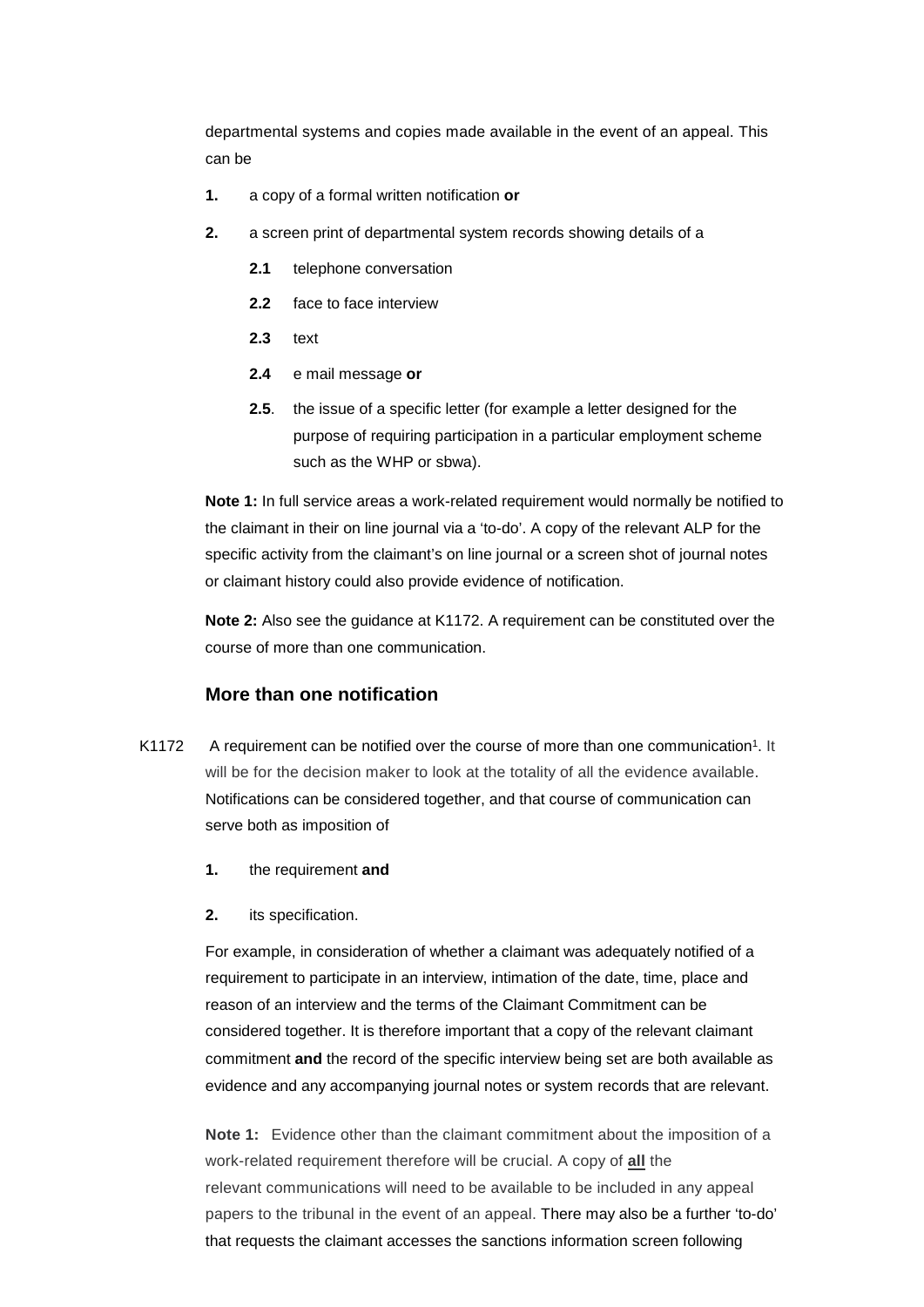departmental systems and copies made available in the event of an appeal. This can be

- **1.** a copy of a formal written notification **or**
- **2.** a screen print of departmental system records showing details of a
	- **2.1** telephone conversation
	- **2.2** face to face interview
	- **2.3** text
	- $2.4$ **2.4** e mail message **or**
	- **2.5**. the issue of a specific letter (for example a letter designed for the purpose of requiring participation in a particular employment scheme such as the WHP or sbwa).

 or claimant history could also provide evidence of notification. **Note 1:** In full service areas a work-related requirement would normally be notified to the claimant in their on line journal via a 'to-do'. A copy of the relevant ALP for the specific activity from the claimant's on line journal or a screen shot of journal notes

**Note 2:** Also see the guidance at K1172. A requirement can be constituted over the course of more than one communication.

#### **More than one notification**

- K1172 A requirement can be notified over the course of more than one communication<sup>1</sup>. It will be for the decision maker to look at the totality of all the evidence available. Notifications can be considered together, and that course of communication can serve both as imposition of
	- **1.** the requirement **and**
	- its specification.

**2.** its specification.<br>For example, in consideration of whether a claimant was adequately notified of a requirement to participate in an interview, intimation of the date, time, place and reason of an interview and the terms of the Claimant Commitment can be considered together. It is therefore important that a copy of the relevant claimant commitment **and** the record of the specific interview being set are both available as evidence and any accompanying journal notes or system records that are relevant.

**Note 1:** Evidence other than the claimant commitment about the imposition of a work-related requirement therefore will be crucial. A copy of **all** the relevant communications will need to be available to be included in any appeal papers to the tribunal in the event of an appeal. There may also be a further 'to-do' that requests the claimant accesses the sanctions information screen following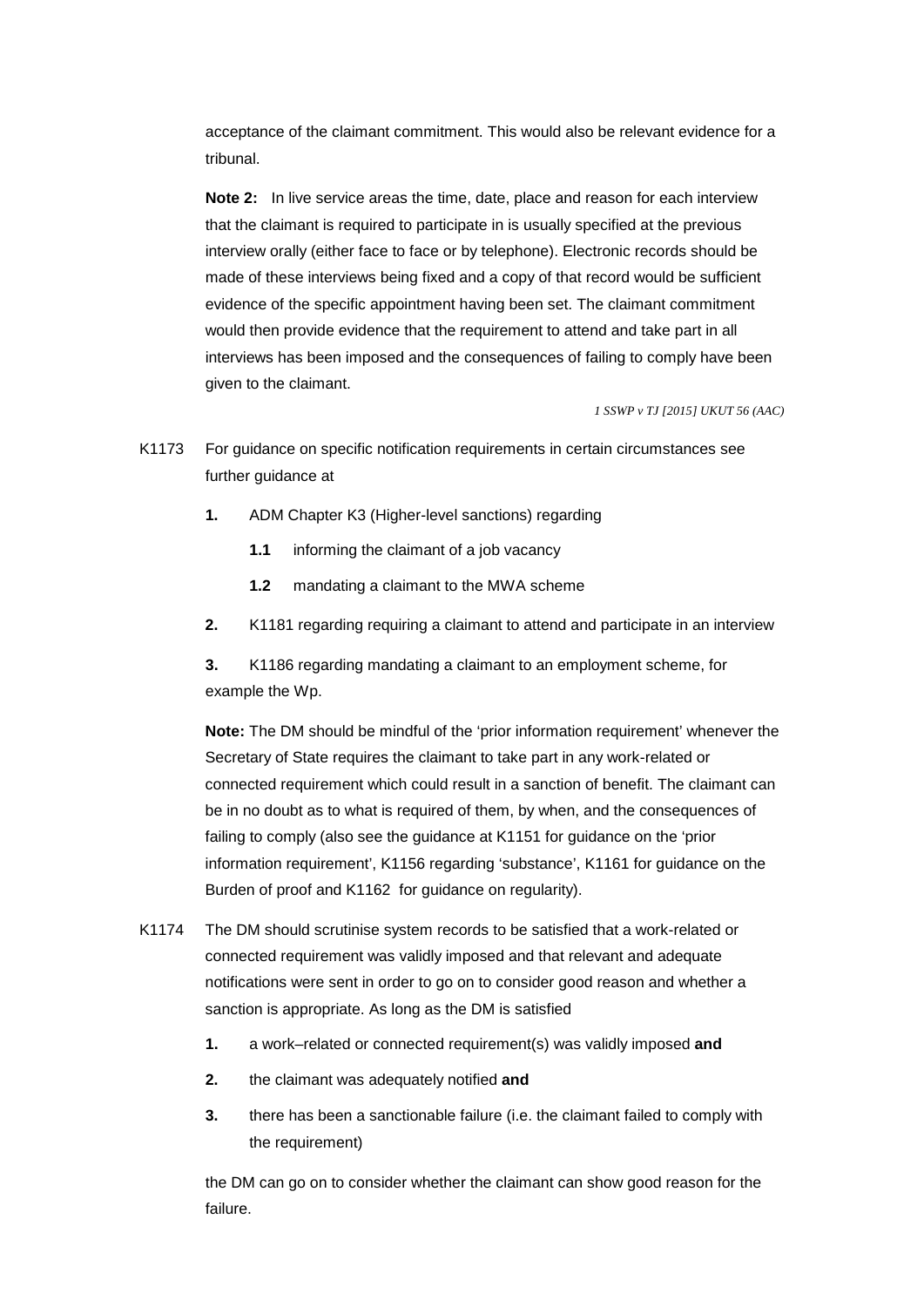acceptance of the claimant commitment. This would also be relevant evidence for a tribunal.

**Note 2:** In live service areas the time, date, place and reason for each interview that the claimant is required to participate in is usually specified at the previous interview orally (either face to face or by telephone). Electronic records should be made of these interviews being fixed and a copy of that record would be sufficient evidence of the specific appointment having been set. The claimant commitment would then provide evidence that the requirement to attend and take part in all interviews has been imposed and the consequences of failing to comply have been given to the claimant.

*1 SSWP v TJ [2015] UKUT 56 (AAC)* 

- K1173 For guidance on specific notification requirements in certain circumstances see further guidance at
	- **1.** ADM Chapter K3 (Higher-level sanctions) regarding
		- **1.1** informing the claimant of a job vacancy
		- **1.2** mandating a claimant to the MWA scheme
	- **2.** K1181 regarding requiring a claimant to attend and participate in an interview

3. **3.** K1186 regarding mandating a claimant to an employment scheme, for example the Wp.

 Burden of proof and K1162 for guidance on regularity). **Note:** The DM should be mindful of the 'prior information requirement' whenever the Secretary of State requires the claimant to take part in any work-related or connected requirement which could result in a sanction of benefit. The claimant can be in no doubt as to what is required of them, by when, and the consequences of failing to comply (also see the guidance at K1151 for guidance on the 'prior information requirement', K1156 regarding 'substance', K1161 for guidance on the

- K1174 The DM should scrutinise system records to be satisfied that a work-related or connected requirement was validly imposed and that relevant and adequate notifications were sent in order to go on to consider good reason and whether a sanction is appropriate. As long as the DM is satisfied
	- **1.** a work–related or connected requirement(s) was validly imposed **and**
	- **2.** the claimant was adequately notified **and**
	- **3.** there has been a sanctionable failure (i.e. the claimant failed to comply with the requirement)

the DM can go on to consider whether the claimant can show good reason for the failure.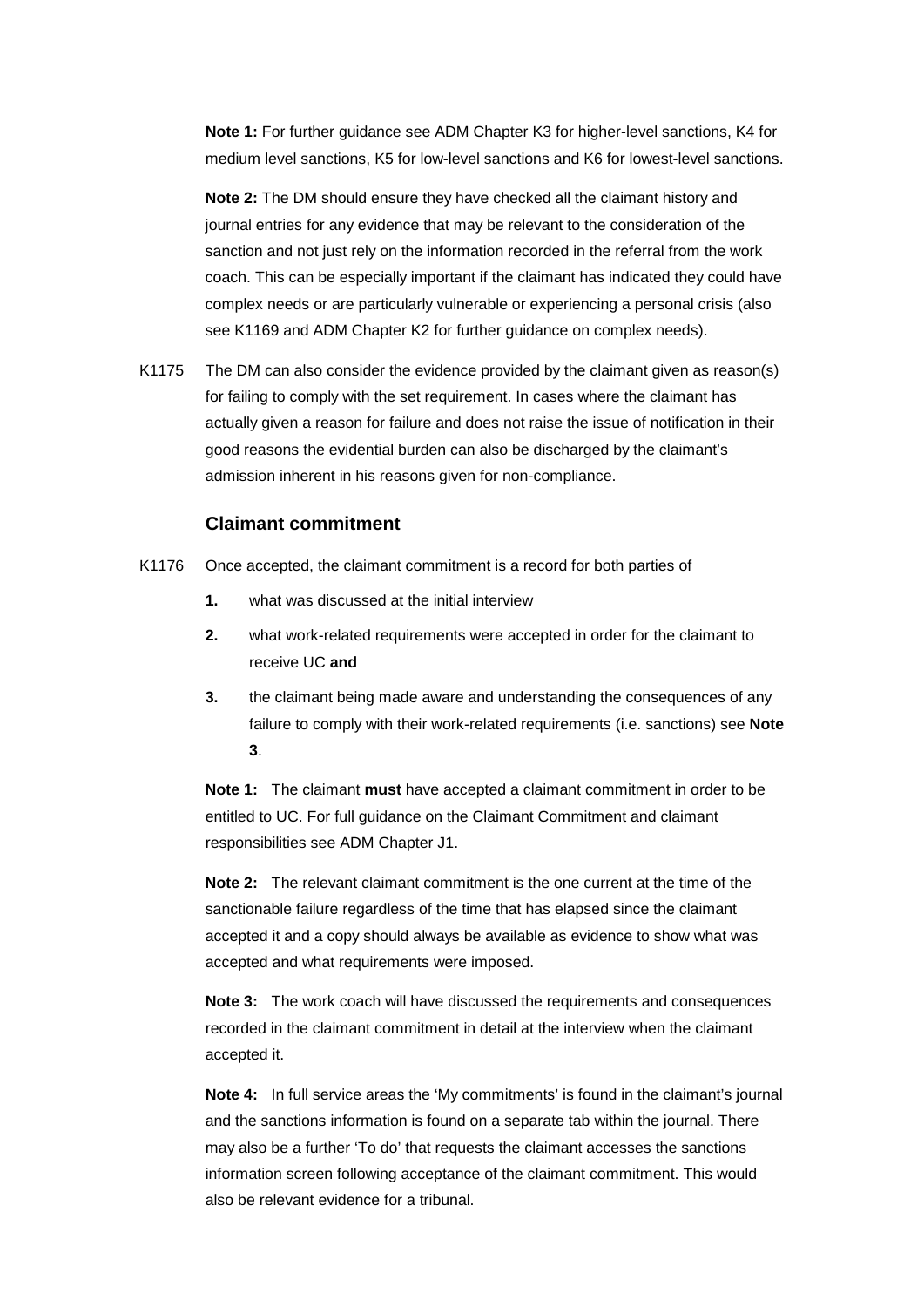**Note 1:** For further guidance see ADM Chapter K3 for higher-level sanctions, K4 for medium level sanctions, K5 for low-level sanctions and K6 for lowest-level sanctions.

see K1169 and ADM Chapter K2 for further guidance on complex needs). **Note 2:** The DM should ensure they have checked all the claimant history and journal entries for any evidence that may be relevant to the consideration of the sanction and not just rely on the information recorded in the referral from the work coach. This can be especially important if the claimant has indicated they could have complex needs or are particularly vulnerable or experiencing a personal crisis (also

K1175 The DM can also consider the evidence provided by the claimant given as reason(s) for failing to comply with the set requirement. In cases where the claimant has actually given a reason for failure and does not raise the issue of notification in their good reasons the evidential burden can also be discharged by the claimant's admission inherent in his reasons given for non-compliance.

#### **Claimant commitment**

- K1176 Once accepted, the claimant commitment is a record for both parties of
	- $1.$ what was discussed at the initial interview
	- $2.$ what work-related requirements were accepted in order for the claimant to receive UC **and**
	- **3.** the claimant being made aware and understanding the consequences of any failure to comply with their work-related requirements (i.e. sanctions) see **Note 3**.

**Note 1:** The claimant **must** have accepted a claimant commitment in order to be entitled to UC. For full guidance on the Claimant Commitment and claimant responsibilities see ADM Chapter J1.

 accepted and what requirements were imposed. **Note 2:** The relevant claimant commitment is the one current at the time of the sanctionable failure regardless of the time that has elapsed since the claimant accepted it and a copy should always be available as evidence to show what was

**Note 3:** The work coach will have discussed the requirements and consequences recorded in the claimant commitment in detail at the interview when the claimant accepted it.

**Note 4:** In full service areas the 'My commitments' is found in the claimant's journal and the sanctions information is found on a separate tab within the journal. There may also be a further 'To do' that requests the claimant accesses the sanctions information screen following acceptance of the claimant commitment. This would also be relevant evidence for a tribunal.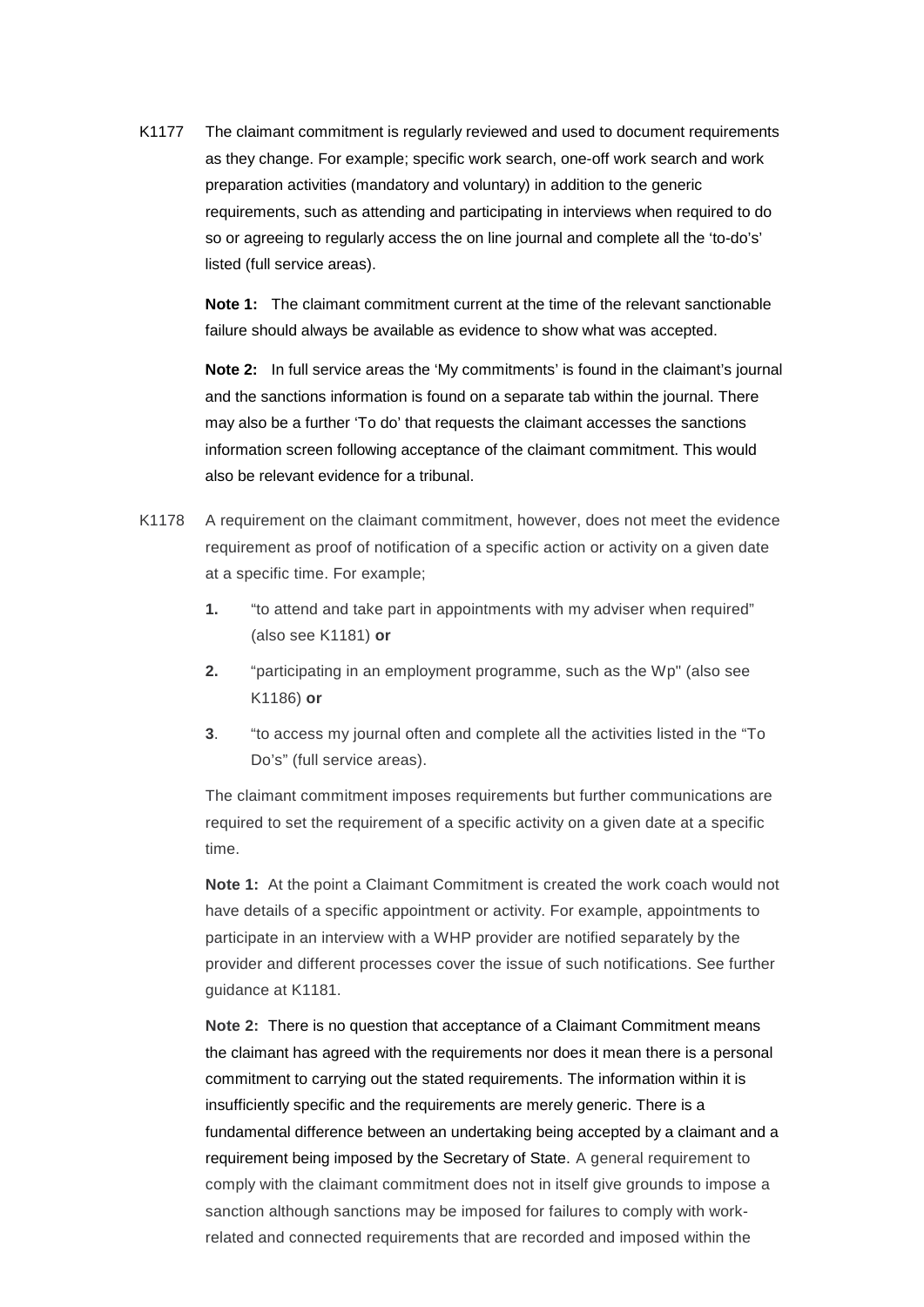K1177 so or agreeing to regularly access the on line journal and complete all the 'to-do's' The claimant commitment is regularly reviewed and used to document requirements as they change. For example; specific work search, one-off work search and work preparation activities (mandatory and voluntary) in addition to the generic requirements, such as attending and participating in interviews when required to do listed (full service areas).

> **Note 1:** The claimant commitment current at the time of the relevant sanctionable failure should always be available as evidence to show what was accepted.

**Note 2:** In full service areas the 'My commitments' is found in the claimant's journal and the sanctions information is found on a separate tab within the journal. There may also be a further 'To do' that requests the claimant accesses the sanctions information screen following acceptance of the claimant commitment. This would also be relevant evidence for a tribunal.

- K1178 A requirement on the claimant commitment, however, does not meet the evidence requirement as proof of notification of a specific action or activity on a given date at a specific time. For example;
	- **1.** "to attend and take part in appointments with my adviser when required" (also see K1181) **or**
	- $2.$ "participating in an employment programme, such as the Wp" (also see K1186) **or**
	- **3**. "to access my journal often and complete all the activities listed in the "To Do's" (full service areas).

The claimant commitment imposes requirements but further communications are required to set the requirement of a specific activity on a given date at a specific time.

 **Note 1:** At the point a Claimant Commitment is created the work coach would not guidance at K1181. have details of a specific appointment or activity. For example, appointments to participate in an interview with a WHP provider are notified separately by the provider and different processes cover the issue of such notifications. See further

**Note 2:** There is no question that acceptance of a Claimant Commitment means the claimant has agreed with the requirements nor does it mean there is a personal commitment to carrying out the stated requirements. The information within it is insufficiently specific and the requirements are merely generic. There is a fundamental difference between an undertaking being accepted by a claimant and a requirement being imposed by the Secretary of State. A general requirement to comply with the claimant commitment does not in itself give grounds to impose a sanction although sanctions may be imposed for failures to comply with workrelated and connected requirements that are recorded and imposed within the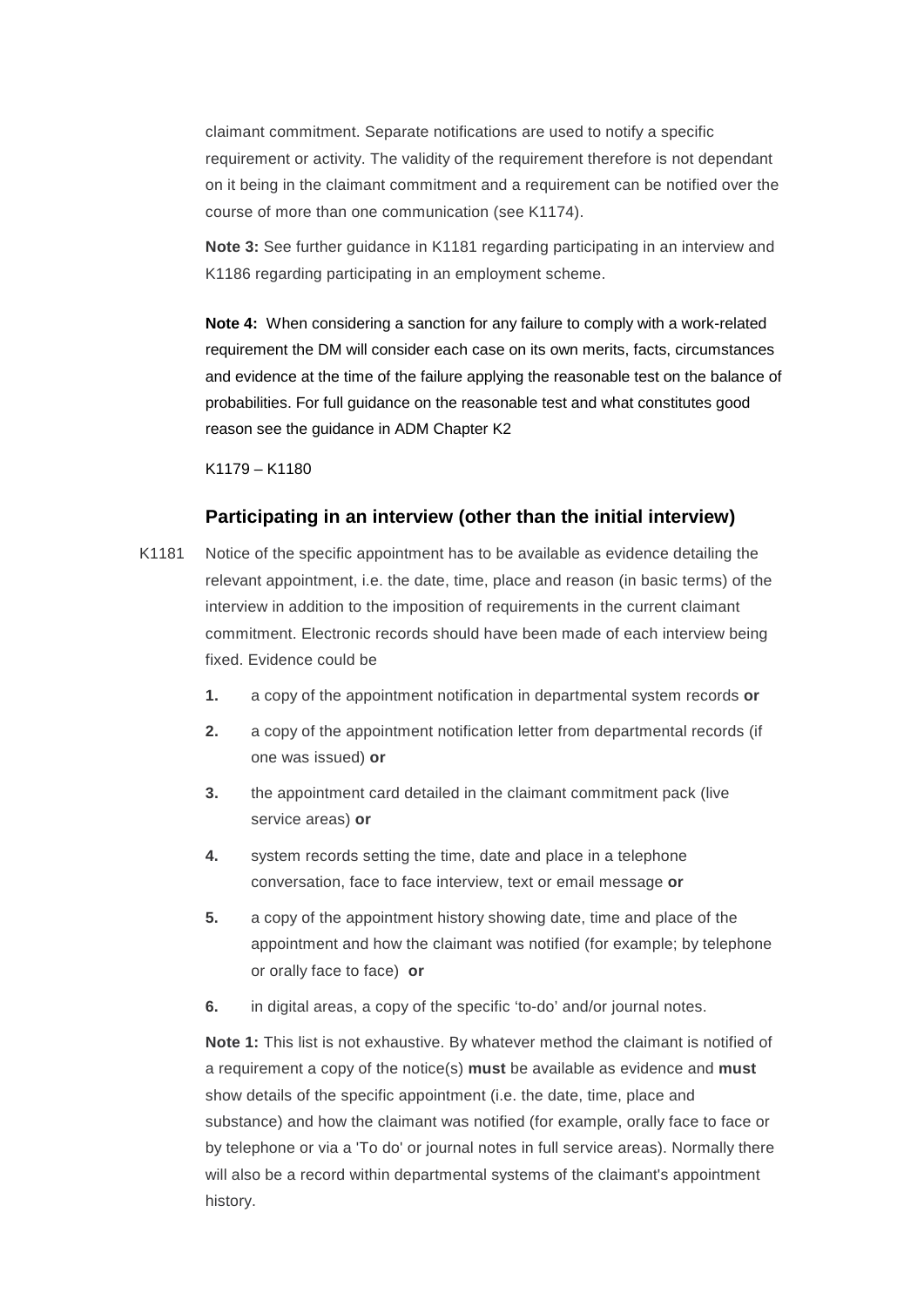on it being in the claimant commitment and a requirement can be notified over the claimant commitment. Separate notifications are used to notify a specific requirement or activity. The validity of the requirement therefore is not dependant course of more than one communication (see K1174).

 **Note 3:** See further guidance in K1181 regarding participating in an interview and K1186 regarding participating in an employment scheme.

 **Note 4:** When considering a sanction for any failure to comply with a work-related requirement the DM will consider each case on its own merits, facts, circumstances and evidence at the time of the failure applying the reasonable test on the balance of probabilities. For full guidance on the reasonable test and what constitutes good reason see the guidance in ADM Chapter K2

K1179 – K1180

#### **Participating in an interview (other than the initial interview)**

- fixed. Evidence could be K1181 Notice of the specific appointment has to be available as evidence detailing the relevant appointment, i.e. the date, time, place and reason (in basic terms) of the interview in addition to the imposition of requirements in the current claimant commitment. Electronic records should have been made of each interview being
	- $1<sub>1</sub>$ **1.** a copy of the appointment notification in departmental system records **or**
	- **2.** a copy of the appointment notification letter from departmental records (if one was issued) **or**
	- **3.** the appointment card detailed in the claimant commitment pack (live service areas) **or**
	- **4.** system records setting the time, date and place in a telephone conversation, face to face interview, text or email message **or**
	- or orally face to face) **or 5.** a copy of the appointment history showing date, time and place of the appointment and how the claimant was notified (for example; by telephone
	- **6.** in digital areas, a copy of the specific 'to-do' and/or journal notes.

 a requirement a copy of the notice(s) **must** be available as evidence and **must Note 1:** This list is not exhaustive. By whatever method the claimant is notified of show details of the specific appointment (i.e. the date, time, place and substance) and how the claimant was notified (for example, orally face to face or by telephone or via a 'To do' or journal notes in full service areas). Normally there will also be a record within departmental systems of the claimant's appointment history.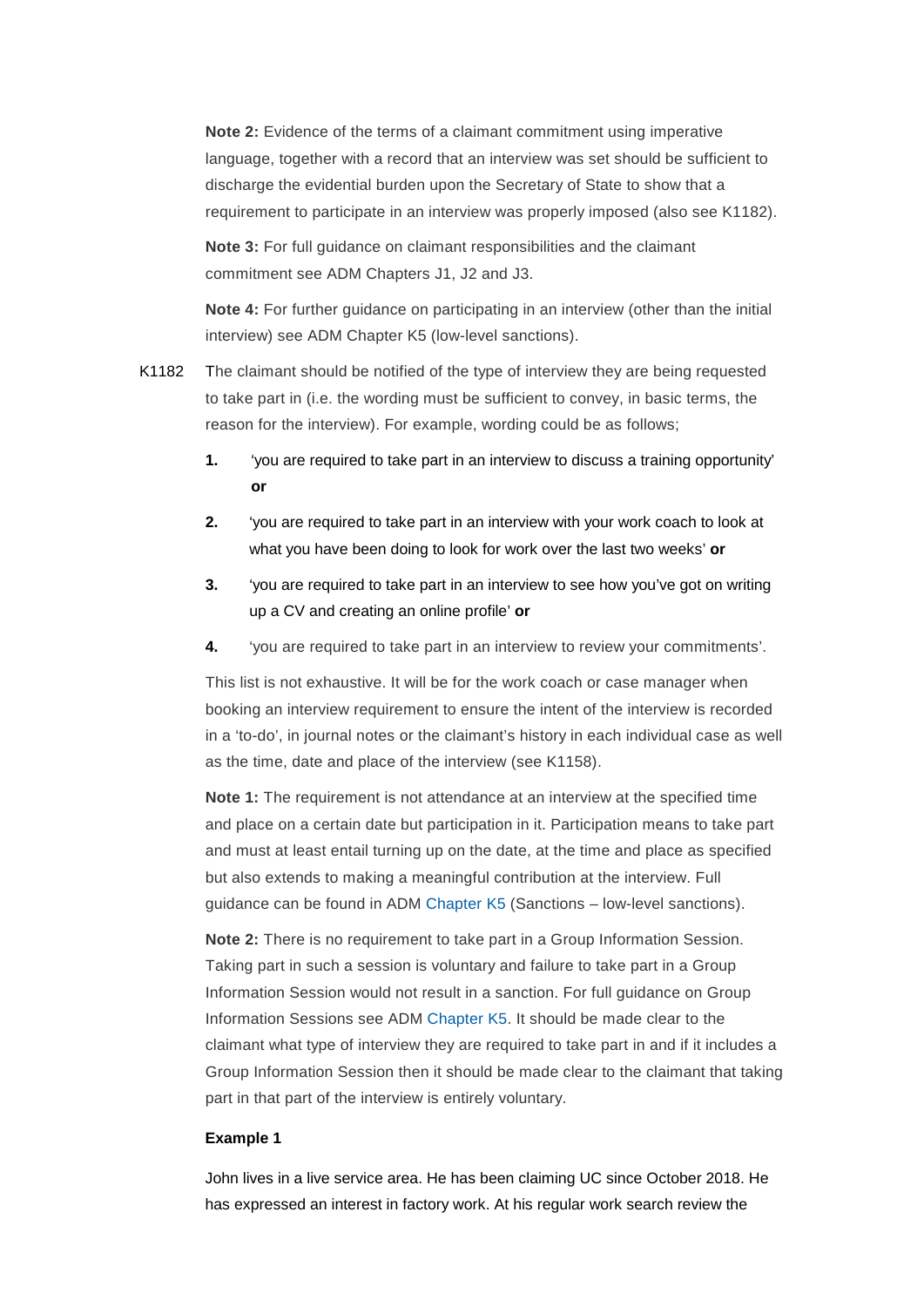**Note 2:** Evidence of the terms of a claimant commitment using imperative language, together with a record that an interview was set should be sufficient to discharge the evidential burden upon the Secretary of State to show that a requirement to participate in an interview was properly imposed (also see K1182).

 **Note 3:** For full guidance on claimant responsibilities and the claimant commitment see ADM Chapters J1, J2 and J3.

 **Note 4:** For further guidance on participating in an interview (other than the initial interview) see ADM Chapter K5 (low-level sanctions).

- to take part in (i.e. the wording must be sufficient to convey, in basic terms, the K1182 The claimant should be notified of the type of interview they are being requested reason for the interview). For example, wording could be as follows;
	- **1.** 'you are required to take part in an interview to discuss a training opportunity' **or**
	- **2.** 'you are required to take part in an interview with your work coach to look at what you have been doing to look for work over the last two weeks' **or**
	- up a CV and creating an online profile' or **3.** 'you are required to take part in an interview to see how you've got on writing
	- 4. 'you are required to take part in an interview to review your commitments'.

 in a 'to-do', in journal notes or the claimant's history in each individual case as well This list is not exhaustive. It will be for the work coach or case manager when booking an interview requirement to ensure the intent of the interview is recorded as the time, date and place of the interview (see K1158).

 guidance can be found in ADM [Chapter K5 \(](http://intranet.dwp.gov.uk/manual/advice-decision-making-adm/adm-chapter-k5-low-level-sanctions)Sanctions – low-level sanctions). **Note 1:** The requirement is not attendance at an interview at the specified time and place on a certain date but participation in it. Participation means to take part and must at least entail turning up on the date, at the time and place as specified but also extends to making a meaningful contribution at the interview. Full

**Note 2:** There is no requirement to take part in a Group Information Session. Taking part in such a session is voluntary and failure to take part in a Group Information Session would not result in a sanction. For full guidance on Group Information Sessions see ADM [Chapter K5.](http://intranet.dwp.gov.uk/manual/advice-decision-making-adm/adm-chapter-k5-low-level-sanctions) It should be made clear to the claimant what type of interview they are required to take part in and if it includes a Group Information Session then it should be made clear to the claimant that taking part in that part of the interview is entirely voluntary.

#### **Example 1**

John lives in a live service area. He has been claiming UC since October 2018. He has expressed an interest in factory work. At his regular work search review the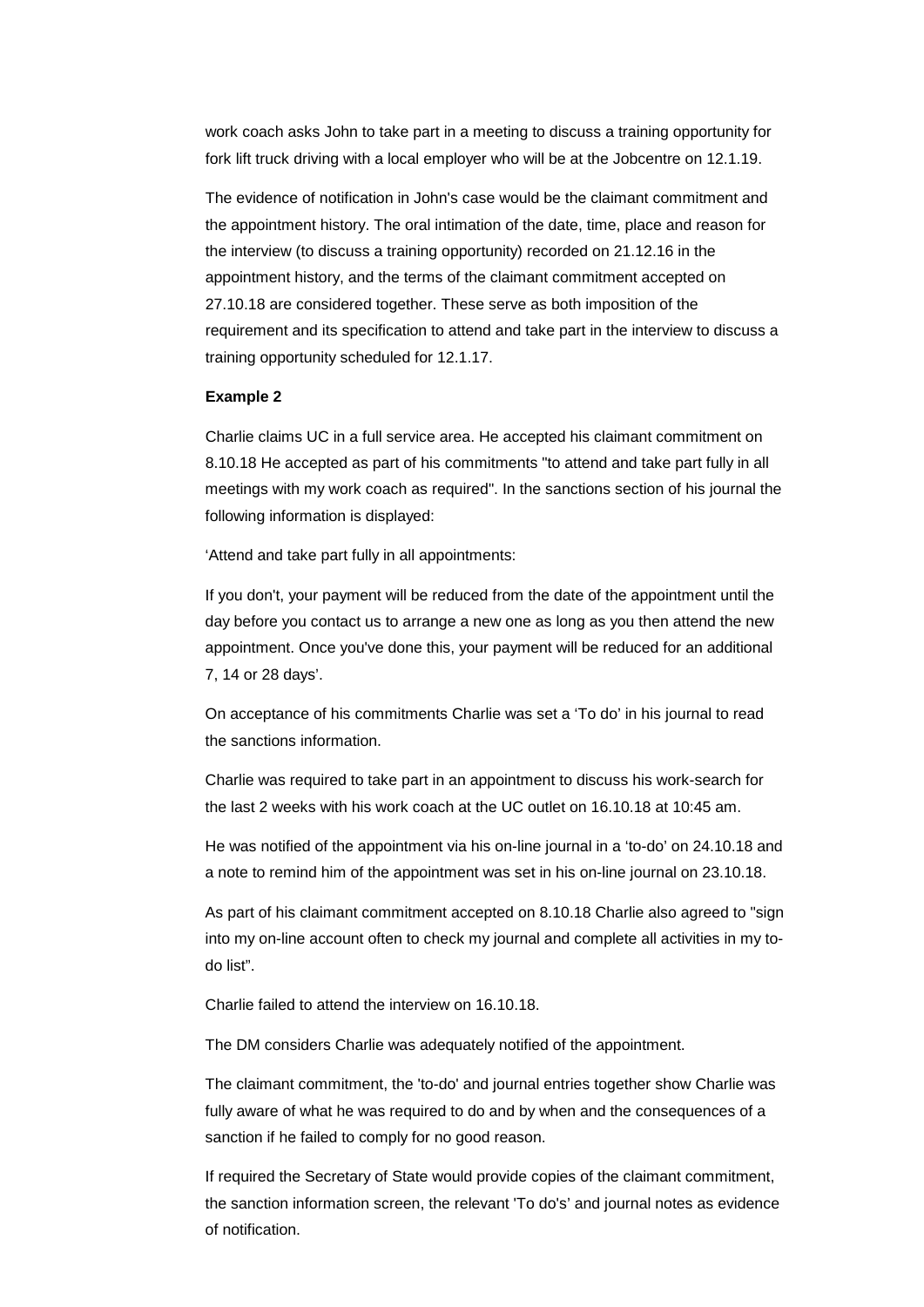work coach asks John to take part in a meeting to discuss a training opportunity for fork lift truck driving with a local employer who will be at the Jobcentre on 12.1.19.

The evidence of notification in John's case would be the claimant commitment and the appointment history. The oral intimation of the date, time, place and reason for the interview (to discuss a training opportunity) recorded on 21.12.16 in the appointment history, and the terms of the claimant commitment accepted on 27.10.18 are considered together. These serve as both imposition of the requirement and its specification to attend and take part in the interview to discuss a training opportunity scheduled for 12.1.17.

#### **Example 2**

 8.10.18 He accepted as part of his commitments "to attend and take part fully in all Charlie claims UC in a full service area. He accepted his claimant commitment on meetings with my work coach as required". In the sanctions section of his journal the following information is displayed:

'Attend and take part fully in all appointments:

If you don't, your payment will be reduced from the date of the appointment until the day before you contact us to arrange a new one as long as you then attend the new appointment. Once you've done this, your payment will be reduced for an additional 7, 14 or 28 days'.

On acceptance of his commitments Charlie was set a 'To do' in his journal to read the sanctions information.

Charlie was required to take part in an appointment to discuss his work-search for the last 2 weeks with his work coach at the UC outlet on 16.10.18 at 10:45 am.

He was notified of the appointment via his on-line journal in a 'to-do' on 24.10.18 and a note to remind him of the appointment was set in his on-line journal on 23.10.18.

As part of his claimant commitment accepted on 8.10.18 Charlie also agreed to "sign into my on-line account often to check my journal and complete all activities in my todo list".

Charlie failed to attend the interview on 16.10.18.

The DM considers Charlie was adequately notified of the appointment.

The claimant commitment, the 'to-do' and journal entries together show Charlie was fully aware of what he was required to do and by when and the consequences of a sanction if he failed to comply for no good reason.

 the sanction information screen, the relevant 'To do's' and journal notes as evidence If required the Secretary of State would provide copies of the claimant commitment, of notification.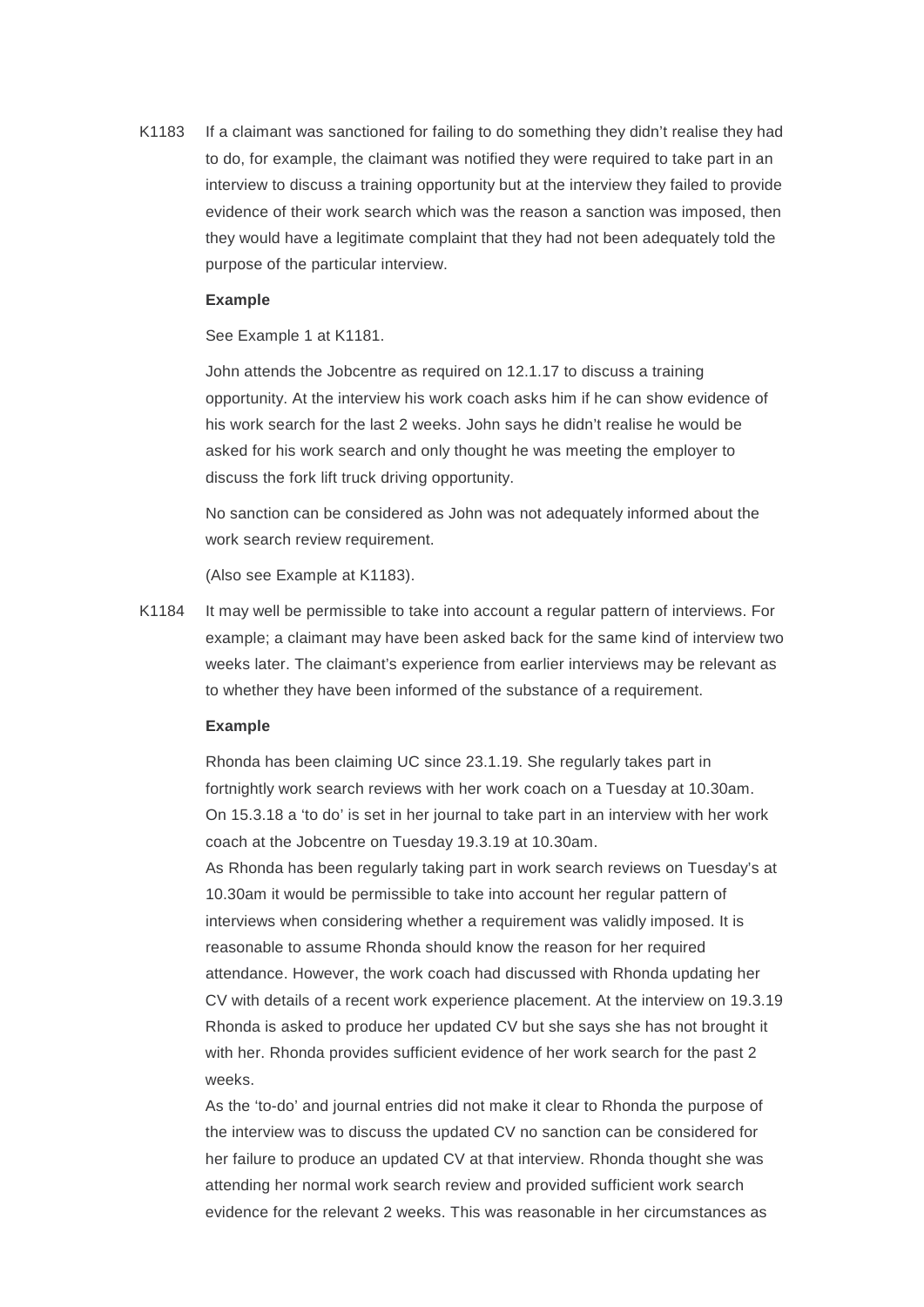K1183 If a claimant was sanctioned for failing to do something they didn't realise they had to do, for example, the claimant was notified they were required to take part in an interview to discuss a training opportunity but at the interview they failed to provide evidence of their work search which was the reason a sanction was imposed, then they would have a legitimate complaint that they had not been adequately told the purpose of the particular interview.

#### **Example**

See Example 1 at K1181.

John attends the Jobcentre as required on 12.1.17 to discuss a training opportunity. At the interview his work coach asks him if he can show evidence of his work search for the last 2 weeks. John says he didn't realise he would be asked for his work search and only thought he was meeting the employer to discuss the fork lift truck driving opportunity.

No sanction can be considered as John was not adequately informed about the work search review requirement.

(Also see Example at K1183).

K1184 It may well be permissible to take into account a regular pattern of interviews. For example; a claimant may have been asked back for the same kind of interview two weeks later. The claimant's experience from earlier interviews may be relevant as to whether they have been informed of the substance of a requirement.

#### **Example**

Rhonda has been claiming UC since 23.1.19. She regularly takes part in fortnightly work search reviews with her work coach on a Tuesday at 10.30am. On 15.3.18 a 'to do' is set in her journal to take part in an interview with her work coach at the Jobcentre on Tuesday 19.3.19 at 10.30am.

As Rhonda has been regularly taking part in work search reviews on Tuesday's at 10.30am it would be permissible to take into account her regular pattern of interviews when considering whether a requirement was validly imposed. It is reasonable to assume Rhonda should know the reason for her required attendance. However, the work coach had discussed with Rhonda updating her CV with details of a recent work experience placement. At the interview on 19.3.19 Rhonda is asked to produce her updated CV but she says she has not brought it with her. Rhonda provides sufficient evidence of her work search for the past 2 weeks.

As the 'to-do' and journal entries did not make it clear to Rhonda the purpose of the interview was to discuss the updated CV no sanction can be considered for her failure to produce an updated CV at that interview. Rhonda thought she was attending her normal work search review and provided sufficient work search evidence for the relevant 2 weeks. This was reasonable in her circumstances as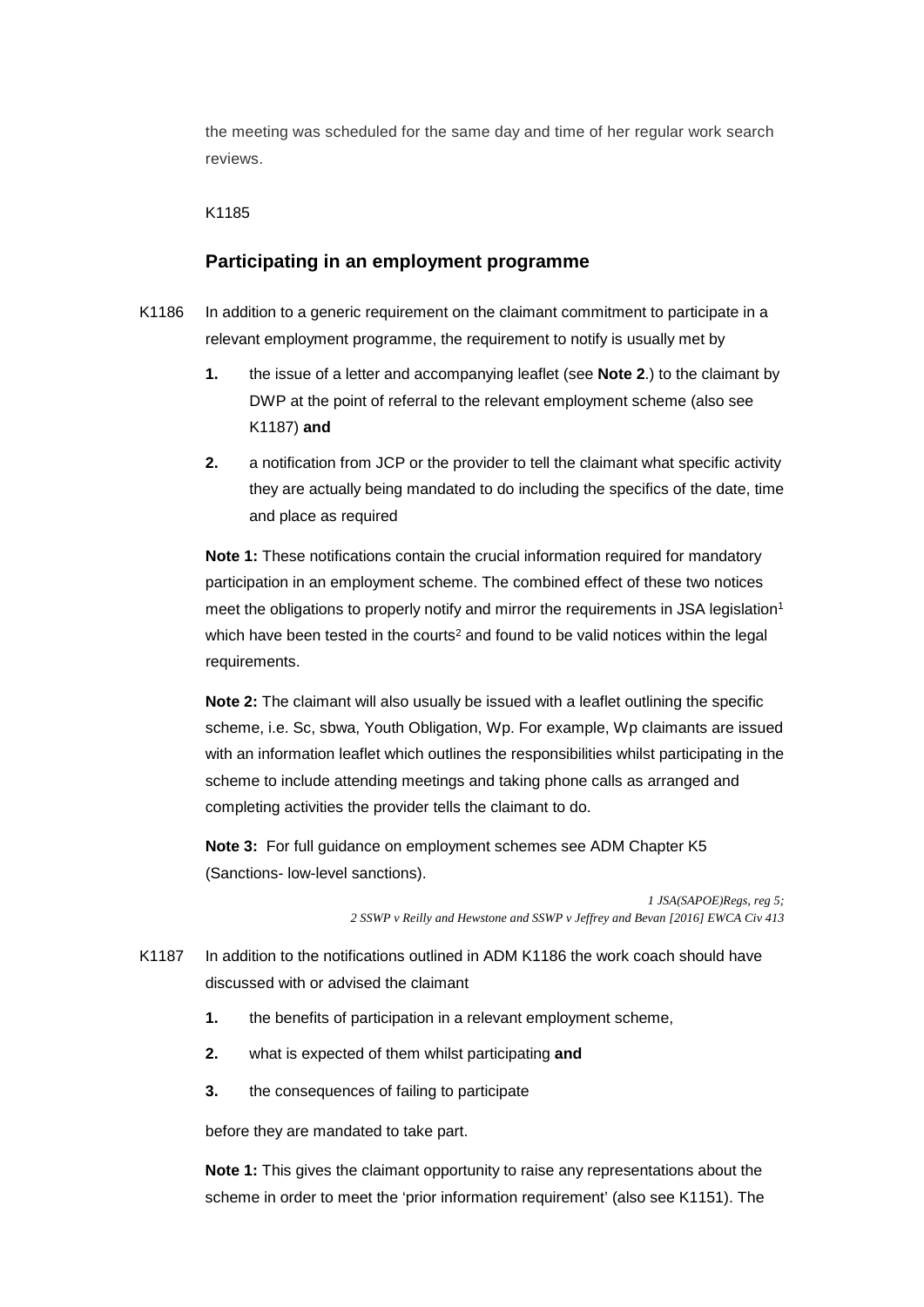the meeting was scheduled for the same day and time of her regular work search reviews.

#### K1185

#### **Participating in an employment programme**

- K1186 In addition to a generic requirement on the claimant commitment to participate in a relevant employment programme, the requirement to notify is usually met by
	- K1187) **and 1.** the issue of a letter and accompanying leaflet (see **Note 2**.) to the claimant by DWP at the point of referral to the relevant employment scheme (also see
	- and place as required **2.** a notification from JCP or the provider to tell the claimant what specific activity they are actually being mandated to do including the specifics of the date, time

**Note 1:** These notifications contain the crucial information required for mandatory participation in an employment scheme. The combined effect of these two notices meet the obligations to properly notify and mirror the requirements in JSA legislation<sup>1</sup> which have been tested in the courts<sup>2</sup> and found to be valid notices within the legal requirements.

**Note 2:** The claimant will also usually be issued with a leaflet outlining the specific scheme, i.e. Sc, sbwa, Youth Obligation, Wp. For example, Wp claimants are issued with an information leaflet which outlines the responsibilities whilst participating in the scheme to include attending meetings and taking phone calls as arranged and completing activities the provider tells the claimant to do.

 **Note 3:** For full guidance on employment schemes see ADM Chapter K5 (Sanctions- low-level sanctions).

> *1 JSA(SAPOE)Regs, reg 5; 2 SSWP v Reilly and Hewstone and SSWP v Jeffrey and Bevan [2016] EWCA Civ 413*

- K1187 In addition to the notifications outlined in ADM K1186 the work coach should have discussed with or advised the claimant
	- **1.** the benefits of participation in a relevant employment scheme,
	- **2.** what is expected of them whilst participating **and**
	- **3.** the consequences of failing to participate

before they are mandated to take part.

 scheme in order to meet the 'prior information requirement' (also see K1151). The **Note 1:** This gives the claimant opportunity to raise any representations about the